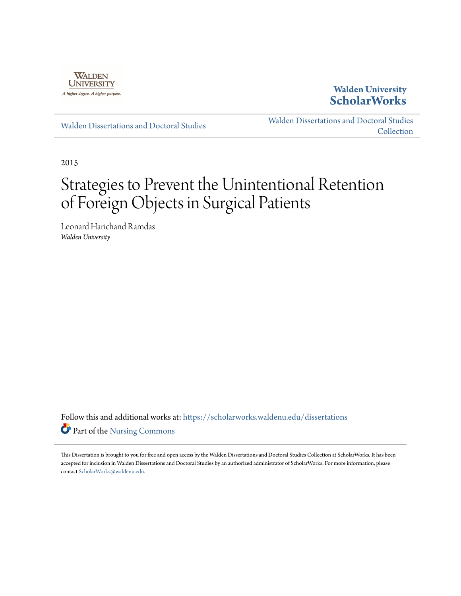

**Walden University [ScholarWorks](https://scholarworks.waldenu.edu?utm_source=scholarworks.waldenu.edu%2Fdissertations%2F1656&utm_medium=PDF&utm_campaign=PDFCoverPages)**

[Walden Dissertations and Doctoral Studies](https://scholarworks.waldenu.edu/dissertations?utm_source=scholarworks.waldenu.edu%2Fdissertations%2F1656&utm_medium=PDF&utm_campaign=PDFCoverPages)

[Walden Dissertations and Doctoral Studies](https://scholarworks.waldenu.edu/dissanddoc?utm_source=scholarworks.waldenu.edu%2Fdissertations%2F1656&utm_medium=PDF&utm_campaign=PDFCoverPages) **[Collection](https://scholarworks.waldenu.edu/dissanddoc?utm_source=scholarworks.waldenu.edu%2Fdissertations%2F1656&utm_medium=PDF&utm_campaign=PDFCoverPages)** 

2015

# Strategies to Prevent the Unintentional Retention of Foreign Objects in Surgical Patients

Leonard Harichand Ramdas *Walden University*

Follow this and additional works at: [https://scholarworks.waldenu.edu/dissertations](https://scholarworks.waldenu.edu/dissertations?utm_source=scholarworks.waldenu.edu%2Fdissertations%2F1656&utm_medium=PDF&utm_campaign=PDFCoverPages) Part of the [Nursing Commons](http://network.bepress.com/hgg/discipline/718?utm_source=scholarworks.waldenu.edu%2Fdissertations%2F1656&utm_medium=PDF&utm_campaign=PDFCoverPages)

This Dissertation is brought to you for free and open access by the Walden Dissertations and Doctoral Studies Collection at ScholarWorks. It has been accepted for inclusion in Walden Dissertations and Doctoral Studies by an authorized administrator of ScholarWorks. For more information, please contact [ScholarWorks@waldenu.edu](mailto:ScholarWorks@waldenu.edu).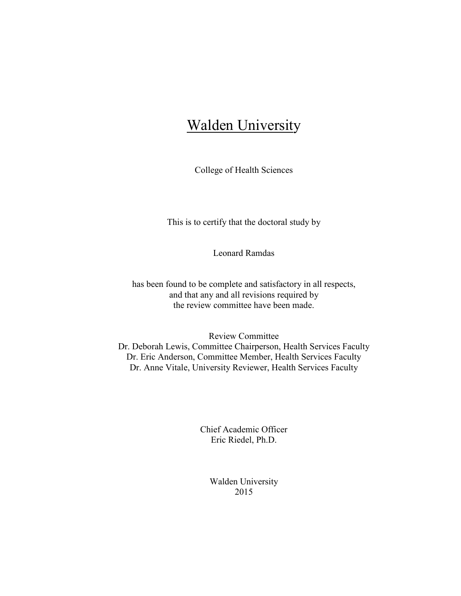# **Walden University**

College of Health Sciences

This is to certify that the doctoral study by

Leonard Ramdas

has been found to be complete and satisfactory in all respects, and that any and all revisions required by the review committee have been made.

Review Committee Dr. Deborah Lewis, Committee Chairperson, Health Services Faculty Dr. Eric Anderson, Committee Member, Health Services Faculty Dr. Anne Vitale, University Reviewer, Health Services Faculty

> Chief Academic Officer Eric Riedel, Ph.D.

> > Walden University 2015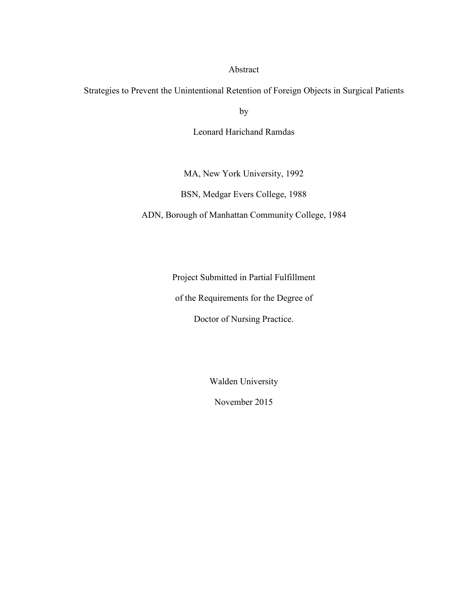#### Abstract

Strategies to Prevent the Unintentional Retention of Foreign Objects in Surgical Patients

by

Leonard Harichand Ramdas

MA, New York University, 1992

BSN, Medgar Evers College, 1988

ADN, Borough of Manhattan Community College, 1984

Project Submitted in Partial Fulfillment

of the Requirements for the Degree of

Doctor of Nursing Practice.

Walden University

November 2015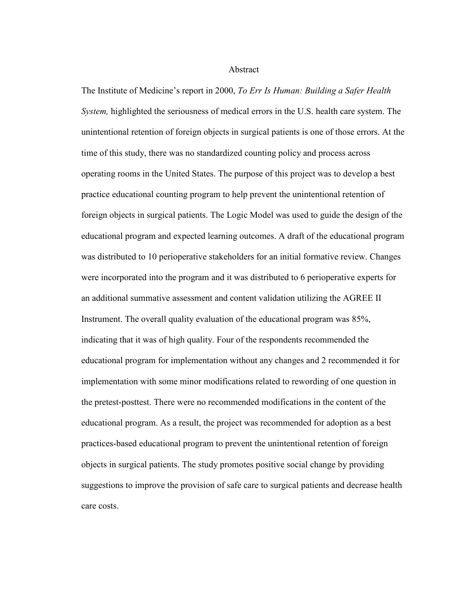Abstract

The Institute of Medicine's report in 2000, *To Err Is Human: Building a Safer Health System,* highlighted the seriousness of medical errors in the U.S. health care system. The unintentional retention of foreign objects in surgical patients is one of those errors. At the time of this study, there was no standardized counting policy and process across operating rooms in the United States. The purpose of this project was to develop a best practice educational counting program to help prevent the unintentional retention of foreign objects in surgical patients. The Logic Model was used to guide the design of the educational program and expected learning outcomes. A draft of the educational program was distributed to 10 perioperative stakeholders for an initial formative review. Changes were incorporated into the program and it was distributed to 6 perioperative experts for an additional summative assessment and content validation utilizing the AGREE II Instrument. The overall quality evaluation of the educational program was 85%, indicating that it was of high quality. Four of the respondents recommended the educational program for implementation without any changes and 2 recommended it for implementation with some minor modifications related to rewording of one question in the pretest-posttest. There were no recommended modifications in the content of the educational program. As a result, the project was recommended for adoption as a best practices-based educational program to prevent the unintentional retention of foreign objects in surgical patients. The study promotes positive social change by providing suggestions to improve the provision of safe care to surgical patients and decrease health care costs.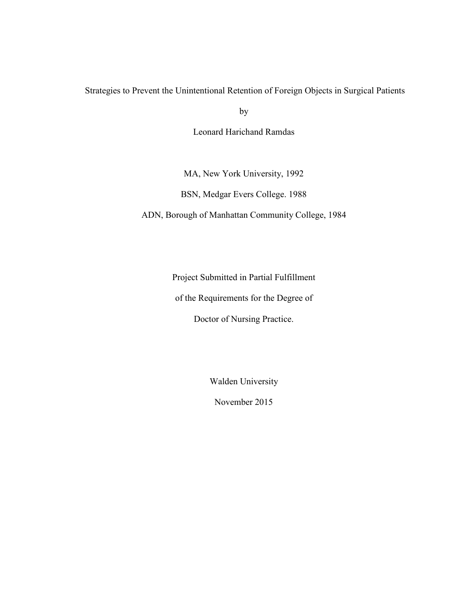### Strategies to Prevent the Unintentional Retention of Foreign Objects in Surgical Patients

by

Leonard Harichand Ramdas

MA, New York University, 1992

BSN, Medgar Evers College. 1988

ADN, Borough of Manhattan Community College, 1984

Project Submitted in Partial Fulfillment

of the Requirements for the Degree of

Doctor of Nursing Practice.

Walden University

November 2015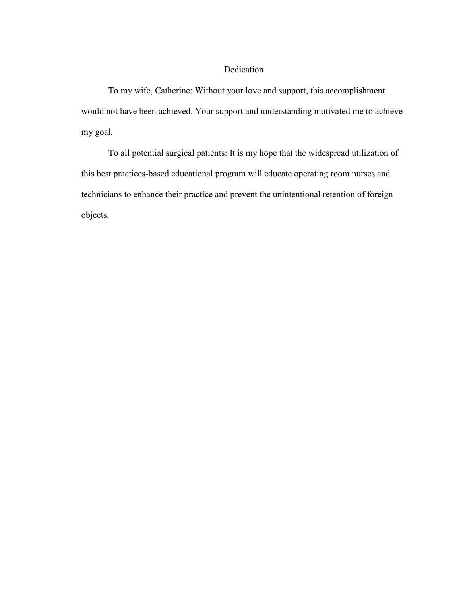#### Dedication

To my wife, Catherine: Without your love and support, this accomplishment would not have been achieved. Your support and understanding motivated me to achieve my goal.

To all potential surgical patients: It is my hope that the widespread utilization of this best practices-based educational program will educate operating room nurses and technicians to enhance their practice and prevent the unintentional retention of foreign objects.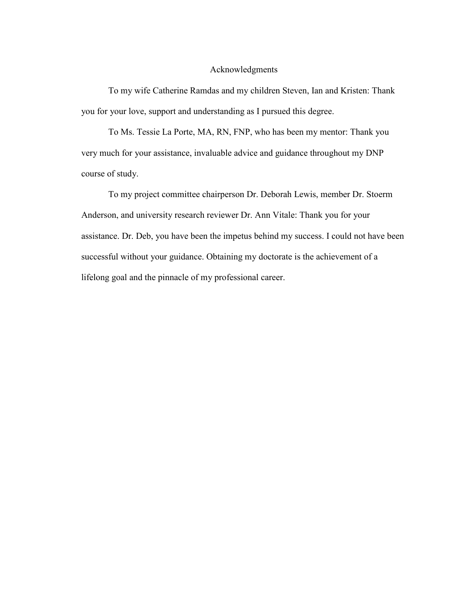#### Acknowledgments

To my wife Catherine Ramdas and my children Steven, Ian and Kristen: Thank you for your love, support and understanding as I pursued this degree.

To Ms. Tessie La Porte, MA, RN, FNP, who has been my mentor: Thank you very much for your assistance, invaluable advice and guidance throughout my DNP course of study.

To my project committee chairperson Dr. Deborah Lewis, member Dr. Stoerm Anderson, and university research reviewer Dr. Ann Vitale: Thank you for your assistance. Dr. Deb, you have been the impetus behind my success. I could not have been successful without your guidance. Obtaining my doctorate is the achievement of a lifelong goal and the pinnacle of my professional career.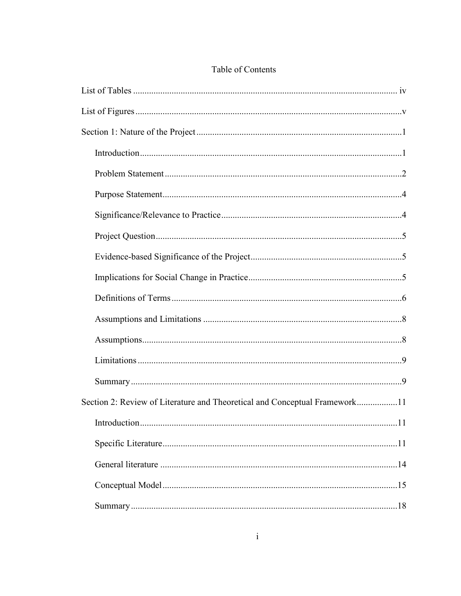| Section 2: Review of Literature and Theoretical and Conceptual Framework11 |  |
|----------------------------------------------------------------------------|--|
|                                                                            |  |
|                                                                            |  |
|                                                                            |  |
|                                                                            |  |
|                                                                            |  |

# Table of Contents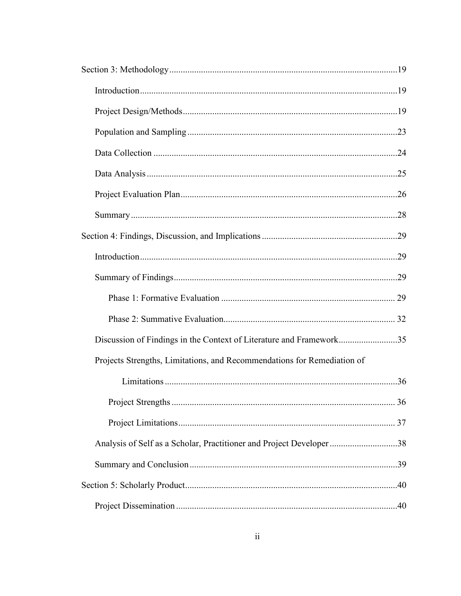| Discussion of Findings in the Context of Literature and Framework35     |  |
|-------------------------------------------------------------------------|--|
| Projects Strengths, Limitations, and Recommendations for Remediation of |  |
|                                                                         |  |
|                                                                         |  |
|                                                                         |  |
| Analysis of Self as a Scholar, Practitioner and Project Developer 38    |  |
|                                                                         |  |
|                                                                         |  |
|                                                                         |  |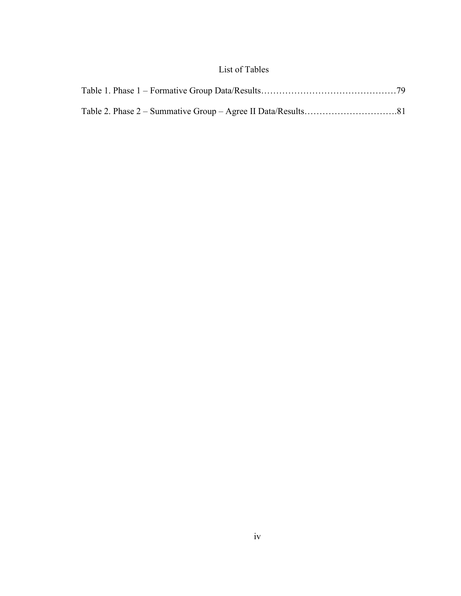## List of Tables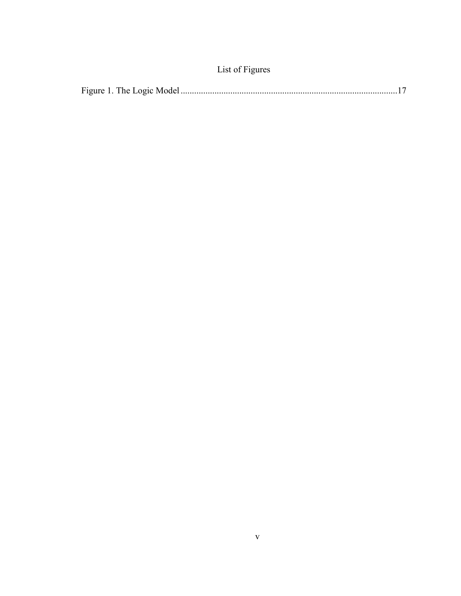| List of Figures |  |
|-----------------|--|
|-----------------|--|

|--|--|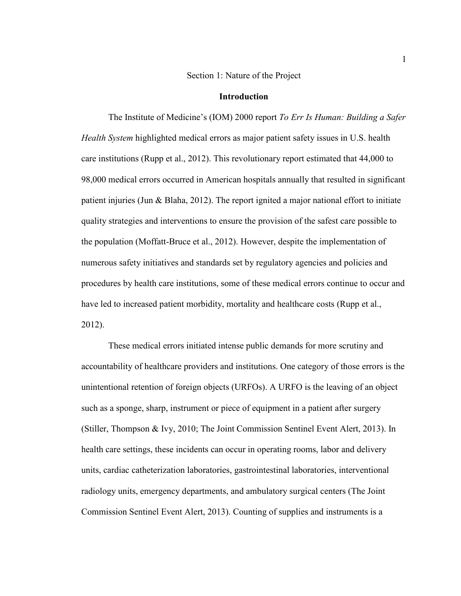#### Section 1: Nature of the Project

#### **Introduction**

The Institute of Medicine's (IOM) 2000 report *To Err Is Human: Building a Safer Health System* highlighted medical errors as major patient safety issues in U.S. health care institutions (Rupp et al., 2012). This revolutionary report estimated that 44,000 to 98,000 medical errors occurred in American hospitals annually that resulted in significant patient injuries (Jun & Blaha, 2012). The report ignited a major national effort to initiate quality strategies and interventions to ensure the provision of the safest care possible to the population (Moffatt-Bruce et al., 2012). However, despite the implementation of numerous safety initiatives and standards set by regulatory agencies and policies and procedures by health care institutions, some of these medical errors continue to occur and have led to increased patient morbidity, mortality and healthcare costs (Rupp et al., 2012).

These medical errors initiated intense public demands for more scrutiny and accountability of healthcare providers and institutions. One category of those errors is the unintentional retention of foreign objects (URFOs). A URFO is the leaving of an object such as a sponge, sharp, instrument or piece of equipment in a patient after surgery (Stiller, Thompson & Ivy, 2010; The Joint Commission Sentinel Event Alert, 2013). In health care settings, these incidents can occur in operating rooms, labor and delivery units, cardiac catheterization laboratories, gastrointestinal laboratories, interventional radiology units, emergency departments, and ambulatory surgical centers (The Joint Commission Sentinel Event Alert, 2013). Counting of supplies and instruments is a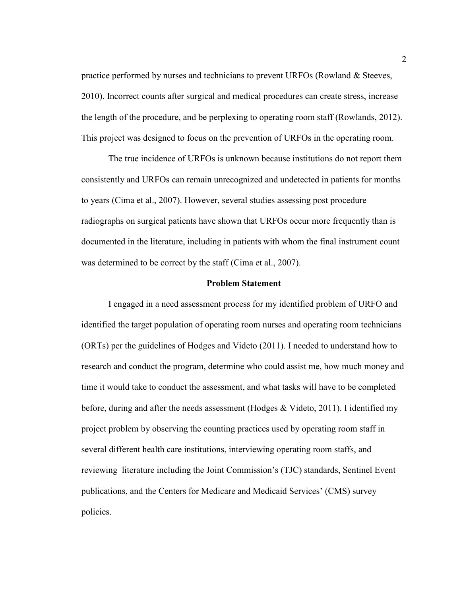practice performed by nurses and technicians to prevent URFOs (Rowland & Steeves, 2010). Incorrect counts after surgical and medical procedures can create stress, increase the length of the procedure, and be perplexing to operating room staff (Rowlands, 2012). This project was designed to focus on the prevention of URFOs in the operating room.

The true incidence of URFOs is unknown because institutions do not report them consistently and URFOs can remain unrecognized and undetected in patients for months to years (Cima et al., 2007). However, several studies assessing post procedure radiographs on surgical patients have shown that URFOs occur more frequently than is documented in the literature, including in patients with whom the final instrument count was determined to be correct by the staff (Cima et al., 2007).

#### **Problem Statement**

I engaged in a need assessment process for my identified problem of URFO and identified the target population of operating room nurses and operating room technicians (ORTs) per the guidelines of Hodges and Videto (2011). I needed to understand how to research and conduct the program, determine who could assist me, how much money and time it would take to conduct the assessment, and what tasks will have to be completed before, during and after the needs assessment (Hodges & Videto, 2011). I identified my project problem by observing the counting practices used by operating room staff in several different health care institutions, interviewing operating room staffs, and reviewing literature including the Joint Commission's (TJC) standards, Sentinel Event publications, and the Centers for Medicare and Medicaid Services' (CMS) survey policies.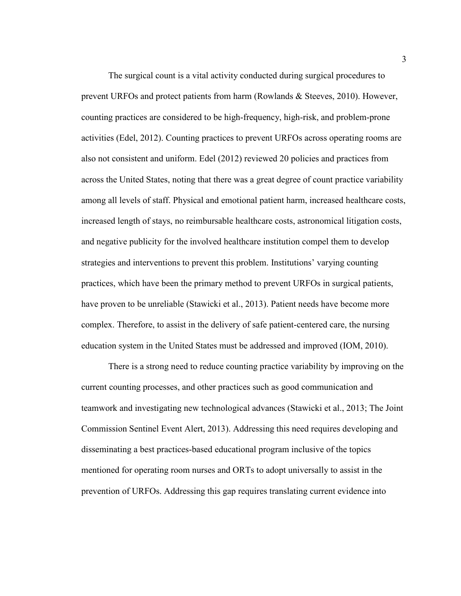The surgical count is a vital activity conducted during surgical procedures to prevent URFOs and protect patients from harm (Rowlands & Steeves, 2010). However, counting practices are considered to be high-frequency, high-risk, and problem-prone activities (Edel, 2012). Counting practices to prevent URFOs across operating rooms are also not consistent and uniform. Edel (2012) reviewed 20 policies and practices from across the United States, noting that there was a great degree of count practice variability among all levels of staff. Physical and emotional patient harm, increased healthcare costs, increased length of stays, no reimbursable healthcare costs, astronomical litigation costs, and negative publicity for the involved healthcare institution compel them to develop strategies and interventions to prevent this problem. Institutions' varying counting practices, which have been the primary method to prevent URFOs in surgical patients, have proven to be unreliable (Stawicki et al., 2013). Patient needs have become more complex. Therefore, to assist in the delivery of safe patient-centered care, the nursing education system in the United States must be addressed and improved (IOM, 2010).

There is a strong need to reduce counting practice variability by improving on the current counting processes, and other practices such as good communication and teamwork and investigating new technological advances (Stawicki et al., 2013; The Joint Commission Sentinel Event Alert, 2013). Addressing this need requires developing and disseminating a best practices-based educational program inclusive of the topics mentioned for operating room nurses and ORTs to adopt universally to assist in the prevention of URFOs. Addressing this gap requires translating current evidence into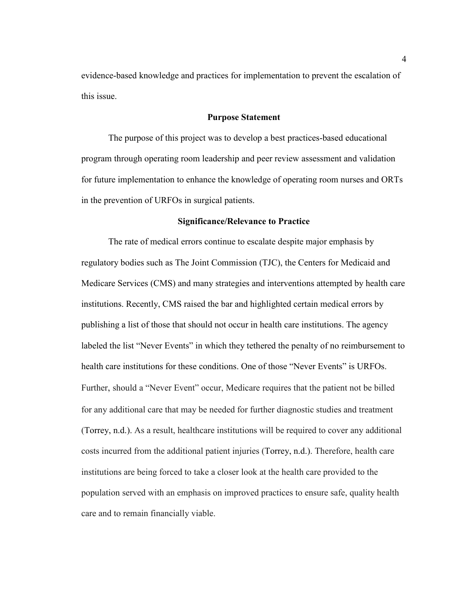evidence-based knowledge and practices for implementation to prevent the escalation of this issue.

#### **Purpose Statement**

The purpose of this project was to develop a best practices-based educational program through operating room leadership and peer review assessment and validation for future implementation to enhance the knowledge of operating room nurses and ORTs in the prevention of URFOs in surgical patients.

#### **Significance/Relevance to Practice**

The rate of medical errors continue to escalate despite major emphasis by regulatory bodies such as The Joint Commission (TJC), the Centers for Medicaid and Medicare Services (CMS) and many strategies and interventions attempted by health care institutions. Recently, CMS raised the bar and highlighted certain medical errors by publishing a list of those that should not occur in health care institutions. The agency labeled the list "Never Events" in which they tethered the penalty of no reimbursement to health care institutions for these conditions. One of those "Never Events" is URFOs. Further, should a "Never Event" occur, Medicare requires that the patient not be billed for any additional care that may be needed for further diagnostic studies and treatment (Torrey, n.d.). As a result, healthcare institutions will be required to cover any additional costs incurred from the additional patient injuries (Torrey, n.d.). Therefore, health care institutions are being forced to take a closer look at the health care provided to the population served with an emphasis on improved practices to ensure safe, quality health care and to remain financially viable.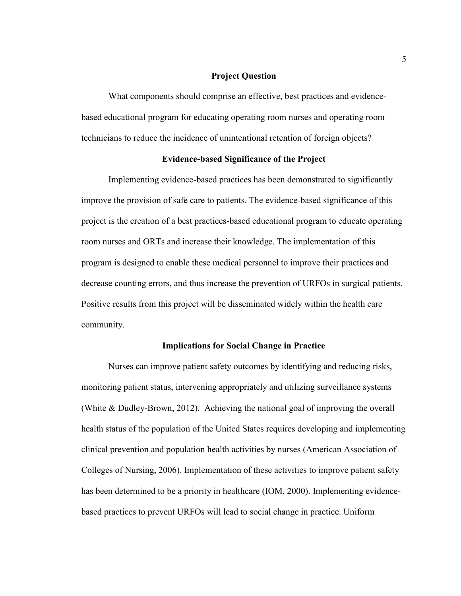#### **Project Question**

What components should comprise an effective, best practices and evidencebased educational program for educating operating room nurses and operating room technicians to reduce the incidence of unintentional retention of foreign objects?

#### **Evidence-based Significance of the Project**

Implementing evidence-based practices has been demonstrated to significantly improve the provision of safe care to patients. The evidence-based significance of this project is the creation of a best practices-based educational program to educate operating room nurses and ORTs and increase their knowledge. The implementation of this program is designed to enable these medical personnel to improve their practices and decrease counting errors, and thus increase the prevention of URFOs in surgical patients. Positive results from this project will be disseminated widely within the health care community.

#### **Implications for Social Change in Practice**

Nurses can improve patient safety outcomes by identifying and reducing risks, monitoring patient status, intervening appropriately and utilizing surveillance systems (White & Dudley-Brown, 2012). Achieving the national goal of improving the overall health status of the population of the United States requires developing and implementing clinical prevention and population health activities by nurses (American Association of Colleges of Nursing, 2006). Implementation of these activities to improve patient safety has been determined to be a priority in healthcare (IOM, 2000). Implementing evidencebased practices to prevent URFOs will lead to social change in practice. Uniform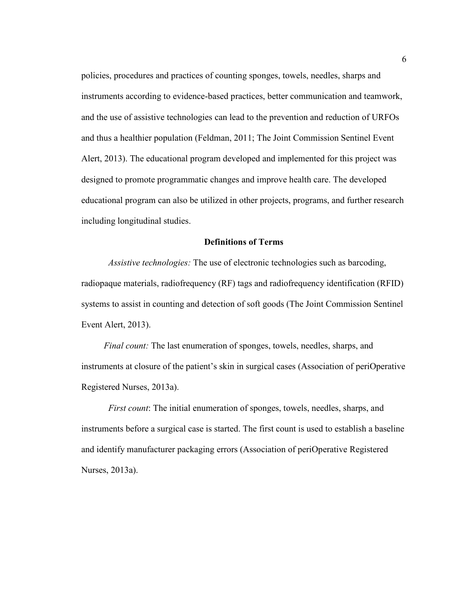policies, procedures and practices of counting sponges, towels, needles, sharps and instruments according to evidence-based practices, better communication and teamwork, and the use of assistive technologies can lead to the prevention and reduction of URFOs and thus a healthier population (Feldman, 2011; The Joint Commission Sentinel Event Alert, 2013). The educational program developed and implemented for this project was designed to promote programmatic changes and improve health care. The developed educational program can also be utilized in other projects, programs, and further research including longitudinal studies.

#### **Definitions of Terms**

*Assistive technologies:* The use of electronic technologies such as barcoding, radiopaque materials, radiofrequency (RF) tags and radiofrequency identification (RFID) systems to assist in counting and detection of soft goods (The Joint Commission Sentinel Event Alert, 2013).

*Final count:* The last enumeration of sponges, towels, needles, sharps, and instruments at closure of the patient's skin in surgical cases (Association of periOperative Registered Nurses, 2013a).

*First count:* The initial enumeration of sponges, towels, needles, sharps, and instruments before a surgical case is started. The first count is used to establish a baseline and identify manufacturer packaging errors (Association of periOperative Registered Nurses, 2013a).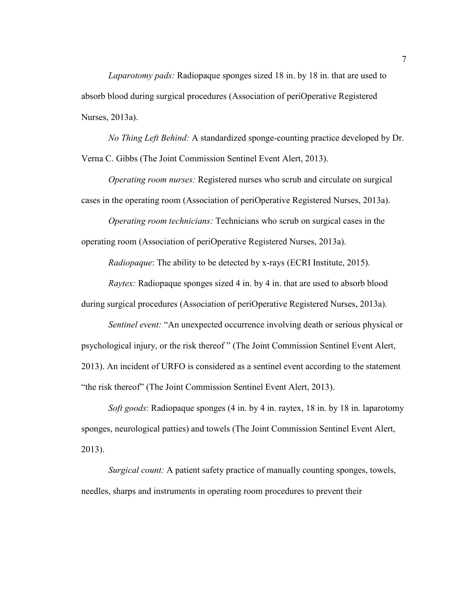*Laparotomy pads:* Radiopaque sponges sized 18 in. by 18 in. that are used to absorb blood during surgical procedures (Association of periOperative Registered Nurses, 2013a).

*No Thing Left Behind:* A standardized sponge-counting practice developed by Dr. Verna C. Gibbs (The Joint Commission Sentinel Event Alert, 2013).

*Operating room nurses:* Registered nurses who scrub and circulate on surgical cases in the operating room (Association of periOperative Registered Nurses, 2013a).

*Operating room technicians:* Technicians who scrub on surgical cases in the operating room (Association of periOperative Registered Nurses, 2013a).

*Radiopaque*: The ability to be detected by x-rays (ECRI Institute, 2015).

*Raytex:* Radiopaque sponges sized 4 in. by 4 in. that are used to absorb blood during surgical procedures (Association of periOperative Registered Nurses, 2013a).

*Sentinel event:* "An unexpected occurrence involving death or serious physical or psychological injury, or the risk thereof " (The Joint Commission Sentinel Event Alert, 2013). An incident of URFO is considered as a sentinel event according to the statement "the risk thereof" (The Joint Commission Sentinel Event Alert, 2013).

*Soft goods*: Radiopaque sponges (4 in. by 4 in. raytex, 18 in. by 18 in. laparotomy sponges, neurological patties) and towels (The Joint Commission Sentinel Event Alert, 2013).

*Surgical count:* A patient safety practice of manually counting sponges, towels, needles, sharps and instruments in operating room procedures to prevent their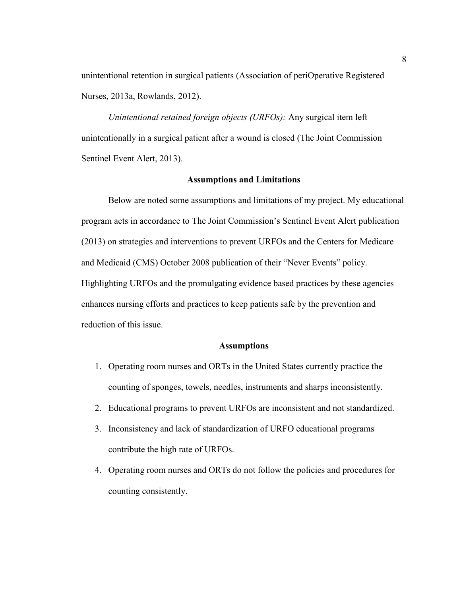unintentional retention in surgical patients (Association of periOperative Registered Nurses, 2013a, Rowlands, 2012).

*Unintentional retained foreign objects (URFOs):* Any surgical item left unintentionally in a surgical patient after a wound is closed (The Joint Commission Sentinel Event Alert, 2013).

#### **Assumptions and Limitations**

Below are noted some assumptions and limitations of my project. My educational program acts in accordance to The Joint Commission's Sentinel Event Alert publication (2013) on strategies and interventions to prevent URFOs and the Centers for Medicare and Medicaid (CMS) October 2008 publication of their "Never Events" policy. Highlighting URFOs and the promulgating evidence based practices by these agencies enhances nursing efforts and practices to keep patients safe by the prevention and reduction of this issue.

#### **Assumptions**

- 1. Operating room nurses and ORTs in the United States currently practice the counting of sponges, towels, needles, instruments and sharps inconsistently.
- 2. Educational programs to prevent URFOs are inconsistent and not standardized.
- 3. Inconsistency and lack of standardization of URFO educational programs contribute the high rate of URFOs.
- 4. Operating room nurses and ORTs do not follow the policies and procedures for counting consistently.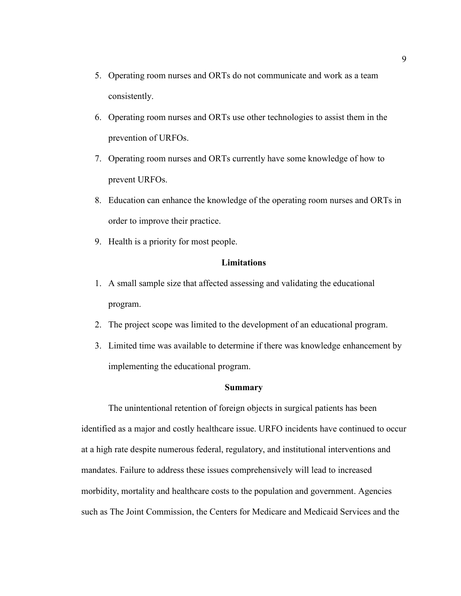- 5. Operating room nurses and ORTs do not communicate and work as a team consistently.
- 6. Operating room nurses and ORTs use other technologies to assist them in the prevention of URFOs.
- 7. Operating room nurses and ORTs currently have some knowledge of how to prevent URFOs.
- 8. Education can enhance the knowledge of the operating room nurses and ORTs in order to improve their practice.
- 9. Health is a priority for most people.

#### **Limitations**

- 1. A small sample size that affected assessing and validating the educational program.
- 2. The project scope was limited to the development of an educational program.
- 3. Limited time was available to determine if there was knowledge enhancement by implementing the educational program.

#### **Summary**

The unintentional retention of foreign objects in surgical patients has been identified as a major and costly healthcare issue. URFO incidents have continued to occur at a high rate despite numerous federal, regulatory, and institutional interventions and mandates. Failure to address these issues comprehensively will lead to increased morbidity, mortality and healthcare costs to the population and government. Agencies such as The Joint Commission, the Centers for Medicare and Medicaid Services and the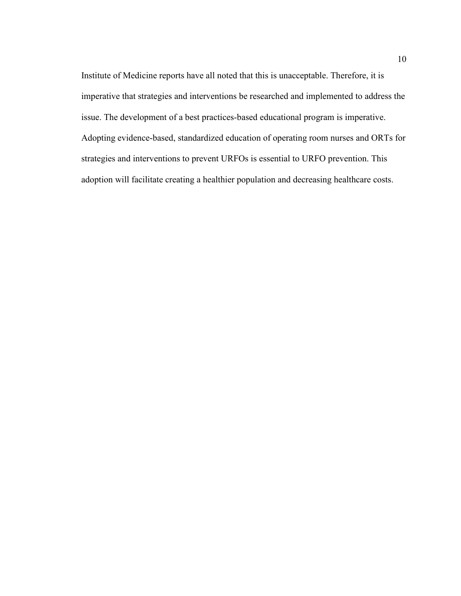Institute of Medicine reports have all noted that this is unacceptable. Therefore, it is imperative that strategies and interventions be researched and implemented to address the issue. The development of a best practices-based educational program is imperative. Adopting evidence-based, standardized education of operating room nurses and ORTs for strategies and interventions to prevent URFOs is essential to URFO prevention. This adoption will facilitate creating a healthier population and decreasing healthcare costs.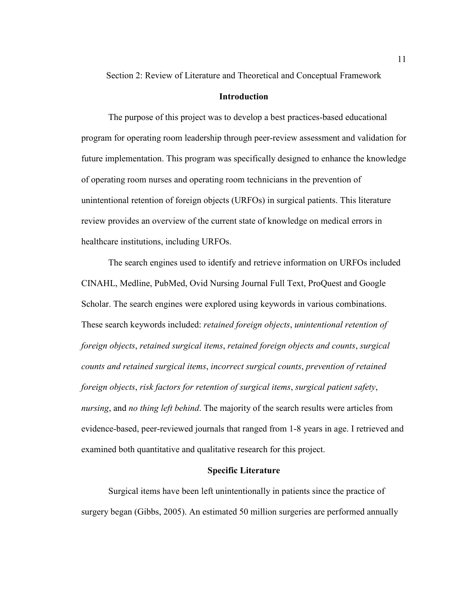Section 2: Review of Literature and Theoretical and Conceptual Framework

#### **Introduction**

The purpose of this project was to develop a best practices-based educational program for operating room leadership through peer-review assessment and validation for future implementation. This program was specifically designed to enhance the knowledge of operating room nurses and operating room technicians in the prevention of unintentional retention of foreign objects (URFOs) in surgical patients. This literature review provides an overview of the current state of knowledge on medical errors in healthcare institutions, including URFOs.

The search engines used to identify and retrieve information on URFOs included CINAHL, Medline, PubMed, Ovid Nursing Journal Full Text, ProQuest and Google Scholar. The search engines were explored using keywords in various combinations. These search keywords included: *retained foreign objects*, *unintentional retention of foreign objects*, *retained surgical items*, *retained foreign objects and counts*, *surgical counts and retained surgical items*, *incorrect surgical counts*, *prevention of retained foreign objects*, *risk factors for retention of surgical items*, *surgical patient safety*, *nursing*, and *no thing left behind*. The majority of the search results were articles from evidence-based, peer-reviewed journals that ranged from 1-8 years in age. I retrieved and examined both quantitative and qualitative research for this project.

#### **Specific Literature**

Surgical items have been left unintentionally in patients since the practice of surgery began (Gibbs, 2005). An estimated 50 million surgeries are performed annually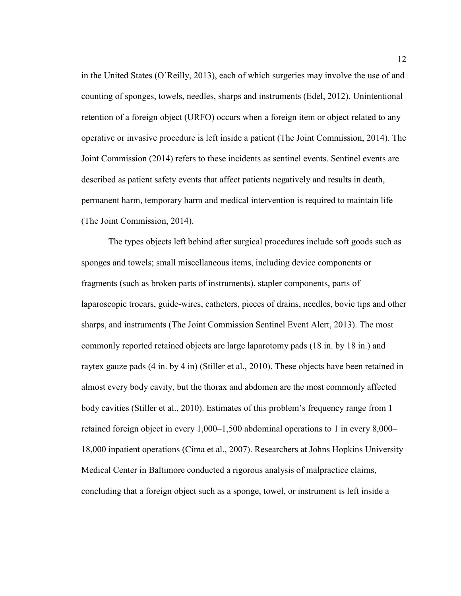in the United States (O'Reilly, 2013), each of which surgeries may involve the use of and counting of sponges, towels, needles, sharps and instruments (Edel, 2012). Unintentional retention of a foreign object (URFO) occurs when a foreign item or object related to any operative or invasive procedure is left inside a patient (The Joint Commission, 2014). The Joint Commission (2014) refers to these incidents as sentinel events. Sentinel events are described as patient safety events that affect patients negatively and results in death, permanent harm, temporary harm and medical intervention is required to maintain life (The Joint Commission, 2014).

The types objects left behind after surgical procedures include soft goods such as sponges and towels; small miscellaneous items, including device components or fragments (such as broken parts of instruments), stapler components, parts of laparoscopic trocars, guide-wires, catheters, pieces of drains, needles, bovie tips and other sharps, and instruments (The Joint Commission Sentinel Event Alert, 2013). The most commonly reported retained objects are large laparotomy pads (18 in. by 18 in.) and raytex gauze pads (4 in. by 4 in) (Stiller et al., 2010). These objects have been retained in almost every body cavity, but the thorax and abdomen are the most commonly affected body cavities (Stiller et al., 2010). Estimates of this problem's frequency range from 1 retained foreign object in every 1,000–1,500 abdominal operations to 1 in every 8,000– 18,000 inpatient operations (Cima et al., 2007). Researchers at Johns Hopkins University Medical Center in Baltimore conducted a rigorous analysis of malpractice claims, concluding that a foreign object such as a sponge, towel, or instrument is left inside a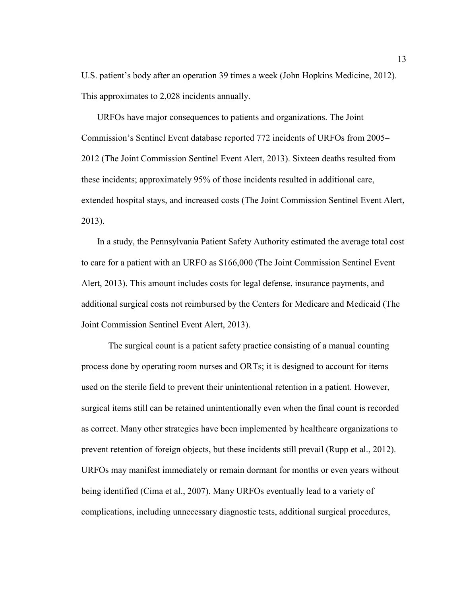U.S. patient's body after an operation 39 times a week (John Hopkins Medicine, 2012). This approximates to 2,028 incidents annually.

 URFOs have major consequences to patients and organizations. The Joint Commission's Sentinel Event database reported 772 incidents of URFOs from 2005– 2012 (The Joint Commission Sentinel Event Alert, 2013). Sixteen deaths resulted from these incidents; approximately 95% of those incidents resulted in additional care, extended hospital stays, and increased costs (The Joint Commission Sentinel Event Alert, 2013).

 In a study, the Pennsylvania Patient Safety Authority estimated the average total cost to care for a patient with an URFO as \$166,000 (The Joint Commission Sentinel Event Alert, 2013). This amount includes costs for legal defense, insurance payments, and additional surgical costs not reimbursed by the Centers for Medicare and Medicaid (The Joint Commission Sentinel Event Alert, 2013).

The surgical count is a patient safety practice consisting of a manual counting process done by operating room nurses and ORTs; it is designed to account for items used on the sterile field to prevent their unintentional retention in a patient. However, surgical items still can be retained unintentionally even when the final count is recorded as correct. Many other strategies have been implemented by healthcare organizations to prevent retention of foreign objects, but these incidents still prevail (Rupp et al., 2012). URFOs may manifest immediately or remain dormant for months or even years without being identified (Cima et al., 2007). Many URFOs eventually lead to a variety of complications, including unnecessary diagnostic tests, additional surgical procedures,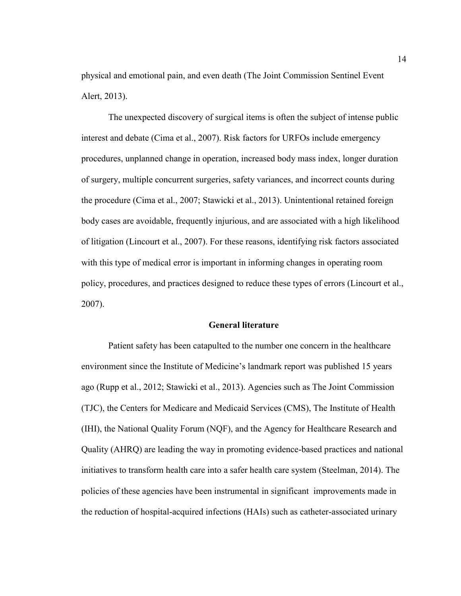physical and emotional pain, and even death (The Joint Commission Sentinel Event Alert, 2013).

The unexpected discovery of surgical items is often the subject of intense public interest and debate (Cima et al., 2007). Risk factors for URFOs include emergency procedures, unplanned change in operation, increased body mass index, longer duration of surgery, multiple concurrent surgeries, safety variances, and incorrect counts during the procedure (Cima et al., 2007; Stawicki et al., 2013). Unintentional retained foreign body cases are avoidable, frequently injurious, and are associated with a high likelihood of litigation (Lincourt et al., 2007). For these reasons, identifying risk factors associated with this type of medical error is important in informing changes in operating room policy, procedures, and practices designed to reduce these types of errors (Lincourt et al., 2007).

#### **General literature**

Patient safety has been catapulted to the number one concern in the healthcare environment since the Institute of Medicine's landmark report was published 15 years ago (Rupp et al., 2012; Stawicki et al., 2013). Agencies such as The Joint Commission (TJC), the Centers for Medicare and Medicaid Services (CMS), The Institute of Health (IHI), the National Quality Forum (NQF), and the Agency for Healthcare Research and Quality (AHRQ) are leading the way in promoting evidence-based practices and national initiatives to transform health care into a safer health care system (Steelman, 2014). The policies of these agencies have been instrumental in significant improvements made in the reduction of hospital-acquired infections (HAIs) such as catheter-associated urinary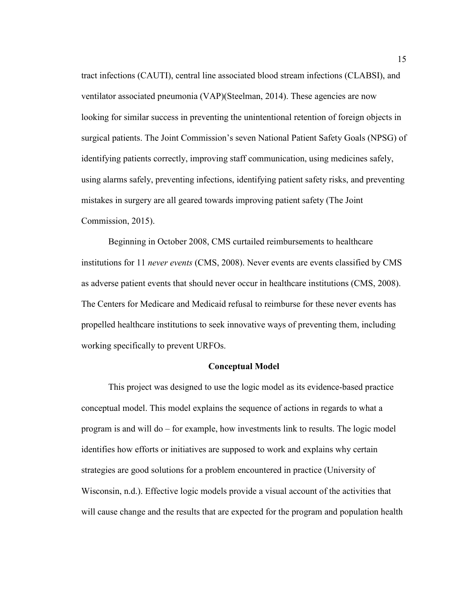tract infections (CAUTI), central line associated blood stream infections (CLABSI), and ventilator associated pneumonia (VAP)(Steelman, 2014). These agencies are now looking for similar success in preventing the unintentional retention of foreign objects in surgical patients. The Joint Commission's seven National Patient Safety Goals (NPSG) of identifying patients correctly, improving staff communication, using medicines safely, using alarms safely, preventing infections, identifying patient safety risks, and preventing mistakes in surgery are all geared towards improving patient safety (The Joint Commission, 2015).

Beginning in October 2008, CMS curtailed reimbursements to healthcare institutions for 11 *never events* (CMS, 2008). Never events are events classified by CMS as adverse patient events that should never occur in healthcare institutions (CMS, 2008). The Centers for Medicare and Medicaid refusal to reimburse for these never events has propelled healthcare institutions to seek innovative ways of preventing them, including working specifically to prevent URFOs.

#### **Conceptual Model**

This project was designed to use the logic model as its evidence-based practice conceptual model. This model explains the sequence of actions in regards to what a program is and will do – for example, how investments link to results. The logic model identifies how efforts or initiatives are supposed to work and explains why certain strategies are good solutions for a problem encountered in practice (University of Wisconsin, n.d.). Effective logic models provide a visual account of the activities that will cause change and the results that are expected for the program and population health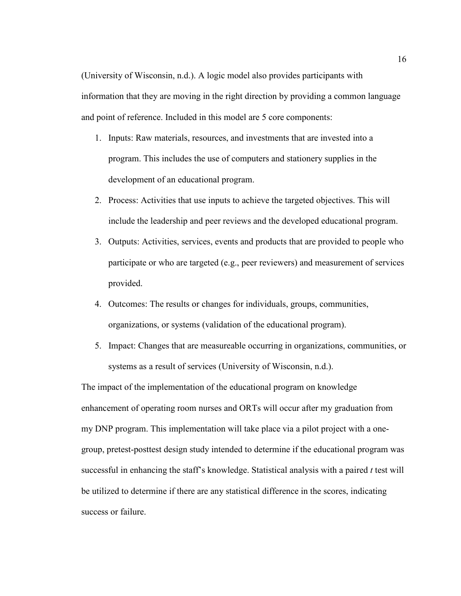(University of Wisconsin, n.d.). A logic model also provides participants with information that they are moving in the right direction by providing a common language and point of reference. Included in this model are 5 core components:

- 1. Inputs: Raw materials, resources, and investments that are invested into a program. This includes the use of computers and stationery supplies in the development of an educational program.
- 2. Process: Activities that use inputs to achieve the targeted objectives. This will include the leadership and peer reviews and the developed educational program.
- 3. Outputs: Activities, services, events and products that are provided to people who participate or who are targeted (e.g., peer reviewers) and measurement of services provided.
- 4. Outcomes: The results or changes for individuals, groups, communities, organizations, or systems (validation of the educational program).
- 5. Impact: Changes that are measureable occurring in organizations, communities, or systems as a result of services (University of Wisconsin, n.d.).

The impact of the implementation of the educational program on knowledge enhancement of operating room nurses and ORTs will occur after my graduation from my DNP program. This implementation will take place via a pilot project with a onegroup, pretest-posttest design study intended to determine if the educational program was successful in enhancing the staff's knowledge. Statistical analysis with a paired *t* test will be utilized to determine if there are any statistical difference in the scores, indicating success or failure.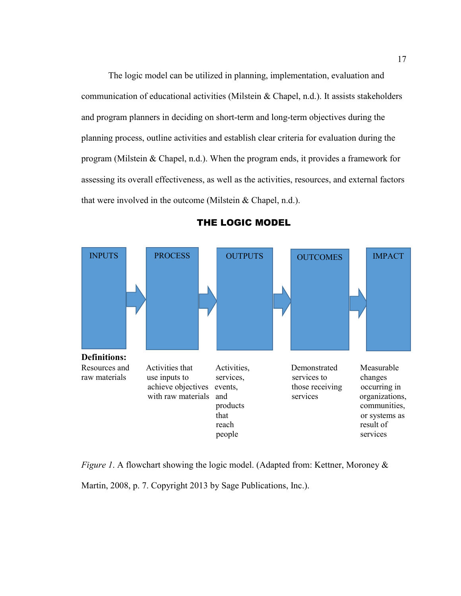The logic model can be utilized in planning, implementation, evaluation and communication of educational activities (Milstein & Chapel, n.d.). It assists stakeholders and program planners in deciding on short-term and long-term objectives during the planning process, outline activities and establish clear criteria for evaluation during the program (Milstein & Chapel, n.d.). When the program ends, it provides a framework for assessing its overall effectiveness, as well as the activities, resources, and external factors that were involved in the outcome (Milstein & Chapel, n.d.).



#### THE LOGIC MODEL

*Figure 1.* A flowchart showing the logic model. (Adapted from: Kettner, Moroney & Martin, 2008, p. 7. Copyright 2013 by Sage Publications, Inc.).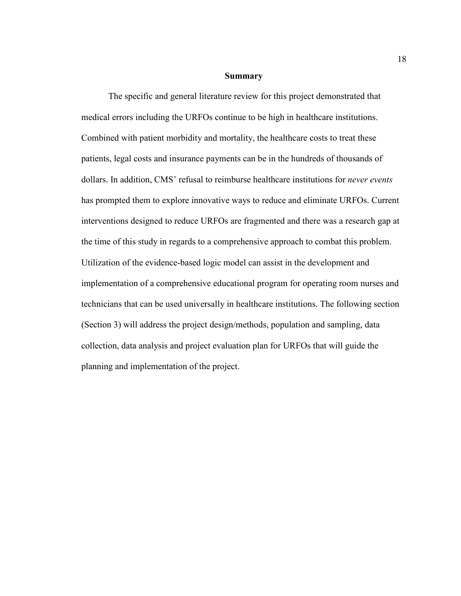#### **Summary**

The specific and general literature review for this project demonstrated that medical errors including the URFOs continue to be high in healthcare institutions. Combined with patient morbidity and mortality, the healthcare costs to treat these patients, legal costs and insurance payments can be in the hundreds of thousands of dollars. In addition, CMS' refusal to reimburse healthcare institutions for *never events* has prompted them to explore innovative ways to reduce and eliminate URFOs. Current interventions designed to reduce URFOs are fragmented and there was a research gap at the time of this study in regards to a comprehensive approach to combat this problem. Utilization of the evidence-based logic model can assist in the development and implementation of a comprehensive educational program for operating room nurses and technicians that can be used universally in healthcare institutions. The following section (Section 3) will address the project design/methods, population and sampling, data collection, data analysis and project evaluation plan for URFOs that will guide the planning and implementation of the project.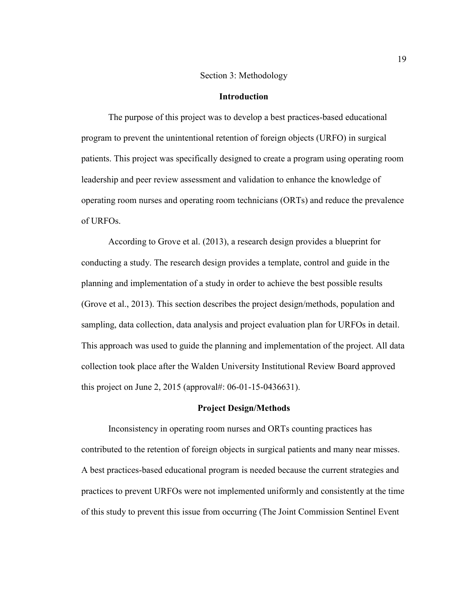#### Section 3: Methodology

#### **Introduction**

The purpose of this project was to develop a best practices-based educational program to prevent the unintentional retention of foreign objects (URFO) in surgical patients. This project was specifically designed to create a program using operating room leadership and peer review assessment and validation to enhance the knowledge of operating room nurses and operating room technicians (ORTs) and reduce the prevalence of URFOs.

According to Grove et al. (2013), a research design provides a blueprint for conducting a study. The research design provides a template, control and guide in the planning and implementation of a study in order to achieve the best possible results (Grove et al., 2013). This section describes the project design/methods, population and sampling, data collection, data analysis and project evaluation plan for URFOs in detail. This approach was used to guide the planning and implementation of the project. All data collection took place after the Walden University Institutional Review Board approved this project on June 2, 2015 (approval#: 06-01-15-0436631).

#### **Project Design/Methods**

Inconsistency in operating room nurses and ORTs counting practices has contributed to the retention of foreign objects in surgical patients and many near misses. A best practices-based educational program is needed because the current strategies and practices to prevent URFOs were not implemented uniformly and consistently at the time of this study to prevent this issue from occurring (The Joint Commission Sentinel Event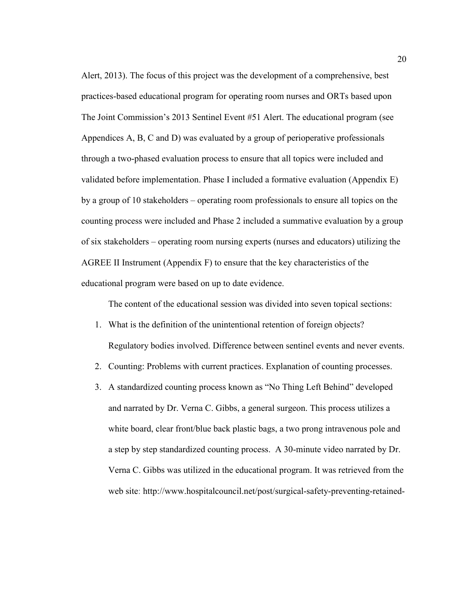Alert, 2013). The focus of this project was the development of a comprehensive, best practices-based educational program for operating room nurses and ORTs based upon The Joint Commission's 2013 Sentinel Event #51 Alert. The educational program (see Appendices A, B, C and D) was evaluated by a group of perioperative professionals through a two-phased evaluation process to ensure that all topics were included and validated before implementation. Phase I included a formative evaluation (Appendix E) by a group of 10 stakeholders – operating room professionals to ensure all topics on the counting process were included and Phase 2 included a summative evaluation by a group of six stakeholders – operating room nursing experts (nurses and educators) utilizing the AGREE II Instrument (Appendix F) to ensure that the key characteristics of the educational program were based on up to date evidence.

The content of the educational session was divided into seven topical sections:

- 1. What is the definition of the unintentional retention of foreign objects? Regulatory bodies involved. Difference between sentinel events and never events.
- 2. Counting: Problems with current practices. Explanation of counting processes.
- 3. A standardized counting process known as "No Thing Left Behind" developed and narrated by Dr. Verna C. Gibbs, a general surgeon. This process utilizes a white board, clear front/blue back plastic bags, a two prong intravenous pole and a step by step standardized counting process. A 30-minute video narrated by Dr. Verna C. Gibbs was utilized in the educational program. It was retrieved from the web site: http://www.hospitalcouncil.net/post/surgical-safety-preventing-retained-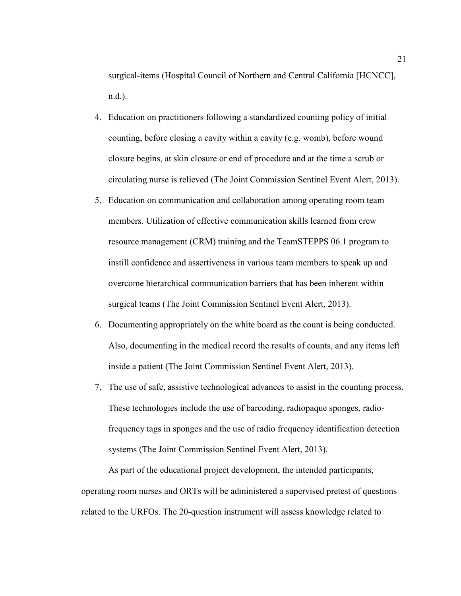surgical-items (Hospital Council of Northern and Central California [HCNCC], n.d.).

- 4. Education on practitioners following a standardized counting policy of initial counting, before closing a cavity within a cavity (e.g. womb), before wound closure begins, at skin closure or end of procedure and at the time a scrub or circulating nurse is relieved (The Joint Commission Sentinel Event Alert, 2013).
- 5. Education on communication and collaboration among operating room team members. Utilization of effective communication skills learned from crew resource management (CRM) training and the TeamSTEPPS 06.1 program to instill confidence and assertiveness in various team members to speak up and overcome hierarchical communication barriers that has been inherent within surgical teams (The Joint Commission Sentinel Event Alert, 2013).
- 6. Documenting appropriately on the white board as the count is being conducted. Also, documenting in the medical record the results of counts, and any items left inside a patient (The Joint Commission Sentinel Event Alert, 2013).
- 7. The use of safe, assistive technological advances to assist in the counting process. These technologies include the use of barcoding, radiopaque sponges, radiofrequency tags in sponges and the use of radio frequency identification detection systems (The Joint Commission Sentinel Event Alert, 2013).

As part of the educational project development, the intended participants, operating room nurses and ORTs will be administered a supervised pretest of questions related to the URFOs. The 20-question instrument will assess knowledge related to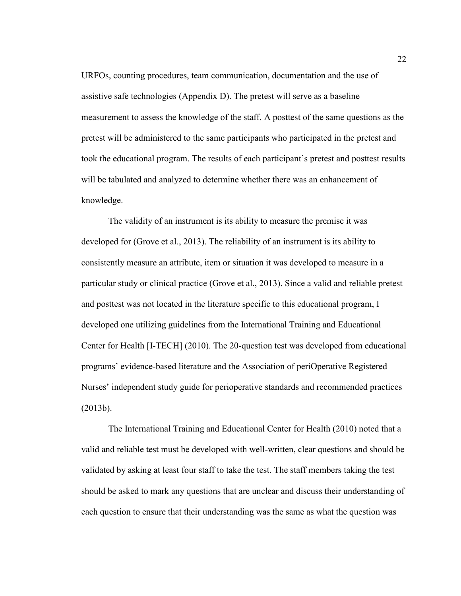URFOs, counting procedures, team communication, documentation and the use of assistive safe technologies (Appendix D). The pretest will serve as a baseline measurement to assess the knowledge of the staff. A posttest of the same questions as the pretest will be administered to the same participants who participated in the pretest and took the educational program. The results of each participant's pretest and posttest results will be tabulated and analyzed to determine whether there was an enhancement of knowledge.

The validity of an instrument is its ability to measure the premise it was developed for (Grove et al., 2013). The reliability of an instrument is its ability to consistently measure an attribute, item or situation it was developed to measure in a particular study or clinical practice (Grove et al., 2013). Since a valid and reliable pretest and posttest was not located in the literature specific to this educational program, I developed one utilizing guidelines from the International Training and Educational Center for Health [I-TECH] (2010). The 20-question test was developed from educational programs' evidence-based literature and the Association of periOperative Registered Nurses' independent study guide for perioperative standards and recommended practices (2013b).

The International Training and Educational Center for Health (2010) noted that a valid and reliable test must be developed with well-written, clear questions and should be validated by asking at least four staff to take the test. The staff members taking the test should be asked to mark any questions that are unclear and discuss their understanding of each question to ensure that their understanding was the same as what the question was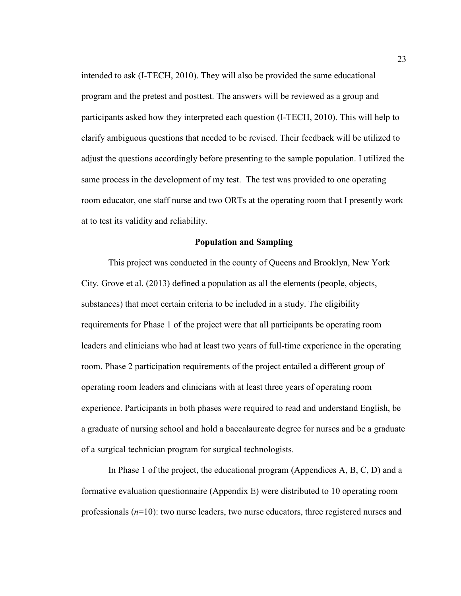intended to ask (I-TECH, 2010). They will also be provided the same educational program and the pretest and posttest. The answers will be reviewed as a group and participants asked how they interpreted each question (I-TECH, 2010). This will help to clarify ambiguous questions that needed to be revised. Their feedback will be utilized to adjust the questions accordingly before presenting to the sample population. I utilized the same process in the development of my test. The test was provided to one operating room educator, one staff nurse and two ORTs at the operating room that I presently work at to test its validity and reliability.

#### **Population and Sampling**

This project was conducted in the county of Queens and Brooklyn, New York City. Grove et al. (2013) defined a population as all the elements (people, objects, substances) that meet certain criteria to be included in a study. The eligibility requirements for Phase 1 of the project were that all participants be operating room leaders and clinicians who had at least two years of full-time experience in the operating room. Phase 2 participation requirements of the project entailed a different group of operating room leaders and clinicians with at least three years of operating room experience. Participants in both phases were required to read and understand English, be a graduate of nursing school and hold a baccalaureate degree for nurses and be a graduate of a surgical technician program for surgical technologists.

In Phase 1 of the project, the educational program (Appendices A, B, C, D) and a formative evaluation questionnaire (Appendix E) were distributed to 10 operating room professionals (*n*=10): two nurse leaders, two nurse educators, three registered nurses and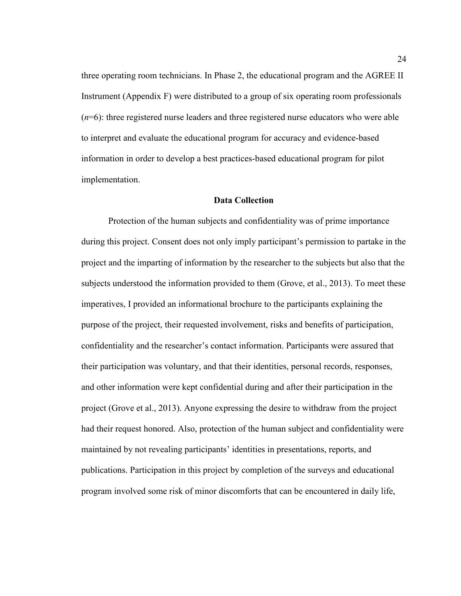three operating room technicians. In Phase 2, the educational program and the AGREE II Instrument (Appendix F) were distributed to a group of six operating room professionals (*n*=6): three registered nurse leaders and three registered nurse educators who were able to interpret and evaluate the educational program for accuracy and evidence-based information in order to develop a best practices-based educational program for pilot implementation.

#### **Data Collection**

 Protection of the human subjects and confidentiality was of prime importance during this project. Consent does not only imply participant's permission to partake in the project and the imparting of information by the researcher to the subjects but also that the subjects understood the information provided to them (Grove, et al., 2013). To meet these imperatives, I provided an informational brochure to the participants explaining the purpose of the project, their requested involvement, risks and benefits of participation, confidentiality and the researcher's contact information. Participants were assured that their participation was voluntary, and that their identities, personal records, responses, and other information were kept confidential during and after their participation in the project (Grove et al., 2013). Anyone expressing the desire to withdraw from the project had their request honored. Also, protection of the human subject and confidentiality were maintained by not revealing participants' identities in presentations, reports, and publications. Participation in this project by completion of the surveys and educational program involved some risk of minor discomforts that can be encountered in daily life,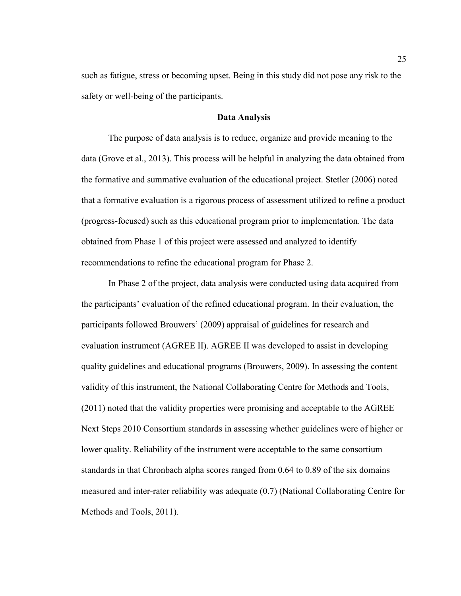such as fatigue, stress or becoming upset. Being in this study did not pose any risk to the safety or well-being of the participants.

## **Data Analysis**

The purpose of data analysis is to reduce, organize and provide meaning to the data (Grove et al., 2013). This process will be helpful in analyzing the data obtained from the formative and summative evaluation of the educational project. Stetler (2006) noted that a formative evaluation is a rigorous process of assessment utilized to refine a product (progress-focused) such as this educational program prior to implementation. The data obtained from Phase 1 of this project were assessed and analyzed to identify recommendations to refine the educational program for Phase 2.

In Phase 2 of the project, data analysis were conducted using data acquired from the participants' evaluation of the refined educational program. In their evaluation, the participants followed Brouwers' (2009) appraisal of guidelines for research and evaluation instrument (AGREE II). AGREE II was developed to assist in developing quality guidelines and educational programs (Brouwers, 2009). In assessing the content validity of this instrument, the National Collaborating Centre for Methods and Tools, (2011) noted that the validity properties were promising and acceptable to the AGREE Next Steps 2010 Consortium standards in assessing whether guidelines were of higher or lower quality. Reliability of the instrument were acceptable to the same consortium standards in that Chronbach alpha scores ranged from 0.64 to 0.89 of the six domains measured and inter-rater reliability was adequate (0.7) (National Collaborating Centre for Methods and Tools, 2011).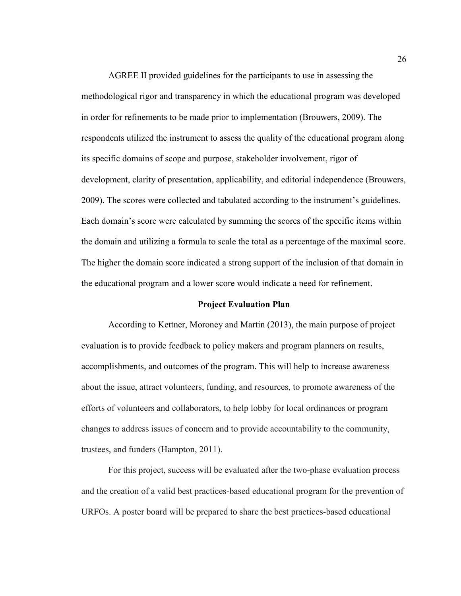AGREE II provided guidelines for the participants to use in assessing the methodological rigor and transparency in which the educational program was developed in order for refinements to be made prior to implementation (Brouwers, 2009). The respondents utilized the instrument to assess the quality of the educational program along its specific domains of scope and purpose, stakeholder involvement, rigor of development, clarity of presentation, applicability, and editorial independence (Brouwers, 2009). The scores were collected and tabulated according to the instrument's guidelines. Each domain's score were calculated by summing the scores of the specific items within the domain and utilizing a formula to scale the total as a percentage of the maximal score. The higher the domain score indicated a strong support of the inclusion of that domain in the educational program and a lower score would indicate a need for refinement.

#### **Project Evaluation Plan**

According to Kettner, Moroney and Martin (2013), the main purpose of project evaluation is to provide feedback to policy makers and program planners on results, accomplishments, and outcomes of the program. This will help to increase awareness about the issue, attract volunteers, funding, and resources, to promote awareness of the efforts of volunteers and collaborators, to help lobby for local ordinances or program changes to address issues of concern and to provide accountability to the community, trustees, and funders (Hampton, 2011).

For this project, success will be evaluated after the two-phase evaluation process and the creation of a valid best practices-based educational program for the prevention of URFOs. A poster board will be prepared to share the best practices-based educational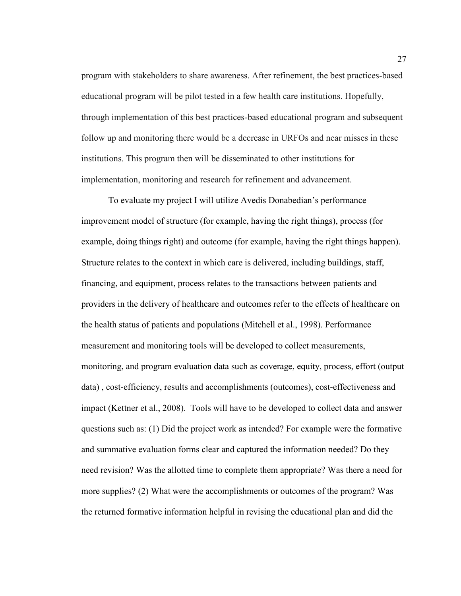program with stakeholders to share awareness. After refinement, the best practices-based educational program will be pilot tested in a few health care institutions. Hopefully, through implementation of this best practices-based educational program and subsequent follow up and monitoring there would be a decrease in URFOs and near misses in these institutions. This program then will be disseminated to other institutions for implementation, monitoring and research for refinement and advancement.

To evaluate my project I will utilize Avedis Donabedian's performance improvement model of structure (for example, having the right things), process (for example, doing things right) and outcome (for example, having the right things happen). Structure relates to the context in which care is delivered, including buildings, staff, financing, and equipment, process relates to the transactions between patients and providers in the delivery of healthcare and outcomes refer to the effects of healthcare on the health status of patients and populations (Mitchell et al., 1998). Performance measurement and monitoring tools will be developed to collect measurements, monitoring, and program evaluation data such as coverage, equity, process, effort (output data) , cost-efficiency, results and accomplishments (outcomes), cost-effectiveness and impact (Kettner et al., 2008). Tools will have to be developed to collect data and answer questions such as: (1) Did the project work as intended? For example were the formative and summative evaluation forms clear and captured the information needed? Do they need revision? Was the allotted time to complete them appropriate? Was there a need for more supplies? (2) What were the accomplishments or outcomes of the program? Was the returned formative information helpful in revising the educational plan and did the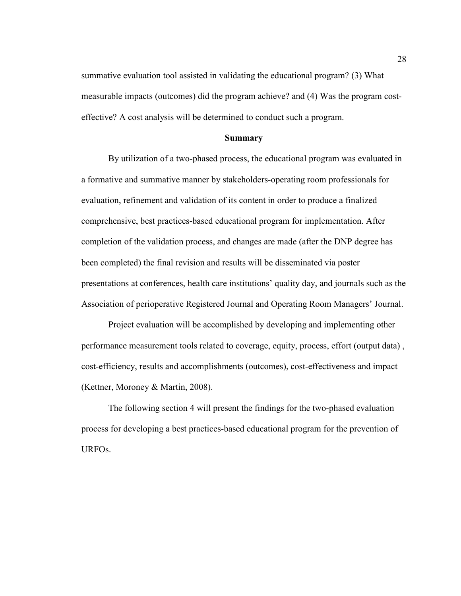summative evaluation tool assisted in validating the educational program? (3) What measurable impacts (outcomes) did the program achieve? and (4) Was the program costeffective? A cost analysis will be determined to conduct such a program.

## **Summary**

By utilization of a two-phased process, the educational program was evaluated in a formative and summative manner by stakeholders-operating room professionals for evaluation, refinement and validation of its content in order to produce a finalized comprehensive, best practices-based educational program for implementation. After completion of the validation process, and changes are made (after the DNP degree has been completed) the final revision and results will be disseminated via poster presentations at conferences, health care institutions' quality day, and journals such as the Association of perioperative Registered Journal and Operating Room Managers' Journal.

Project evaluation will be accomplished by developing and implementing other performance measurement tools related to coverage, equity, process, effort (output data) , cost-efficiency, results and accomplishments (outcomes), cost-effectiveness and impact (Kettner, Moroney & Martin, 2008).

The following section 4 will present the findings for the two-phased evaluation process for developing a best practices-based educational program for the prevention of URFOs.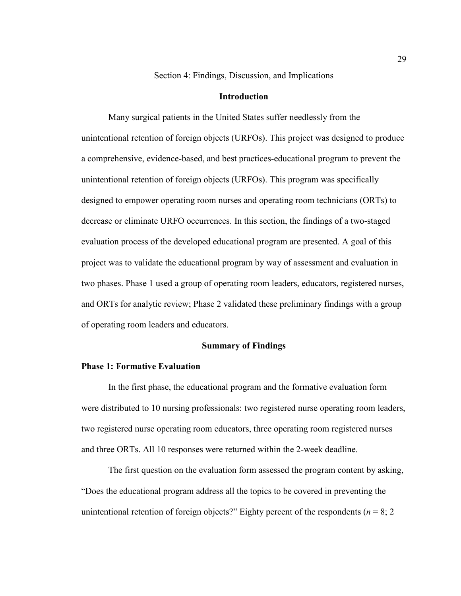Section 4: Findings, Discussion, and Implications

## **Introduction**

Many surgical patients in the United States suffer needlessly from the unintentional retention of foreign objects (URFOs). This project was designed to produce a comprehensive, evidence-based, and best practices-educational program to prevent the unintentional retention of foreign objects (URFOs). This program was specifically designed to empower operating room nurses and operating room technicians (ORTs) to decrease or eliminate URFO occurrences. In this section, the findings of a two-staged evaluation process of the developed educational program are presented. A goal of this project was to validate the educational program by way of assessment and evaluation in two phases. Phase 1 used a group of operating room leaders, educators, registered nurses, and ORTs for analytic review; Phase 2 validated these preliminary findings with a group of operating room leaders and educators.

## **Summary of Findings**

#### **Phase 1: Formative Evaluation**

In the first phase, the educational program and the formative evaluation form were distributed to 10 nursing professionals: two registered nurse operating room leaders, two registered nurse operating room educators, three operating room registered nurses and three ORTs. All 10 responses were returned within the 2-week deadline.

The first question on the evaluation form assessed the program content by asking, "Does the educational program address all the topics to be covered in preventing the unintentional retention of foreign objects?" Eighty percent of the respondents ( $n = 8$ ; 2)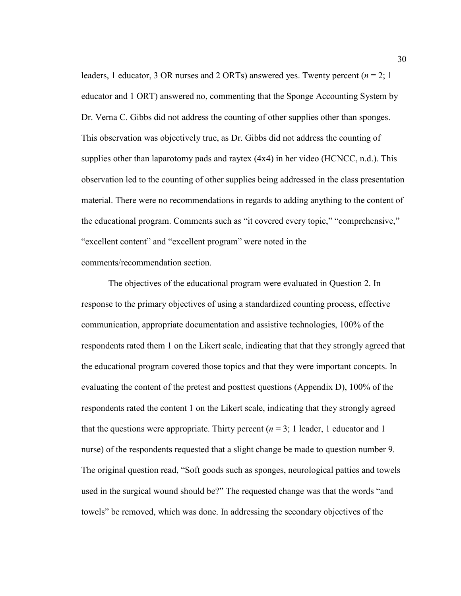leaders, 1 educator, 3 OR nurses and 2 ORTs) answered yes. Twenty percent (*n* = 2; 1 educator and 1 ORT) answered no, commenting that the Sponge Accounting System by Dr. Verna C. Gibbs did not address the counting of other supplies other than sponges. This observation was objectively true, as Dr. Gibbs did not address the counting of supplies other than laparotomy pads and raytex (4x4) in her video (HCNCC, n.d.). This observation led to the counting of other supplies being addressed in the class presentation material. There were no recommendations in regards to adding anything to the content of the educational program. Comments such as "it covered every topic," "comprehensive," "excellent content" and "excellent program" were noted in the comments/recommendation section.

The objectives of the educational program were evaluated in Question 2. In response to the primary objectives of using a standardized counting process, effective communication, appropriate documentation and assistive technologies, 100% of the respondents rated them 1 on the Likert scale, indicating that that they strongly agreed that the educational program covered those topics and that they were important concepts. In evaluating the content of the pretest and posttest questions (Appendix D), 100% of the respondents rated the content 1 on the Likert scale, indicating that they strongly agreed that the questions were appropriate. Thirty percent  $(n = 3; 1)$  leader, 1 educator and 1 nurse) of the respondents requested that a slight change be made to question number 9. The original question read, "Soft goods such as sponges, neurological patties and towels used in the surgical wound should be?" The requested change was that the words "and towels" be removed, which was done. In addressing the secondary objectives of the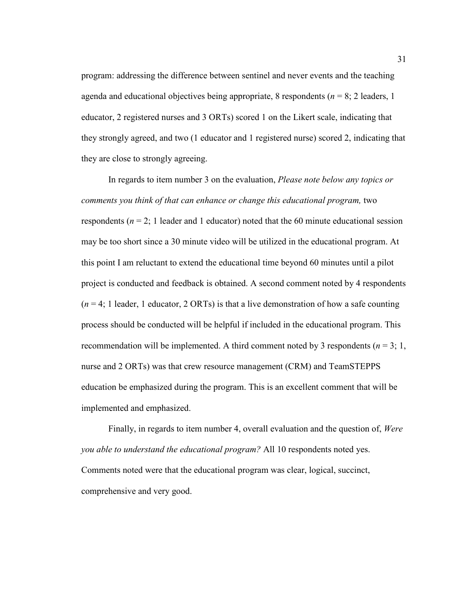program: addressing the difference between sentinel and never events and the teaching agenda and educational objectives being appropriate, 8 respondents ( $n = 8$ ; 2 leaders, 1 educator, 2 registered nurses and 3 ORTs) scored 1 on the Likert scale, indicating that they strongly agreed, and two (1 educator and 1 registered nurse) scored 2, indicating that they are close to strongly agreeing.

In regards to item number 3 on the evaluation, *Please note below any topics or comments you think of that can enhance or change this educational program, two* respondents ( $n = 2$ ; 1 leader and 1 educator) noted that the 60 minute educational session may be too short since a 30 minute video will be utilized in the educational program. At this point I am reluctant to extend the educational time beyond 60 minutes until a pilot project is conducted and feedback is obtained. A second comment noted by 4 respondents  $(n = 4; 1$  leader, 1 educator, 2 ORTs) is that a live demonstration of how a safe counting process should be conducted will be helpful if included in the educational program. This recommendation will be implemented. A third comment noted by 3 respondents ( $n = 3$ ; 1, nurse and 2 ORTs) was that crew resource management (CRM) and TeamSTEPPS education be emphasized during the program. This is an excellent comment that will be implemented and emphasized.

Finally, in regards to item number 4, overall evaluation and the question of, *Were you able to understand the educational program?* All 10 respondents noted yes. Comments noted were that the educational program was clear, logical, succinct, comprehensive and very good.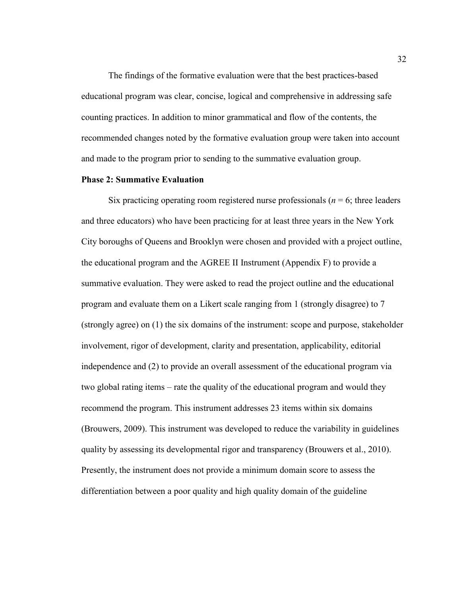The findings of the formative evaluation were that the best practices-based educational program was clear, concise, logical and comprehensive in addressing safe counting practices. In addition to minor grammatical and flow of the contents, the recommended changes noted by the formative evaluation group were taken into account and made to the program prior to sending to the summative evaluation group.

## **Phase 2: Summative Evaluation**

Six practicing operating room registered nurse professionals ( $n = 6$ ; three leaders and three educators) who have been practicing for at least three years in the New York City boroughs of Queens and Brooklyn were chosen and provided with a project outline, the educational program and the AGREE II Instrument (Appendix F) to provide a summative evaluation. They were asked to read the project outline and the educational program and evaluate them on a Likert scale ranging from 1 (strongly disagree) to 7 (strongly agree) on (1) the six domains of the instrument: scope and purpose, stakeholder involvement, rigor of development, clarity and presentation, applicability, editorial independence and (2) to provide an overall assessment of the educational program via two global rating items – rate the quality of the educational program and would they recommend the program. This instrument addresses 23 items within six domains (Brouwers, 2009). This instrument was developed to reduce the variability in guidelines quality by assessing its developmental rigor and transparency (Brouwers et al., 2010). Presently, the instrument does not provide a minimum domain score to assess the differentiation between a poor quality and high quality domain of the guideline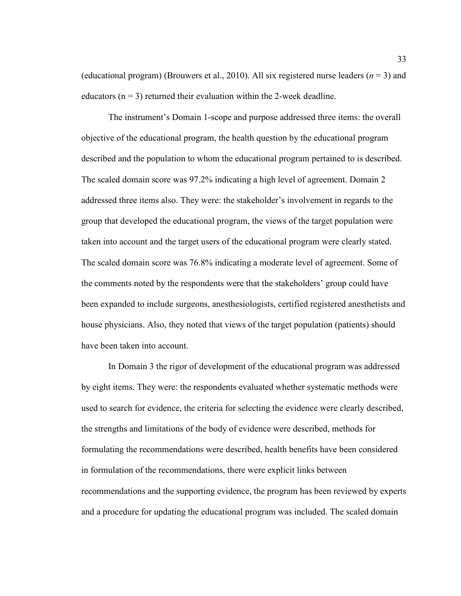(educational program) (Brouwers et al., 2010). All six registered nurse leaders (*n* = 3) and educators  $(n = 3)$  returned their evaluation within the 2-week deadline.

The instrument's Domain 1-scope and purpose addressed three items: the overall objective of the educational program, the health question by the educational program described and the population to whom the educational program pertained to is described. The scaled domain score was 97.2% indicating a high level of agreement. Domain 2 addressed three items also. They were: the stakeholder's involvement in regards to the group that developed the educational program, the views of the target population were taken into account and the target users of the educational program were clearly stated. The scaled domain score was 76.8% indicating a moderate level of agreement. Some of the comments noted by the respondents were that the stakeholders' group could have been expanded to include surgeons, anesthesiologists, certified registered anesthetists and house physicians. Also, they noted that views of the target population (patients) should have been taken into account.

In Domain 3 the rigor of development of the educational program was addressed by eight items. They were: the respondents evaluated whether systematic methods were used to search for evidence, the criteria for selecting the evidence were clearly described, the strengths and limitations of the body of evidence were described, methods for formulating the recommendations were described, health benefits have been considered in formulation of the recommendations, there were explicit links between recommendations and the supporting evidence, the program has been reviewed by experts and a procedure for updating the educational program was included. The scaled domain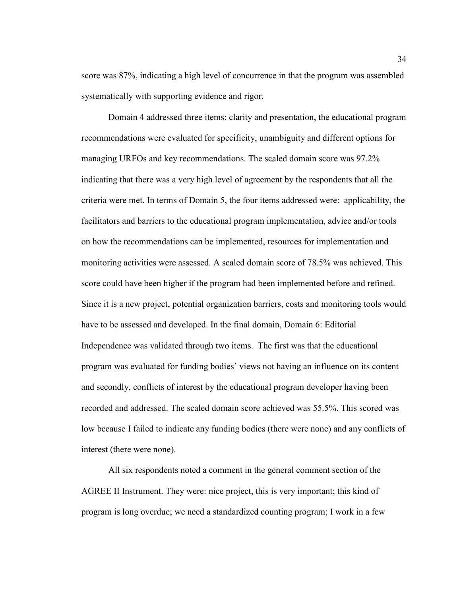score was 87%, indicating a high level of concurrence in that the program was assembled systematically with supporting evidence and rigor.

Domain 4 addressed three items: clarity and presentation, the educational program recommendations were evaluated for specificity, unambiguity and different options for managing URFOs and key recommendations. The scaled domain score was 97.2% indicating that there was a very high level of agreement by the respondents that all the criteria were met. In terms of Domain 5, the four items addressed were: applicability, the facilitators and barriers to the educational program implementation, advice and/or tools on how the recommendations can be implemented, resources for implementation and monitoring activities were assessed. A scaled domain score of 78.5% was achieved. This score could have been higher if the program had been implemented before and refined. Since it is a new project, potential organization barriers, costs and monitoring tools would have to be assessed and developed. In the final domain, Domain 6: Editorial Independence was validated through two items. The first was that the educational program was evaluated for funding bodies' views not having an influence on its content and secondly, conflicts of interest by the educational program developer having been recorded and addressed. The scaled domain score achieved was 55.5%. This scored was low because I failed to indicate any funding bodies (there were none) and any conflicts of interest (there were none).

All six respondents noted a comment in the general comment section of the AGREE II Instrument. They were: nice project, this is very important; this kind of program is long overdue; we need a standardized counting program; I work in a few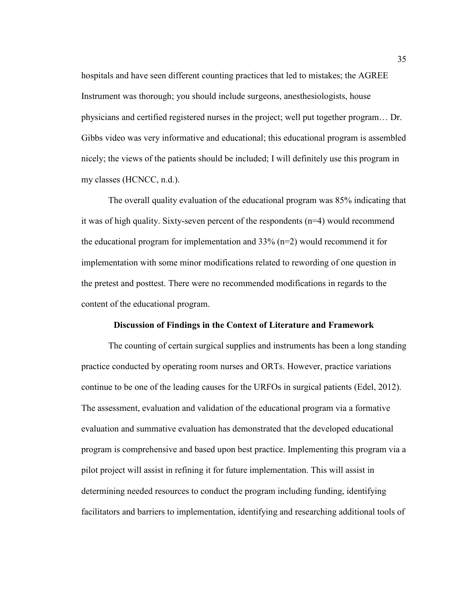hospitals and have seen different counting practices that led to mistakes; the AGREE Instrument was thorough; you should include surgeons, anesthesiologists, house physicians and certified registered nurses in the project; well put together program… Dr. Gibbs video was very informative and educational; this educational program is assembled nicely; the views of the patients should be included; I will definitely use this program in my classes (HCNCC, n.d.).

The overall quality evaluation of the educational program was 85% indicating that it was of high quality. Sixty-seven percent of the respondents (n=4) would recommend the educational program for implementation and  $33\%$  (n=2) would recommend it for implementation with some minor modifications related to rewording of one question in the pretest and posttest. There were no recommended modifications in regards to the content of the educational program.

#### **Discussion of Findings in the Context of Literature and Framework**

The counting of certain surgical supplies and instruments has been a long standing practice conducted by operating room nurses and ORTs. However, practice variations continue to be one of the leading causes for the URFOs in surgical patients (Edel, 2012). The assessment, evaluation and validation of the educational program via a formative evaluation and summative evaluation has demonstrated that the developed educational program is comprehensive and based upon best practice. Implementing this program via a pilot project will assist in refining it for future implementation. This will assist in determining needed resources to conduct the program including funding, identifying facilitators and barriers to implementation, identifying and researching additional tools of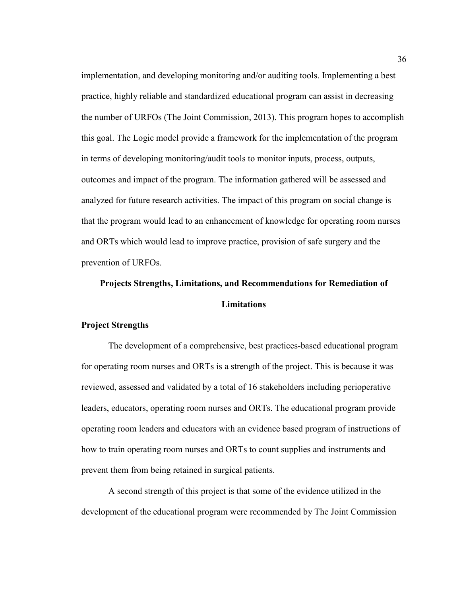implementation, and developing monitoring and/or auditing tools. Implementing a best practice, highly reliable and standardized educational program can assist in decreasing the number of URFOs (The Joint Commission, 2013). This program hopes to accomplish this goal. The Logic model provide a framework for the implementation of the program in terms of developing monitoring/audit tools to monitor inputs, process, outputs, outcomes and impact of the program. The information gathered will be assessed and analyzed for future research activities. The impact of this program on social change is that the program would lead to an enhancement of knowledge for operating room nurses and ORTs which would lead to improve practice, provision of safe surgery and the prevention of URFOs.

# **Projects Strengths, Limitations, and Recommendations for Remediation of Limitations**

## **Project Strengths**

The development of a comprehensive, best practices-based educational program for operating room nurses and ORTs is a strength of the project. This is because it was reviewed, assessed and validated by a total of 16 stakeholders including perioperative leaders, educators, operating room nurses and ORTs. The educational program provide operating room leaders and educators with an evidence based program of instructions of how to train operating room nurses and ORTs to count supplies and instruments and prevent them from being retained in surgical patients.

A second strength of this project is that some of the evidence utilized in the development of the educational program were recommended by The Joint Commission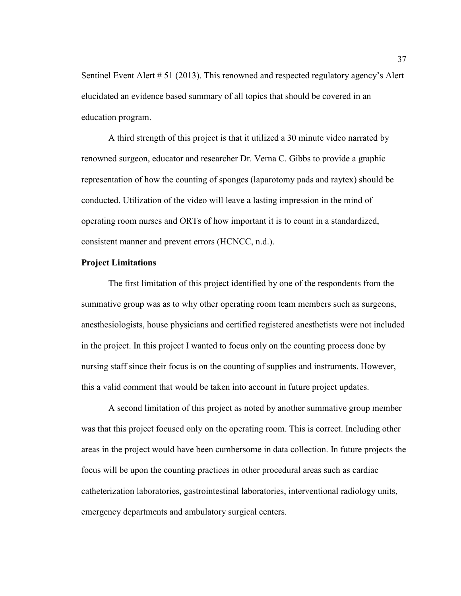Sentinel Event Alert # 51 (2013). This renowned and respected regulatory agency's Alert elucidated an evidence based summary of all topics that should be covered in an education program.

A third strength of this project is that it utilized a 30 minute video narrated by renowned surgeon, educator and researcher Dr. Verna C. Gibbs to provide a graphic representation of how the counting of sponges (laparotomy pads and raytex) should be conducted. Utilization of the video will leave a lasting impression in the mind of operating room nurses and ORTs of how important it is to count in a standardized, consistent manner and prevent errors (HCNCC, n.d.).

## **Project Limitations**

The first limitation of this project identified by one of the respondents from the summative group was as to why other operating room team members such as surgeons, anesthesiologists, house physicians and certified registered anesthetists were not included in the project. In this project I wanted to focus only on the counting process done by nursing staff since their focus is on the counting of supplies and instruments. However, this a valid comment that would be taken into account in future project updates.

A second limitation of this project as noted by another summative group member was that this project focused only on the operating room. This is correct. Including other areas in the project would have been cumbersome in data collection. In future projects the focus will be upon the counting practices in other procedural areas such as cardiac catheterization laboratories, gastrointestinal laboratories, interventional radiology units, emergency departments and ambulatory surgical centers.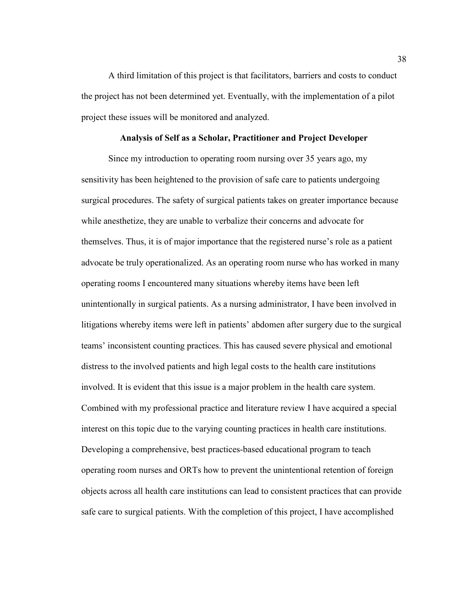A third limitation of this project is that facilitators, barriers and costs to conduct the project has not been determined yet. Eventually, with the implementation of a pilot project these issues will be monitored and analyzed.

## **Analysis of Self as a Scholar, Practitioner and Project Developer**

Since my introduction to operating room nursing over 35 years ago, my sensitivity has been heightened to the provision of safe care to patients undergoing surgical procedures. The safety of surgical patients takes on greater importance because while anesthetize, they are unable to verbalize their concerns and advocate for themselves. Thus, it is of major importance that the registered nurse's role as a patient advocate be truly operationalized. As an operating room nurse who has worked in many operating rooms I encountered many situations whereby items have been left unintentionally in surgical patients. As a nursing administrator, I have been involved in litigations whereby items were left in patients' abdomen after surgery due to the surgical teams' inconsistent counting practices. This has caused severe physical and emotional distress to the involved patients and high legal costs to the health care institutions involved. It is evident that this issue is a major problem in the health care system. Combined with my professional practice and literature review I have acquired a special interest on this topic due to the varying counting practices in health care institutions. Developing a comprehensive, best practices-based educational program to teach operating room nurses and ORTs how to prevent the unintentional retention of foreign objects across all health care institutions can lead to consistent practices that can provide safe care to surgical patients. With the completion of this project, I have accomplished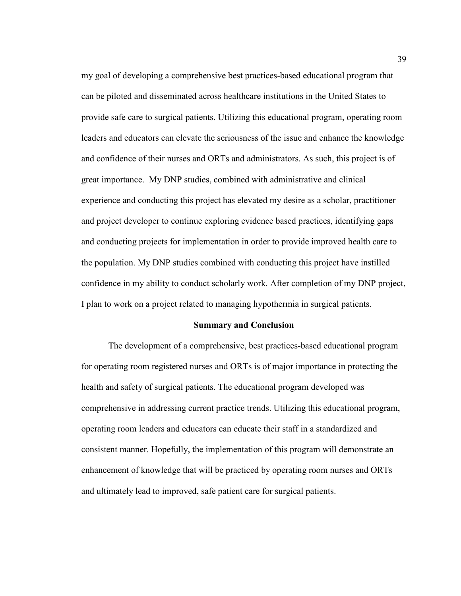my goal of developing a comprehensive best practices-based educational program that can be piloted and disseminated across healthcare institutions in the United States to provide safe care to surgical patients. Utilizing this educational program, operating room leaders and educators can elevate the seriousness of the issue and enhance the knowledge and confidence of their nurses and ORTs and administrators. As such, this project is of great importance. My DNP studies, combined with administrative and clinical experience and conducting this project has elevated my desire as a scholar, practitioner and project developer to continue exploring evidence based practices, identifying gaps and conducting projects for implementation in order to provide improved health care to the population. My DNP studies combined with conducting this project have instilled confidence in my ability to conduct scholarly work. After completion of my DNP project, I plan to work on a project related to managing hypothermia in surgical patients.

#### **Summary and Conclusion**

The development of a comprehensive, best practices-based educational program for operating room registered nurses and ORTs is of major importance in protecting the health and safety of surgical patients. The educational program developed was comprehensive in addressing current practice trends. Utilizing this educational program, operating room leaders and educators can educate their staff in a standardized and consistent manner. Hopefully, the implementation of this program will demonstrate an enhancement of knowledge that will be practiced by operating room nurses and ORTs and ultimately lead to improved, safe patient care for surgical patients.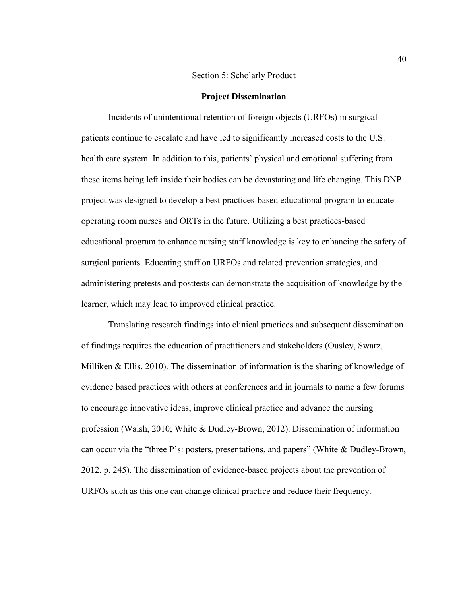## Section 5: Scholarly Product

#### **Project Dissemination**

Incidents of unintentional retention of foreign objects (URFOs) in surgical patients continue to escalate and have led to significantly increased costs to the U.S. health care system. In addition to this, patients' physical and emotional suffering from these items being left inside their bodies can be devastating and life changing. This DNP project was designed to develop a best practices-based educational program to educate operating room nurses and ORTs in the future. Utilizing a best practices-based educational program to enhance nursing staff knowledge is key to enhancing the safety of surgical patients. Educating staff on URFOs and related prevention strategies, and administering pretests and posttests can demonstrate the acquisition of knowledge by the learner, which may lead to improved clinical practice.

Translating research findings into clinical practices and subsequent dissemination of findings requires the education of practitioners and stakeholders (Ousley, Swarz, Milliken & Ellis, 2010). The dissemination of information is the sharing of knowledge of evidence based practices with others at conferences and in journals to name a few forums to encourage innovative ideas, improve clinical practice and advance the nursing profession (Walsh, 2010; White & Dudley-Brown, 2012). Dissemination of information can occur via the "three P's: posters, presentations, and papers" (White & Dudley-Brown, 2012, p. 245). The dissemination of evidence-based projects about the prevention of URFOs such as this one can change clinical practice and reduce their frequency.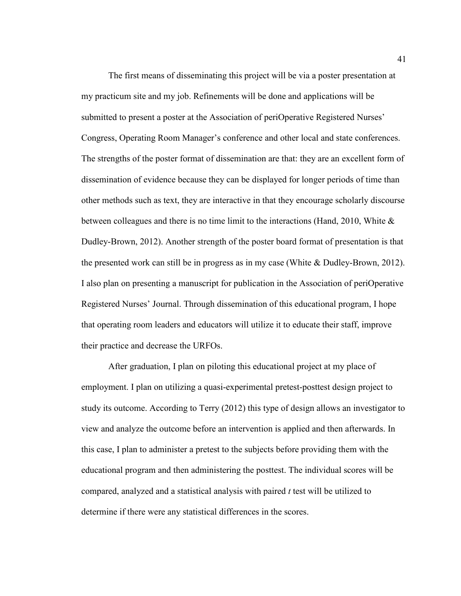The first means of disseminating this project will be via a poster presentation at my practicum site and my job. Refinements will be done and applications will be submitted to present a poster at the Association of periOperative Registered Nurses' Congress, Operating Room Manager's conference and other local and state conferences. The strengths of the poster format of dissemination are that: they are an excellent form of dissemination of evidence because they can be displayed for longer periods of time than other methods such as text, they are interactive in that they encourage scholarly discourse between colleagues and there is no time limit to the interactions (Hand, 2010, White  $\&$ Dudley-Brown, 2012). Another strength of the poster board format of presentation is that the presented work can still be in progress as in my case (White & Dudley-Brown, 2012). I also plan on presenting a manuscript for publication in the Association of periOperative Registered Nurses' Journal. Through dissemination of this educational program, I hope that operating room leaders and educators will utilize it to educate their staff, improve their practice and decrease the URFOs.

After graduation, I plan on piloting this educational project at my place of employment. I plan on utilizing a quasi-experimental pretest-posttest design project to study its outcome. According to Terry (2012) this type of design allows an investigator to view and analyze the outcome before an intervention is applied and then afterwards. In this case, I plan to administer a pretest to the subjects before providing them with the educational program and then administering the posttest. The individual scores will be compared, analyzed and a statistical analysis with paired *t* test will be utilized to determine if there were any statistical differences in the scores.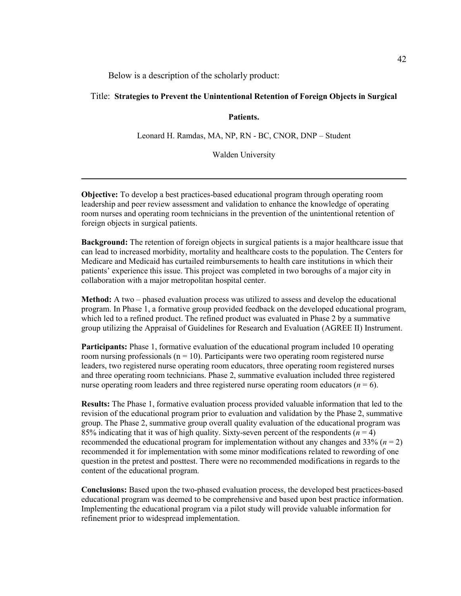Below is a description of the scholarly product:

## Title: **Strategies to Prevent the Unintentional Retention of Foreign Objects in Surgical**

## **Patients.**

Leonard H. Ramdas, MA, NP, RN - BC, CNOR, DNP – Student

Walden University

**\_\_\_\_\_\_\_\_\_\_\_\_\_\_\_\_\_\_\_\_\_\_\_\_\_\_\_\_\_\_\_\_\_\_\_\_\_\_\_\_\_\_\_\_\_\_\_\_\_\_\_\_\_\_\_\_\_\_\_\_\_\_\_\_\_\_\_\_\_\_\_\_**

**Objective:** To develop a best practices-based educational program through operating room leadership and peer review assessment and validation to enhance the knowledge of operating room nurses and operating room technicians in the prevention of the unintentional retention of foreign objects in surgical patients.

**Background:** The retention of foreign objects in surgical patients is a major healthcare issue that can lead to increased morbidity, mortality and healthcare costs to the population. The Centers for Medicare and Medicaid has curtailed reimbursements to health care institutions in which their patients' experience this issue. This project was completed in two boroughs of a major city in collaboration with a major metropolitan hospital center.

**Method:** A two – phased evaluation process was utilized to assess and develop the educational program. In Phase 1, a formative group provided feedback on the developed educational program, which led to a refined product. The refined product was evaluated in Phase 2 by a summative group utilizing the Appraisal of Guidelines for Research and Evaluation (AGREE II) Instrument.

**Participants:** Phase 1, formative evaluation of the educational program included 10 operating room nursing professionals ( $n = 10$ ). Participants were two operating room registered nurse leaders, two registered nurse operating room educators, three operating room registered nurses and three operating room technicians. Phase 2, summative evaluation included three registered nurse operating room leaders and three registered nurse operating room educators ( $n = 6$ ).

**Results:** The Phase 1, formative evaluation process provided valuable information that led to the revision of the educational program prior to evaluation and validation by the Phase 2, summative group. The Phase 2, summative group overall quality evaluation of the educational program was 85% indicating that it was of high quality. Sixty-seven percent of the respondents  $(n = 4)$ recommended the educational program for implementation without any changes and  $33\%$  ( $n = 2$ ) recommended it for implementation with some minor modifications related to rewording of one question in the pretest and posttest. There were no recommended modifications in regards to the content of the educational program.

**Conclusions:** Based upon the two-phased evaluation process, the developed best practices-based educational program was deemed to be comprehensive and based upon best practice information. Implementing the educational program via a pilot study will provide valuable information for refinement prior to widespread implementation.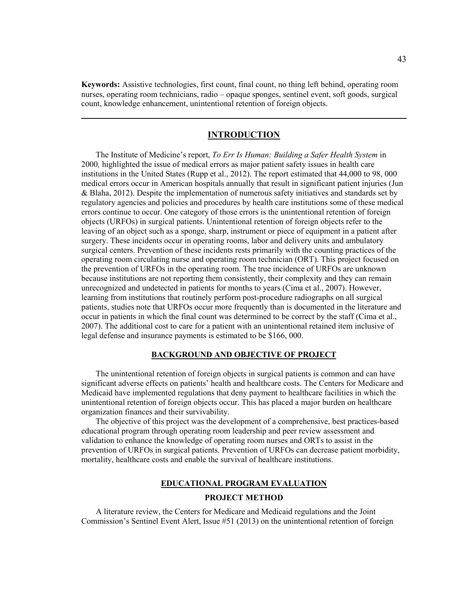**Keywords:** Assistive technologies, first count, final count, no thing left behind, operating room nurses, operating room technicians, radio – opaque sponges, sentinel event, soft goods, surgical count, knowledge enhancement, unintentional retention of foreign objects.

## **INTRODUCTION**

**\_\_\_\_\_\_\_\_\_\_\_\_\_\_\_\_\_\_\_\_\_\_\_\_\_\_\_\_\_\_\_\_\_\_\_\_\_\_\_\_\_\_\_\_\_\_\_\_\_\_\_\_\_\_\_\_\_\_\_\_\_\_\_\_\_\_\_\_\_\_\_\_** 

 The Institute of Medicine's report, *To Err Is Human: Building a Safer Health System* in 2000*,* highlighted the issue of medical errors as major patient safety issues in health care institutions in the United States (Rupp et al., 2012). The report estimated that 44,000 to 98, 000 medical errors occur in American hospitals annually that result in significant patient injuries (Jun & Blaha, 2012). Despite the implementation of numerous safety initiatives and standards set by regulatory agencies and policies and procedures by health care institutions some of these medical errors continue to occur. One category of those errors is the unintentional retention of foreign objects (URFOs) in surgical patients. Unintentional retention of foreign objects refer to the leaving of an object such as a sponge, sharp, instrument or piece of equipment in a patient after surgery. These incidents occur in operating rooms, labor and delivery units and ambulatory surgical centers. Prevention of these incidents rests primarily with the counting practices of the operating room circulating nurse and operating room technician (ORT). This project focused on the prevention of URFOs in the operating room. The true incidence of URFOs are unknown because institutions are not reporting them consistently, their complexity and they can remain unrecognized and undetected in patients for months to years (Cima et al., 2007). However, learning from institutions that routinely perform post-procedure radiographs on all surgical patients, studies note that URFOs occur more frequently than is documented in the literature and occur in patients in which the final count was determined to be correct by the staff (Cima et al., 2007). The additional cost to care for a patient with an unintentional retained item inclusive of legal defense and insurance payments is estimated to be \$166, 000.

#### **BACKGROUND AND OBJECTIVE OF PROJECT**

 The unintentional retention of foreign objects in surgical patients is common and can have significant adverse effects on patients' health and healthcare costs. The Centers for Medicare and Medicaid have implemented regulations that deny payment to healthcare facilities in which the unintentional retention of foreign objects occur. This has placed a major burden on healthcare organization finances and their survivability.

 The objective of this project was the development of a comprehensive, best practices-based educational program through operating room leadership and peer review assessment and validation to enhance the knowledge of operating room nurses and ORTs to assist in the prevention of URFOs in surgical patients. Prevention of URFOs can decrease patient morbidity, mortality, healthcare costs and enable the survival of healthcare institutions.

#### **EDUCATIONAL PROGRAM EVALUATION**

#### **PROJECT METHOD**

 A literature review, the Centers for Medicare and Medicaid regulations and the Joint Commission's Sentinel Event Alert, Issue #51 (2013) on the unintentional retention of foreign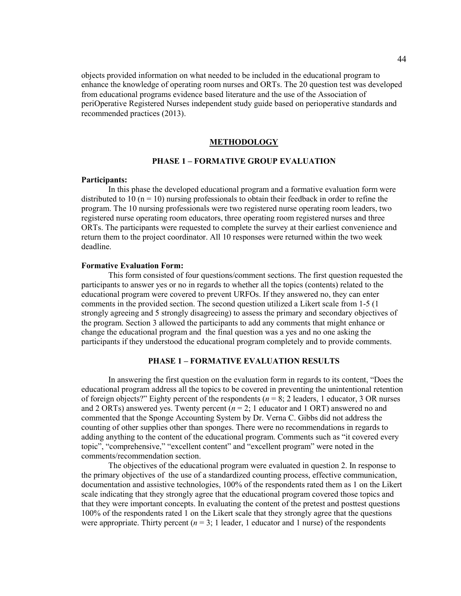objects provided information on what needed to be included in the educational program to enhance the knowledge of operating room nurses and ORTs. The 20 question test was developed from educational programs evidence based literature and the use of the Association of periOperative Registered Nurses independent study guide based on perioperative standards and recommended practices (2013).

#### **METHODOLOGY**

## **PHASE 1 – FORMATIVE GROUP EVALUATION**

#### **Participants:**

In this phase the developed educational program and a formative evaluation form were distributed to 10 ( $n = 10$ ) nursing professionals to obtain their feedback in order to refine the program. The 10 nursing professionals were two registered nurse operating room leaders, two registered nurse operating room educators, three operating room registered nurses and three ORTs. The participants were requested to complete the survey at their earliest convenience and return them to the project coordinator. All 10 responses were returned within the two week deadline.

#### **Formative Evaluation Form:**

This form consisted of four questions/comment sections. The first question requested the participants to answer yes or no in regards to whether all the topics (contents) related to the educational program were covered to prevent URFOs. If they answered no, they can enter comments in the provided section. The second question utilized a Likert scale from 1-5 (1 strongly agreeing and 5 strongly disagreeing) to assess the primary and secondary objectives of the program. Section 3 allowed the participants to add any comments that might enhance or change the educational program and the final question was a yes and no one asking the participants if they understood the educational program completely and to provide comments.

## **PHASE 1 – FORMATIVE EVALUATION RESULTS**

In answering the first question on the evaluation form in regards to its content, "Does the educational program address all the topics to be covered in preventing the unintentional retention of foreign objects?" Eighty percent of the respondents (*n* = 8; 2 leaders, 1 educator, 3 OR nurses and 2 ORTs) answered yes. Twenty percent  $(n = 2; 1)$  educator and 1 ORT) answered no and commented that the Sponge Accounting System by Dr. Verna C. Gibbs did not address the counting of other supplies other than sponges. There were no recommendations in regards to adding anything to the content of the educational program. Comments such as "it covered every topic", "comprehensive," "excellent content" and "excellent program" were noted in the comments/recommendation section.

The objectives of the educational program were evaluated in question 2. In response to the primary objectives of the use of a standardized counting process, effective communication, documentation and assistive technologies, 100% of the respondents rated them as 1 on the Likert scale indicating that they strongly agree that the educational program covered those topics and that they were important concepts. In evaluating the content of the pretest and posttest questions 100% of the respondents rated 1 on the Likert scale that they strongly agree that the questions were appropriate. Thirty percent  $(n = 3; 1)$  leader, 1 educator and 1 nurse) of the respondents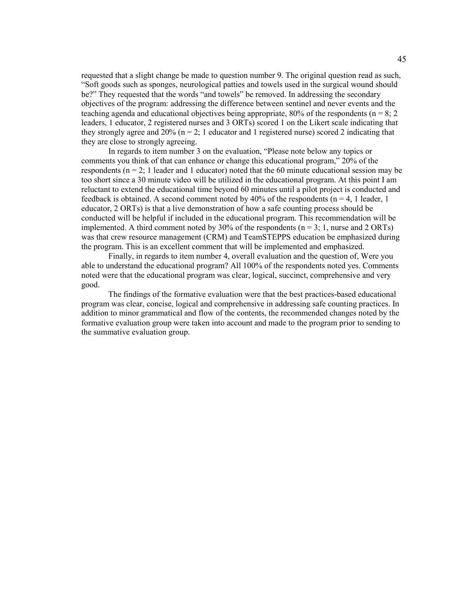requested that a slight change be made to question number 9. The original question read as such, "Soft goods such as sponges, neurological patties and towels used in the surgical wound should be?" They requested that the words "and towels" be removed. In addressing the secondary objectives of the program: addressing the difference between sentinel and never events and the teaching agenda and educational objectives being appropriate, 80% of the respondents ( $n = 8$ ; 2) leaders, 1 educator, 2 registered nurses and 3 ORTs) scored 1 on the Likert scale indicating that they strongly agree and  $20\%$  (n = 2; 1 educator and 1 registered nurse) scored 2 indicating that they are close to strongly agreeing.

In regards to item number 3 on the evaluation, "Please note below any topics or comments you think of that can enhance or change this educational program," 20% of the respondents ( $n = 2$ ; 1 leader and 1 educator) noted that the 60 minute educational session may be too short since a 30 minute video will be utilized in the educational program. At this point I am reluctant to extend the educational time beyond 60 minutes until a pilot project is conducted and feedback is obtained. A second comment noted by 40% of the respondents ( $n = 4$ , 1 leader, 1 educator, 2 ORTs) is that a live demonstration of how a safe counting process should be conducted will be helpful if included in the educational program. This recommendation will be implemented. A third comment noted by 30% of the respondents ( $n = 3$ ; 1, nurse and 2 ORTs) was that crew resource management (CRM) and TeamSTEPPS education be emphasized during the program. This is an excellent comment that will be implemented and emphasized.

Finally, in regards to item number 4, overall evaluation and the question of, Were you able to understand the educational program? All 100% of the respondents noted yes. Comments noted were that the educational program was clear, logical, succinct, comprehensive and very good.

The findings of the formative evaluation were that the best practices-based educational program was clear, concise, logical and comprehensive in addressing safe counting practices. In addition to minor grammatical and flow of the contents, the recommended changes noted by the formative evaluation group were taken into account and made to the program prior to sending to the summative evaluation group.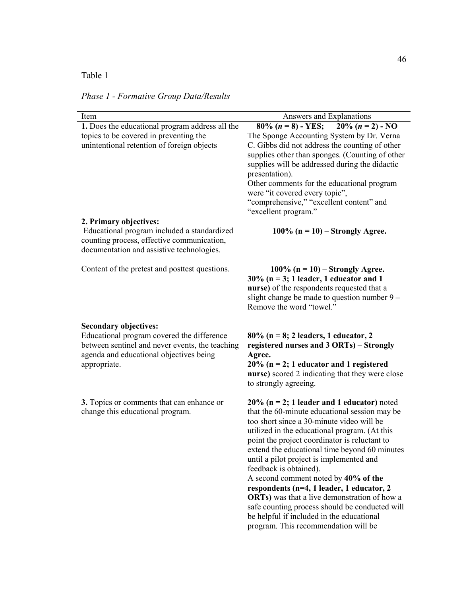## Table 1

*Phase 1 - Formative Group Data/Results* 

| Item                                                                                                                                                                                     | Answers and Explanations                                                                                                                                                                                                                                                                                                                                                                                                                                                                                                                                                                                                                                 |
|------------------------------------------------------------------------------------------------------------------------------------------------------------------------------------------|----------------------------------------------------------------------------------------------------------------------------------------------------------------------------------------------------------------------------------------------------------------------------------------------------------------------------------------------------------------------------------------------------------------------------------------------------------------------------------------------------------------------------------------------------------------------------------------------------------------------------------------------------------|
| 1. Does the educational program address all the<br>topics to be covered in preventing the<br>unintentional retention of foreign objects                                                  | $80\%$ $(n = 8)$ - YES;<br>$20\% (n = 2) - NO$<br>The Sponge Accounting System by Dr. Verna<br>C. Gibbs did not address the counting of other<br>supplies other than sponges. (Counting of other<br>supplies will be addressed during the didactic<br>presentation).<br>Other comments for the educational program<br>were "it covered every topic",<br>"comprehensive," "excellent content" and<br>"excellent program."                                                                                                                                                                                                                                 |
| 2. Primary objectives:<br>Educational program included a standardized<br>counting process, effective communication,<br>documentation and assistive technologies.                         | $100\%$ (n = 10) – Strongly Agree.                                                                                                                                                                                                                                                                                                                                                                                                                                                                                                                                                                                                                       |
| Content of the pretest and posttest questions.                                                                                                                                           | 100% ( $n = 10$ ) – Strongly Agree.<br>$30\%$ (n = 3; 1 leader, 1 educator and 1<br>nurse) of the respondents requested that a<br>slight change be made to question number 9 –<br>Remove the word "towel."                                                                                                                                                                                                                                                                                                                                                                                                                                               |
| <b>Secondary objectives:</b><br>Educational program covered the difference<br>between sentinel and never events, the teaching<br>agenda and educational objectives being<br>appropriate. | $80\%$ (n = 8; 2 leaders, 1 educator, 2<br>registered nurses and 3 ORTs) - Strongly<br>Agree.<br>$20\%$ (n = 2; 1 educator and 1 registered<br>nurse) scored 2 indicating that they were close<br>to strongly agreeing.                                                                                                                                                                                                                                                                                                                                                                                                                                  |
| 3. Topics or comments that can enhance or<br>change this educational program.                                                                                                            | $20\%$ (n = 2; 1 leader and 1 educator) noted<br>that the 60-minute educational session may be<br>too short since a 30-minute video will be<br>utilized in the educational program. (At this<br>point the project coordinator is reluctant to<br>extend the educational time beyond 60 minutes<br>until a pilot project is implemented and<br>feedback is obtained).<br>A second comment noted by 40% of the<br>respondents (n=4, 1 leader, 1 educator, 2<br><b>ORTs</b> ) was that a live demonstration of how a<br>safe counting process should be conducted will<br>be helpful if included in the educational<br>program. This recommendation will be |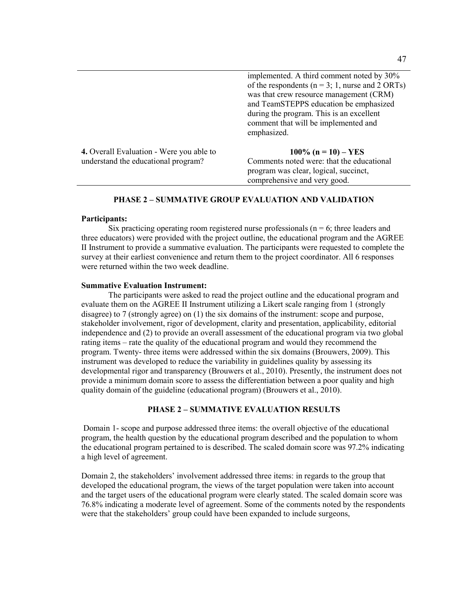|                                                                                        | implemented. A third comment noted by 30%<br>of the respondents ( $n = 3$ ; 1, nurse and 2 ORTs)<br>was that crew resource management (CRM)<br>and TeamSTEPPS education be emphasized<br>during the program. This is an excellent<br>comment that will be implemented and<br>emphasized. |
|----------------------------------------------------------------------------------------|------------------------------------------------------------------------------------------------------------------------------------------------------------------------------------------------------------------------------------------------------------------------------------------|
| <b>4.</b> Overall Evaluation - Were you able to<br>understand the educational program? | $100\%$ (n = 10) – YES<br>Comments noted were: that the educational<br>program was clear, logical, succinct,<br>comprehensive and very good.                                                                                                                                             |

#### **PHASE 2 – SUMMATIVE GROUP EVALUATION AND VALIDATION**

#### **Participants:**

Six practicing operating room registered nurse professionals ( $n = 6$ ; three leaders and three educators) were provided with the project outline, the educational program and the AGREE II Instrument to provide a summative evaluation. The participants were requested to complete the survey at their earliest convenience and return them to the project coordinator. All 6 responses were returned within the two week deadline.

#### **Summative Evaluation Instrument:**

The participants were asked to read the project outline and the educational program and evaluate them on the AGREE II Instrument utilizing a Likert scale ranging from 1 (strongly disagree) to 7 (strongly agree) on (1) the six domains of the instrument: scope and purpose, stakeholder involvement, rigor of development, clarity and presentation, applicability, editorial independence and (2) to provide an overall assessment of the educational program via two global rating items – rate the quality of the educational program and would they recommend the program. Twenty- three items were addressed within the six domains (Brouwers, 2009). This instrument was developed to reduce the variability in guidelines quality by assessing its developmental rigor and transparency (Brouwers et al., 2010). Presently, the instrument does not provide a minimum domain score to assess the differentiation between a poor quality and high quality domain of the guideline (educational program) (Brouwers et al., 2010).

## **PHASE 2 – SUMMATIVE EVALUATION RESULTS**

 Domain 1- scope and purpose addressed three items: the overall objective of the educational program, the health question by the educational program described and the population to whom the educational program pertained to is described. The scaled domain score was 97.2% indicating a high level of agreement.

Domain 2, the stakeholders' involvement addressed three items: in regards to the group that developed the educational program, the views of the target population were taken into account and the target users of the educational program were clearly stated. The scaled domain score was 76.8% indicating a moderate level of agreement. Some of the comments noted by the respondents were that the stakeholders' group could have been expanded to include surgeons,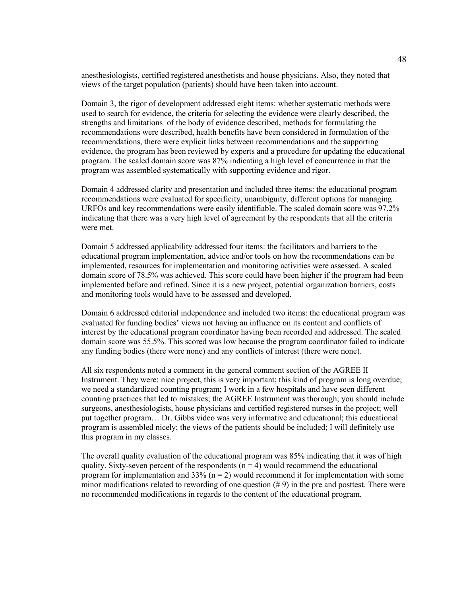anesthesiologists, certified registered anesthetists and house physicians. Also, they noted that views of the target population (patients) should have been taken into account.

Domain 3, the rigor of development addressed eight items: whether systematic methods were used to search for evidence, the criteria for selecting the evidence were clearly described, the strengths and limitations of the body of evidence described, methods for formulating the recommendations were described, health benefits have been considered in formulation of the recommendations, there were explicit links between recommendations and the supporting evidence, the program has been reviewed by experts and a procedure for updating the educational program. The scaled domain score was 87% indicating a high level of concurrence in that the program was assembled systematically with supporting evidence and rigor.

Domain 4 addressed clarity and presentation and included three items: the educational program recommendations were evaluated for specificity, unambiguity, different options for managing URFOs and key recommendations were easily identifiable. The scaled domain score was 97.2% indicating that there was a very high level of agreement by the respondents that all the criteria were met.

Domain 5 addressed applicability addressed four items: the facilitators and barriers to the educational program implementation, advice and/or tools on how the recommendations can be implemented, resources for implementation and monitoring activities were assessed. A scaled domain score of 78.5% was achieved. This score could have been higher if the program had been implemented before and refined. Since it is a new project, potential organization barriers, costs and monitoring tools would have to be assessed and developed.

Domain 6 addressed editorial independence and included two items: the educational program was evaluated for funding bodies' views not having an influence on its content and conflicts of interest by the educational program coordinator having been recorded and addressed. The scaled domain score was 55.5%. This scored was low because the program coordinator failed to indicate any funding bodies (there were none) and any conflicts of interest (there were none).

All six respondents noted a comment in the general comment section of the AGREE II Instrument. They were: nice project, this is very important; this kind of program is long overdue; we need a standardized counting program; I work in a few hospitals and have seen different counting practices that led to mistakes; the AGREE Instrument was thorough; you should include surgeons, anesthesiologists, house physicians and certified registered nurses in the project; well put together program… Dr. Gibbs video was very informative and educational; this educational program is assembled nicely; the views of the patients should be included; I will definitely use this program in my classes.

The overall quality evaluation of the educational program was 85% indicating that it was of high quality. Sixty-seven percent of the respondents  $(n = 4)$  would recommend the educational program for implementation and 33% ( $n = 2$ ) would recommend it for implementation with some minor modifications related to rewording of one question  $(\# 9)$  in the pre and posttest. There were no recommended modifications in regards to the content of the educational program.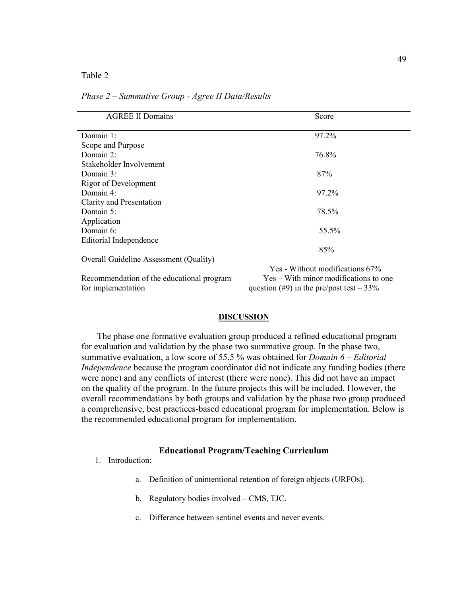Table 2

| <b>AGREE II Domains</b>                       | Score                                      |
|-----------------------------------------------|--------------------------------------------|
|                                               |                                            |
| Domain 1:                                     | 97.2%                                      |
| Scope and Purpose                             |                                            |
| Domain 2:                                     | 76.8%                                      |
| Stakeholder Involvement                       |                                            |
| Domain $3$ :                                  | 87%                                        |
| Rigor of Development                          |                                            |
| Domain 4:                                     | 97.2%                                      |
| Clarity and Presentation                      |                                            |
| Domain 5:                                     | 78.5%                                      |
| Application                                   |                                            |
| Domain $6$ :                                  | 55.5%                                      |
| Editorial Independence                        |                                            |
|                                               | 85%                                        |
| <b>Overall Guideline Assessment (Quality)</b> |                                            |
|                                               | Yes - Without modifications 67%            |
| Recommendation of the educational program     | Yes – With minor modifications to one      |
| for implementation                            | question (#9) in the pre/post test $-33\%$ |

*Phase 2 – Summative Group - Agree II Data/Results* 

#### **DISCUSSION**

 The phase one formative evaluation group produced a refined educational program for evaluation and validation by the phase two summative group. In the phase two, summative evaluation, a low score of 55.5 % was obtained for *Domain 6 – Editorial Independence* because the program coordinator did not indicate any funding bodies (there were none) and any conflicts of interest (there were none). This did not have an impact on the quality of the program. In the future projects this will be included. However, the overall recommendations by both groups and validation by the phase two group produced a comprehensive, best practices-based educational program for implementation. Below is the recommended educational program for implementation.

#### **Educational Program/Teaching Curriculum**

- 1. Introduction:
	- a. Definition of unintentional retention of foreign objects (URFOs).
	- b. Regulatory bodies involved CMS, TJC.
	- c. Difference between sentinel events and never events.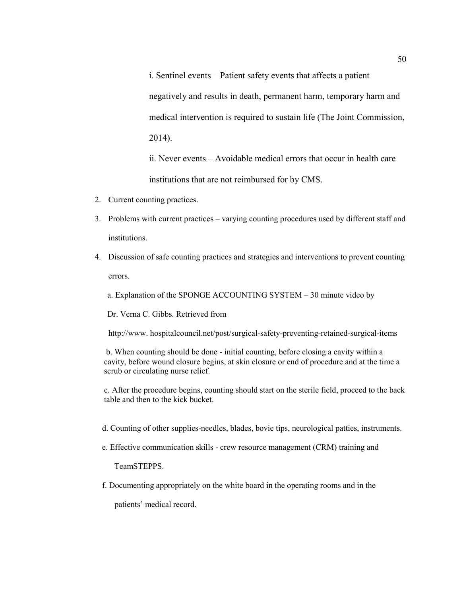i. Sentinel events – Patient safety events that affects a patient negatively and results in death, permanent harm, temporary harm and medical intervention is required to sustain life (The Joint Commission, 2014).

ii. Never events – Avoidable medical errors that occur in health care institutions that are not reimbursed for by CMS.

- 2. Current counting practices.
- 3. Problems with current practices varying counting procedures used by different staff and institutions.
- 4. Discussion of safe counting practices and strategies and interventions to prevent counting errors.
	- a. Explanation of the SPONGE ACCOUNTING SYSTEM 30 minute video by

Dr. Verna C. Gibbs. Retrieved from

http://www. hospitalcouncil.net/post/surgical-safety-preventing-retained-surgical-items

 b. When counting should be done - initial counting, before closing a cavity within a cavity, before wound closure begins, at skin closure or end of procedure and at the time a scrub or circulating nurse relief.

c. After the procedure begins, counting should start on the sterile field, proceed to the back table and then to the kick bucket.

- d. Counting of other supplies-needles, blades, bovie tips, neurological patties, instruments.
- e. Effective communication skills crew resource management (CRM) training and

TeamSTEPPS.

f. Documenting appropriately on the white board in the operating rooms and in the

patients' medical record.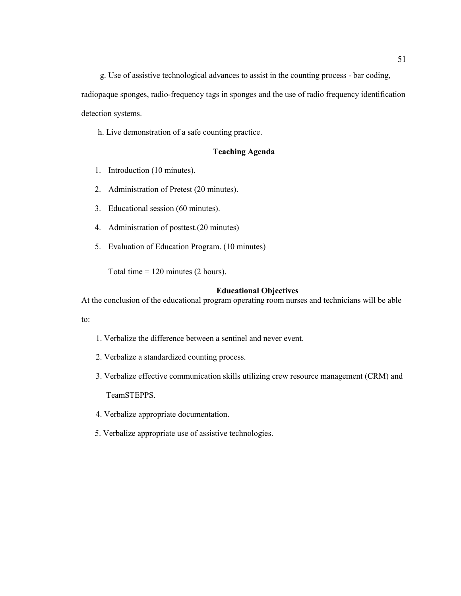g. Use of assistive technological advances to assist in the counting process - bar coding,

radiopaque sponges, radio-frequency tags in sponges and the use of radio frequency identification detection systems.

h. Live demonstration of a safe counting practice.

## **Teaching Agenda**

- 1. Introduction (10 minutes).
- 2. Administration of Pretest (20 minutes).
- 3. Educational session (60 minutes).
- 4. Administration of posttest.(20 minutes)
- 5. Evaluation of Education Program. (10 minutes)

Total time = 120 minutes (2 hours).

## **Educational Objectives**

At the conclusion of the educational program operating room nurses and technicians will be able

to:

- 1. Verbalize the difference between a sentinel and never event.
- 2. Verbalize a standardized counting process.
- 3. Verbalize effective communication skills utilizing crew resource management (CRM) and TeamSTEPPS.
- 4. Verbalize appropriate documentation.
- 5. Verbalize appropriate use of assistive technologies.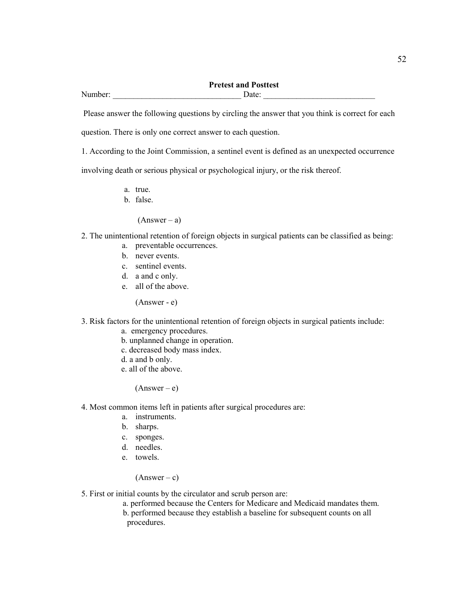## **Pretest and Posttest**  Number: \_\_\_\_\_\_\_\_\_\_\_\_\_\_\_\_\_\_\_\_\_\_\_\_\_\_\_\_\_\_\_ Date: \_\_\_\_\_\_\_\_\_\_\_\_\_\_\_\_\_\_\_\_\_\_\_\_\_\_\_

Please answer the following questions by circling the answer that you think is correct for each

question. There is only one correct answer to each question.

1. According to the Joint Commission, a sentinel event is defined as an unexpected occurrence

involving death or serious physical or psychological injury, or the risk thereof.

- a. true.
- b. false.

 $(Answer - a)$ 

- 2. The unintentional retention of foreign objects in surgical patients can be classified as being:
	- a. preventable occurrences.
	- b. never events.
	- c. sentinel events.
	- d. a and c only.
	- e. all of the above.

(Answer - e)

- 3. Risk factors for the unintentional retention of foreign objects in surgical patients include:
	- a. emergency procedures.
	- b. unplanned change in operation.
	- c. decreased body mass index.
	- d. a and b only.
	- e. all of the above.

 $(Answer-e)$ 

- 4. Most common items left in patients after surgical procedures are:
	- a. instruments.
	- b. sharps.
	- c. sponges.
	- d. needles.
	- e. towels.

 $(Answer - c)$ 

- 5. First or initial counts by the circulator and scrub person are:
	- a. performed because the Centers for Medicare and Medicaid mandates them.
	- b. performed because they establish a baseline for subsequent counts on all procedures.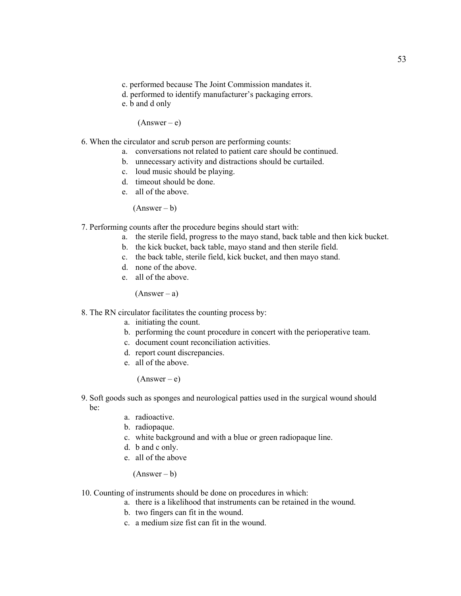- c. performed because The Joint Commission mandates it.
- d. performed to identify manufacturer's packaging errors.
- e. b and d only

 $(Answer - e)$ 

- 6. When the circulator and scrub person are performing counts:
	- a. conversations not related to patient care should be continued.
	- b. unnecessary activity and distractions should be curtailed.
	- c. loud music should be playing.
	- d. timeout should be done.
	- e. all of the above.

 $(Answer - b)$ 

- 7. Performing counts after the procedure begins should start with:
	- a. the sterile field, progress to the mayo stand, back table and then kick bucket.
	- b. the kick bucket, back table, mayo stand and then sterile field.
	- c. the back table, sterile field, kick bucket, and then mayo stand.
	- d. none of the above.
	- e. all of the above.

 $(Answer - a)$ 

- 8. The RN circulator facilitates the counting process by:
	- a. initiating the count.
	- b. performing the count procedure in concert with the perioperative team.
	- c. document count reconciliation activities.
	- d. report count discrepancies.
	- e. all of the above.

 $(Answer-e)$ 

- 9. Soft goods such as sponges and neurological patties used in the surgical wound should be:
	- a. radioactive.
	- b. radiopaque.
	- c. white background and with a blue or green radiopaque line.
	- d. b and c only.
	- e. all of the above

 $(Answer - b)$ 

- 10. Counting of instruments should be done on procedures in which:
	- a. there is a likelihood that instruments can be retained in the wound.
	- b. two fingers can fit in the wound.
	- c. a medium size fist can fit in the wound.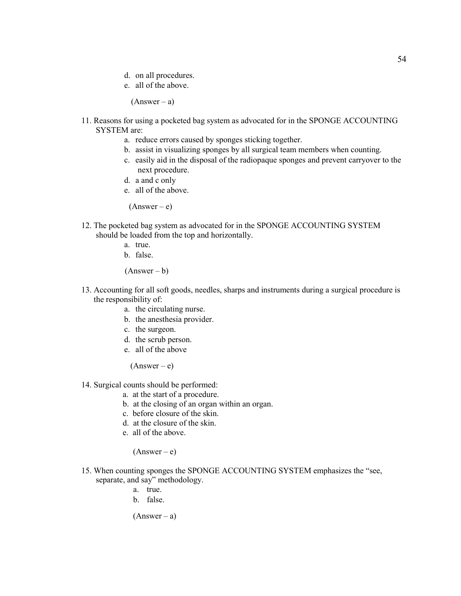- d. on all procedures.
- e. all of the above.

 $(Answer - a)$ 

- 11. Reasons for using a pocketed bag system as advocated for in the SPONGE ACCOUNTING SYSTEM are:
	- a. reduce errors caused by sponges sticking together.
	- b. assist in visualizing sponges by all surgical team members when counting.
	- c. easily aid in the disposal of the radiopaque sponges and prevent carryover to the next procedure.
	- d. a and c only
	- e. all of the above.

 $(Answer-e)$ 

- 12. The pocketed bag system as advocated for in the SPONGE ACCOUNTING SYSTEM should be loaded from the top and horizontally.
	- a. true.
	- b. false.

 $(Answer - b)$ 

- 13. Accounting for all soft goods, needles, sharps and instruments during a surgical procedure is the responsibility of:
	- a. the circulating nurse.
	- b. the anesthesia provider.
	- c. the surgeon.
	- d. the scrub person.
	- e. all of the above

 $(Answer - e)$ 

- 14. Surgical counts should be performed:
	- a. at the start of a procedure.
	- b. at the closing of an organ within an organ.
	- c. before closure of the skin.
	- d. at the closure of the skin.
	- e. all of the above.

 $(Answer-e)$ 

- 15. When counting sponges the SPONGE ACCOUNTING SYSTEM emphasizes the "see, separate, and say" methodology.
	- a. true.
	- b. false.

 $(Answer - a)$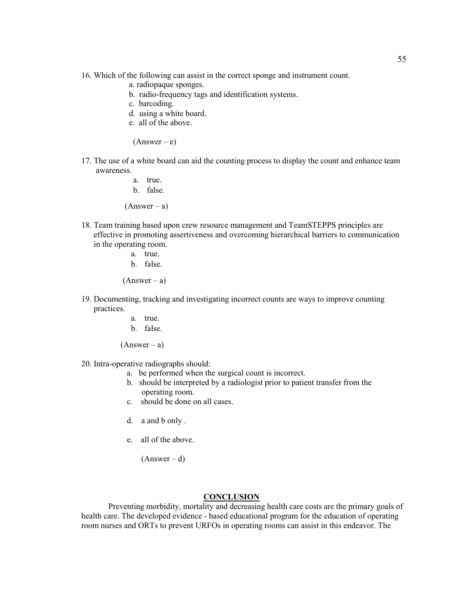- 16. Which of the following can assist in the correct sponge and instrument count.
	- a. radiopaque sponges.
	- b. radio-frequency tags and identification systems.
	- c. barcoding.
	- d. using a white board.
	- e. all of the above.

 $(Answer - e)$ 

- 17. The use of a white board can aid the counting process to display the count and enhance team awareness.
	- a. true.
	- b. false.

 $(Answer - a)$ 

- 18. Team training based upon crew resource management and TeamSTEPPS principles are effective in promoting assertiveness and overcoming hierarchical barriers to communication in the operating room.
	- a. true.
	- b. false.

 $(Answer - a)$ 

- 19. Documenting, tracking and investigating incorrect counts are ways to improve counting practices.
	- a. true.
	- b. false.

 $(Answer - a)$ 

- 20. Intra-operative radiographs should:
	- a. be performed when the surgical count is incorrect.
	- b. should be interpreted by a radiologist prior to patient transfer from the operating room.
	- c. should be done on all cases.
	- d. a and b only .
	- e. all of the above.

 $(Answer - d)$ 

#### **CONCLUSION**

Preventing morbidity, mortality and decreasing health care costs are the primary goals of health care. The developed evidence - based educational program for the education of operating room nurses and ORTs to prevent URFOs in operating rooms can assist in this endeavor. The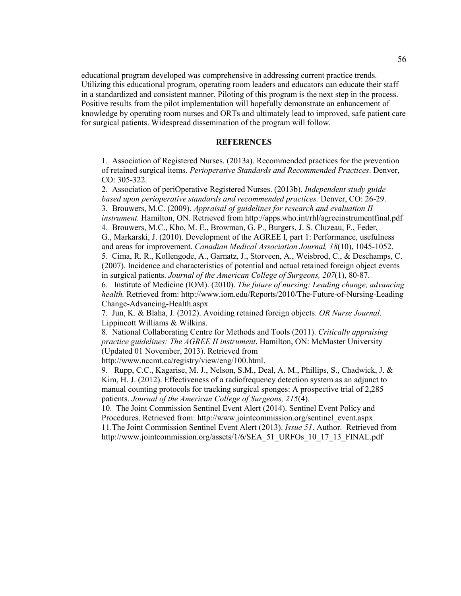educational program developed was comprehensive in addressing current practice trends. Utilizing this educational program, operating room leaders and educators can educate their staff in a standardized and consistent manner. Piloting of this program is the next step in the process. Positive results from the pilot implementation will hopefully demonstrate an enhancement of knowledge by operating room nurses and ORTs and ultimately lead to improved, safe patient care for surgical patients. Widespread dissemination of the program will follow.

## **REFERENCES**

1. Association of Registered Nurses. (2013a). Recommended practices for the prevention of retained surgical items. *Perioperative Standards and Recommended Practices*. Denver, CO: 305-322.

2. Association of periOperative Registered Nurses. (2013b). *Independent study guide based upon perioperative standards and recommended practices.* Denver, CO: 26-29. 3. Brouwers, M.C. (2009). *Appraisal of guidelines for research and evaluation II instrument.* Hamilton, ON. Retrieved from http://apps.who.int/rhl/agreeinstrumentfinal.pdf 4. Brouwers, M.C., Kho, M. E., Browman, G. P., Burgers, J. S. Cluzeau, F., Feder, G., Markarski, J. (2010). Development of the AGREE I, part 1: Performance, usefulness and areas for improvement. *Canadian Medical Association Journal, 18*(10), 1045-1052. 5. Cima, R. R., Kollengode, A., Garnatz, J., Storveen, A., Weisbrod, C., & Deschamps, C. (2007). Incidence and characteristics of potential and actual retained foreign object events in surgical patients. *Journal of the American College of Surgeons, 207*(1), 80-87.

6. Institute of Medicine (IOM). (2010). *The future of nursing: Leading change, advancing health.* Retrieved from: http://www.iom.edu/Reports/2010/The-Future-of-Nursing-Leading Change-Advancing-Health.aspx

7*.* Jun, K. & Blaha, J. (2012). Avoiding retained foreign objects. *OR Nurse Journal*. Lippincott Williams & Wilkins.

8. National Collaborating Centre for Methods and Tools (2011). *Critically appraising practice guidelines: The AGREE II instrument*. Hamilton, ON: McMaster University (Updated 01 November, 2013). Retrieved from

http://www.nccmt.ca/registry/view/eng/100.html.

9. Rupp, C.C., Kagarise, M. J., Nelson, S.M., Deal, A. M., Phillips, S., Chadwick, J. & Kim, H. J. (2012). Effectiveness of a radiofrequency detection system as an adjunct to manual counting protocols for tracking surgical sponges: A prospective trial of 2,285 patients. *Journal of the American College of Surgeons, 215*(4).

10. The Joint Commission Sentinel Event Alert (2014). Sentinel Event Policy and Procedures. Retrieved from: http://www.jointcommission.org/sentinel\_event.aspx 11.The Joint Commission Sentinel Event Alert (2013). *Issue 51*. Author. Retrieved from http://www.jointcommission.org/assets/1/6/SEA\_51\_URFOs\_10\_17\_13\_FINAL.pdf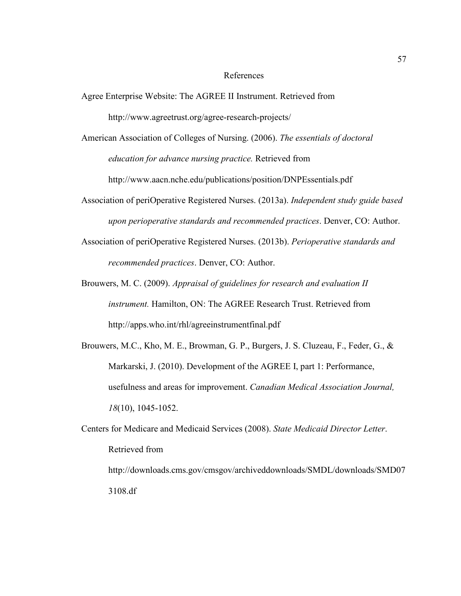#### References

- Agree Enterprise Website: The AGREE II Instrument. Retrieved from http://www.agreetrust.org/agree-research-projects/
- American Association of Colleges of Nursing. (2006). *The essentials of doctoral education for advance nursing practice.* Retrieved from

http://www.aacn.nche.edu/publications/position/DNPEssentials.pdf

- Association of periOperative Registered Nurses. (2013a). *Independent study guide based upon perioperative standards and recommended practices*. Denver, CO: Author.
- Association of periOperative Registered Nurses. (2013b). *Perioperative standards and recommended practices*. Denver, CO: Author.
- Brouwers, M. C. (2009). *Appraisal of guidelines for research and evaluation II instrument.* Hamilton, ON: The AGREE Research Trust. Retrieved from http://apps.who.int/rhl/agreeinstrumentfinal.pdf
- Brouwers, M.C., Kho, M. E., Browman, G. P., Burgers, J. S. Cluzeau, F., Feder, G., & Markarski, J. (2010). Development of the AGREE I, part 1: Performance, usefulness and areas for improvement. *Canadian Medical Association Journal, 18*(10), 1045-1052.

Centers for Medicare and Medicaid Services (2008). *State Medicaid Director Letter*. Retrieved from http://downloads.cms.gov/cmsgov/archiveddownloads/SMDL/downloads/SMD07 3108.df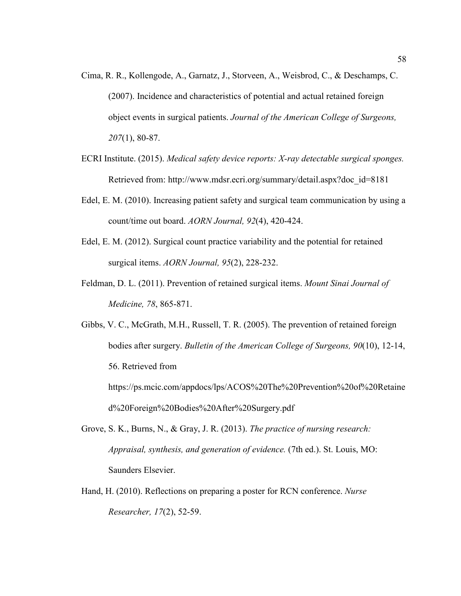- Cima, R. R., Kollengode, A., Garnatz, J., Storveen, A., Weisbrod, C., & Deschamps, C. (2007). Incidence and characteristics of potential and actual retained foreign object events in surgical patients. *Journal of the American College of Surgeons, 207*(1), 80-87.
- ECRI Institute. (2015). *Medical safety device reports: X-ray detectable surgical sponges.* Retrieved from: http://www.mdsr.ecri.org/summary/detail.aspx?doc\_id=8181
- Edel, E. M. (2010). Increasing patient safety and surgical team communication by using a count/time out board. *AORN Journal, 92*(4), 420-424.
- Edel, E. M. (2012). Surgical count practice variability and the potential for retained surgical items. *AORN Journal, 95*(2), 228-232.
- Feldman, D. L. (2011). Prevention of retained surgical items. *Mount Sinai Journal of Medicine, 78*, 865-871.

Gibbs, V. C., McGrath, M.H., Russell, T. R. (2005). The prevention of retained foreign bodies after surgery. *Bulletin of the American College of Surgeons, 90*(10), 12-14, 56. Retrieved from https://ps.mcic.com/appdocs/lps/ACOS%20The%20Prevention%20of%20Retaine d%20Foreign%20Bodies%20After%20Surgery.pdf

- Grove, S. K., Burns, N., & Gray, J. R. (2013). *The practice of nursing research: Appraisal, synthesis, and generation of evidence.* (7th ed.). St. Louis, MO: Saunders Elsevier.
- Hand, H. (2010). Reflections on preparing a poster for RCN conference. *Nurse Researcher, 17*(2), 52-59.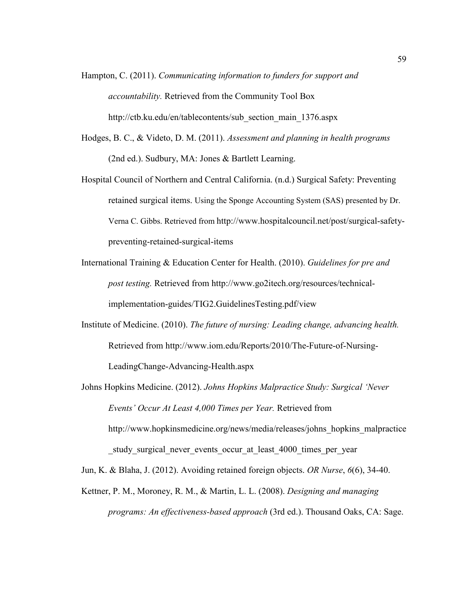- Hampton, C. (2011). *Communicating information to funders for support and accountability.* Retrieved from the Community Tool Box http://ctb.ku.edu/en/tablecontents/sub\_section\_main\_1376.aspx
- Hodges, B. C., & Videto, D. M. (2011). *Assessment and planning in health programs* (2nd ed.). Sudbury, MA: Jones & Bartlett Learning.
- Hospital Council of Northern and Central California. (n.d.) Surgical Safety: Preventing retained surgical items. Using the Sponge Accounting System (SAS) presented by Dr. Verna C. Gibbs. Retrieved from http://www.hospitalcouncil.net/post/surgical-safetypreventing-retained-surgical-items
- International Training & Education Center for Health. (2010). *Guidelines for pre and post testing.* Retrieved from http://www.go2itech.org/resources/technicalimplementation-guides/TIG2.GuidelinesTesting.pdf/view
- Institute of Medicine. (2010). *The future of nursing: Leading change, advancing health.* Retrieved from http://www.iom.edu/Reports/2010/The-Future-of-Nursing-LeadingChange-Advancing-Health.aspx
- Johns Hopkins Medicine. (2012). *Johns Hopkins Malpractice Study: Surgical 'Never Events' Occur At Least 4,000 Times per Year.* Retrieved from http://www.hopkinsmedicine.org/news/media/releases/johns\_hopkins\_malpractice study surgical never events occur at least 4000 times per year

Jun, K. & Blaha, J. (2012). Avoiding retained foreign objects. *OR Nurse*, *6*(6), 34-40.

Kettner, P. M., Moroney, R. M., & Martin, L. L. (2008). *Designing and managing programs: An effectiveness-based approach* (3rd ed.). Thousand Oaks, CA: Sage.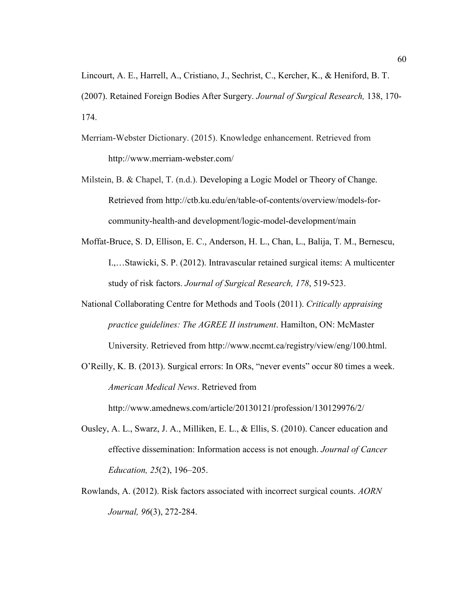Lincourt, A. E., Harrell, A., Cristiano, J., Sechrist, C., Kercher, K., & Heniford, B. T. (2007). Retained Foreign Bodies After Surgery. *Journal of Surgical Research,* 138, 170- 174.

- Merriam-Webster Dictionary. (2015). Knowledge enhancement. Retrieved from http://www.merriam-webster.com/
- Milstein, B. & Chapel, T. (n.d.). Developing a Logic Model or Theory of Change. Retrieved from http://ctb.ku.edu/en/table-of-contents/overview/models-forcommunity-health-and development/logic-model-development/main
- Moffat-Bruce, S. D, Ellison, E. C., Anderson, H. L., Chan, L., Balija, T. M., Bernescu, I.,…Stawicki, S. P. (2012). Intravascular retained surgical items: A multicenter study of risk factors. *Journal of Surgical Research, 178*, 519-523.
- National Collaborating Centre for Methods and Tools (2011). *Critically appraising practice guidelines: The AGREE II instrument*. Hamilton, ON: McMaster University. Retrieved from http://www.nccmt.ca/registry/view/eng/100.html.
- O'Reilly, K. B. (2013). Surgical errors: In ORs, "never events" occur 80 times a week. *American Medical News*. Retrieved from

http://www.amednews.com/article/20130121/profession/130129976/2/

- Ousley, A. L., Swarz, J. A., Milliken, E. L., & Ellis, S. (2010). Cancer education and effective dissemination: Information access is not enough. *Journal of Cancer Education, 25*(2), 196–205.
- Rowlands, A. (2012). Risk factors associated with incorrect surgical counts. *AORN Journal, 96*(3), 272-284.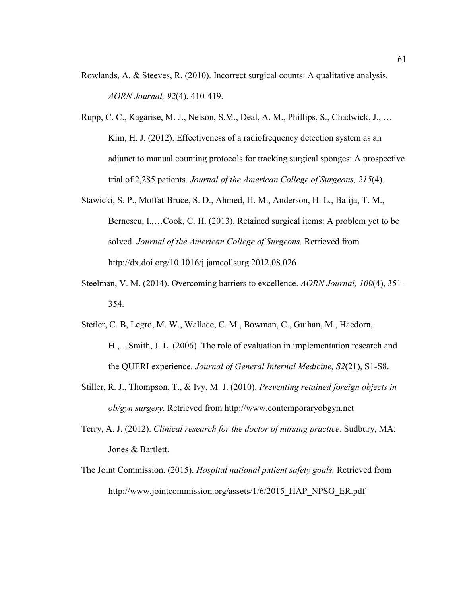- Rowlands, A. & Steeves, R. (2010). Incorrect surgical counts: A qualitative analysis. *AORN Journal, 92*(4), 410-419.
- Rupp, C. C., Kagarise, M. J., Nelson, S.M., Deal, A. M., Phillips, S., Chadwick, J., … Kim, H. J. (2012). Effectiveness of a radiofrequency detection system as an adjunct to manual counting protocols for tracking surgical sponges: A prospective trial of 2,285 patients. *Journal of the American College of Surgeons, 215*(4).
- Stawicki, S. P., Moffat-Bruce, S. D., Ahmed, H. M., Anderson, H. L., Balija, T. M., Bernescu, I.,…Cook, C. H. (2013). Retained surgical items: A problem yet to be solved. *Journal of the American College of Surgeons.* Retrieved from http://dx.doi.org/10.1016/j.jamcollsurg.2012.08.026
- Steelman, V. M. (2014). Overcoming barriers to excellence. *AORN Journal, 100*(4), 351- 354.
- Stetler, C. B, Legro, M. W., Wallace, C. M., Bowman, C., Guihan, M., Haedorn, H.,…Smith, J. L. (2006). The role of evaluation in implementation research and the QUERI experience. *Journal of General Internal Medicine, S2*(21), S1-S8.
- Stiller, R. J., Thompson, T., & Ivy, M. J. (2010). *Preventing retained foreign objects in ob/gyn surgery.* Retrieved from http://www.contemporaryobgyn.net
- Terry, A. J. (2012). *Clinical research for the doctor of nursing practice.* Sudbury, MA: Jones & Bartlett.
- The Joint Commission. (2015). *Hospital national patient safety goals.* Retrieved from http://www.jointcommission.org/assets/1/6/2015 HAP\_NPSG\_ER.pdf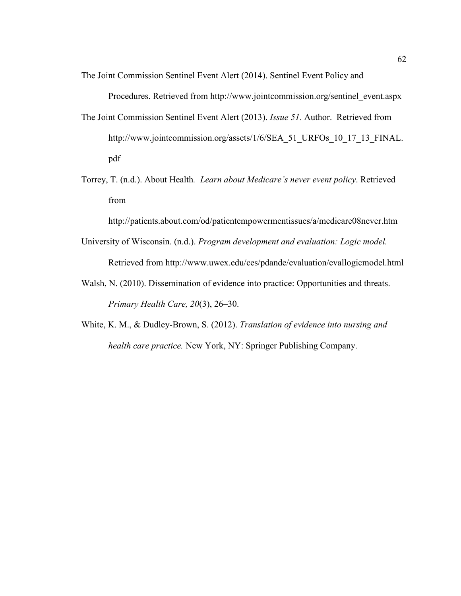The Joint Commission Sentinel Event Alert (2014). Sentinel Event Policy and

Procedures. Retrieved from http://www.jointcommission.org/sentinel\_event.aspx

- The Joint Commission Sentinel Event Alert (2013). *Issue 51*. Author. Retrieved from http://www.jointcommission.org/assets/1/6/SEA\_51\_URFOs\_10\_17\_13\_FINAL. pdf
- Torrey, T. (n.d.). About Health*. Learn about Medicare's never event policy*. Retrieved from

http://patients.about.com/od/patientempowermentissues/a/medicare08never.htm

- University of Wisconsin. (n.d.). *Program development and evaluation: Logic model.* Retrieved from http://www.uwex.edu/ces/pdande/evaluation/evallogicmodel.html
- Walsh, N. (2010). Dissemination of evidence into practice: Opportunities and threats. *Primary Health Care, 20*(3), 26–30.
- White, K. M., & Dudley-Brown, S. (2012). *Translation of evidence into nursing and health care practice.* New York, NY: Springer Publishing Company.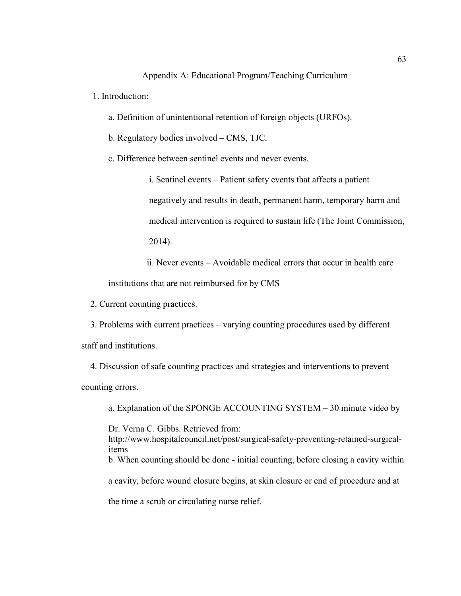#### Appendix A: Educational Program/Teaching Curriculum

1. Introduction:

a. Definition of unintentional retention of foreign objects (URFOs).

b. Regulatory bodies involved – CMS, TJC.

c. Difference between sentinel events and never events.

i. Sentinel events – Patient safety events that affects a patient negatively and results in death, permanent harm, temporary harm and medical intervention is required to sustain life (The Joint Commission, 2014).

ii. Never events – Avoidable medical errors that occur in health care institutions that are not reimbursed for by CMS

2. Current counting practices.

 3. Problems with current practices – varying counting procedures used by different staff and institutions.

 4. Discussion of safe counting practices and strategies and interventions to prevent counting errors.

a. Explanation of the SPONGE ACCOUNTING SYSTEM – 30 minute video by

Dr. Verna C. Gibbs. Retrieved from:

http://www.hospitalcouncil.net/post/surgical-safety-preventing-retained-surgicalitems

b. When counting should be done - initial counting, before closing a cavity within

a cavity, before wound closure begins, at skin closure or end of procedure and at

the time a scrub or circulating nurse relief.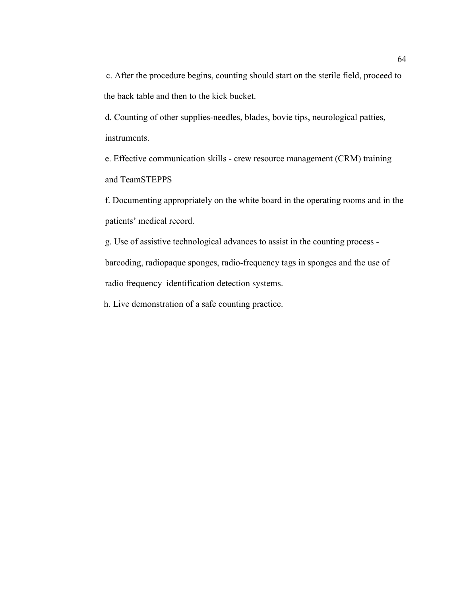c. After the procedure begins, counting should start on the sterile field, proceed to the back table and then to the kick bucket.

d. Counting of other supplies-needles, blades, bovie tips, neurological patties, instruments.

e. Effective communication skills - crew resource management (CRM) training and TeamSTEPPS

f. Documenting appropriately on the white board in the operating rooms and in the patients' medical record.

g. Use of assistive technological advances to assist in the counting process barcoding, radiopaque sponges, radio-frequency tags in sponges and the use of radio frequency identification detection systems.

h. Live demonstration of a safe counting practice.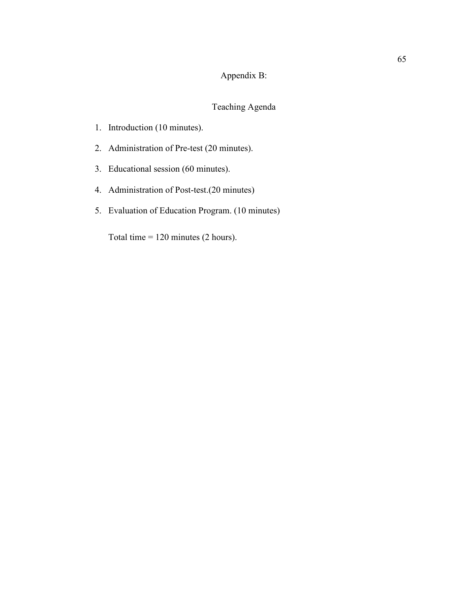# Appendix B:

# Teaching Agenda

- 1. Introduction (10 minutes).
- 2. Administration of Pre-test (20 minutes).
- 3. Educational session (60 minutes).
- 4. Administration of Post-test.(20 minutes)
- 5. Evaluation of Education Program. (10 minutes)

Total time = 120 minutes (2 hours).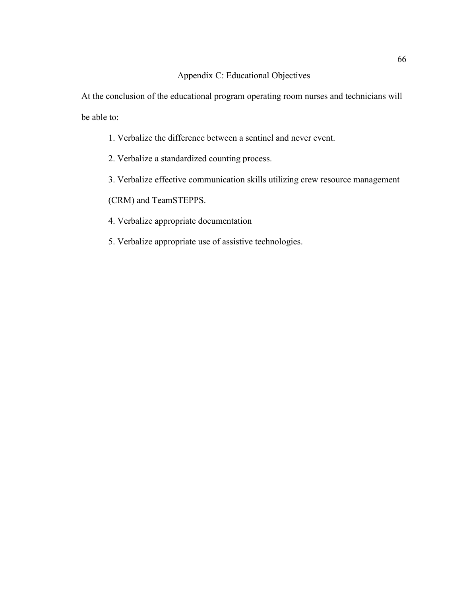## Appendix C: Educational Objectives

At the conclusion of the educational program operating room nurses and technicians will be able to:

- 1. Verbalize the difference between a sentinel and never event.
- 2. Verbalize a standardized counting process.
- 3. Verbalize effective communication skills utilizing crew resource management

(CRM) and TeamSTEPPS.

- 4. Verbalize appropriate documentation
- 5. Verbalize appropriate use of assistive technologies.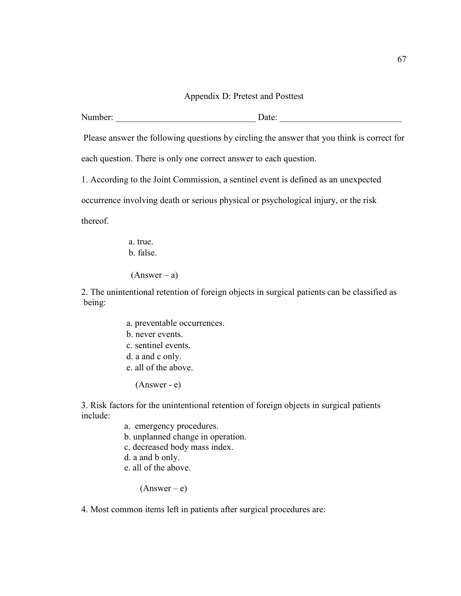#### Appendix D: Pretest and Posttest

Number: <u>Date</u>:

Please answer the following questions by circling the answer that you think is correct for

each question. There is only one correct answer to each question.

1. According to the Joint Commission, a sentinel event is defined as an unexpected

occurrence involving death or serious physical or psychological injury, or the risk

thereof.

 a. true. b. false.

 $(Answer - a)$ 

2. The unintentional retention of foreign objects in surgical patients can be classified as being:

- a. preventable occurrences.
- b. never events.
- c. sentinel events.
- d. a and c only.
- e. all of the above.

(Answer - e)

3. Risk factors for the unintentional retention of foreign objects in surgical patients include:

- a. emergency procedures.
- b. unplanned change in operation.
- c. decreased body mass index.
- d. a and b only.
- e. all of the above.

 $(Answer - e)$ 

4. Most common items left in patients after surgical procedures are: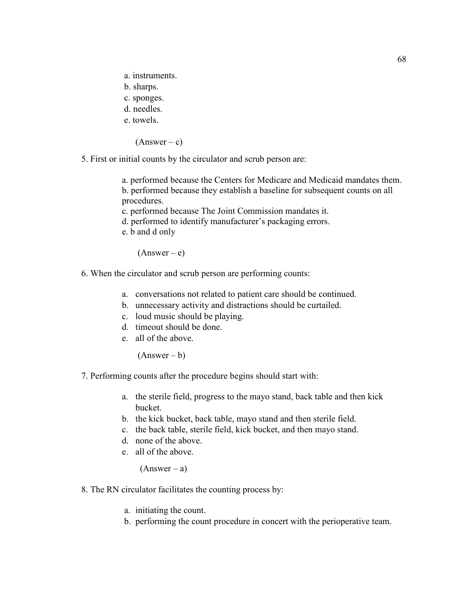- a. instruments.
- b. sharps.
- c. sponges.
- d. needles.
- e. towels.

 $(Answer - c)$ 

5. First or initial counts by the circulator and scrub person are:

 a. performed because the Centers for Medicare and Medicaid mandates them. b. performed because they establish a baseline for subsequent counts on all procedures.

c. performed because The Joint Commission mandates it.

- d. performed to identify manufacturer's packaging errors.
- e. b and d only

 $(Answer - e)$ 

- 6. When the circulator and scrub person are performing counts:
	- a. conversations not related to patient care should be continued.
	- b. unnecessary activity and distractions should be curtailed.
	- c. loud music should be playing.
	- d. timeout should be done.
	- e. all of the above.

 $(Answer - b)$ 

7. Performing counts after the procedure begins should start with:

- a. the sterile field, progress to the mayo stand, back table and then kick bucket.
- b. the kick bucket, back table, mayo stand and then sterile field.
- c. the back table, sterile field, kick bucket, and then mayo stand.
- d. none of the above.
- e. all of the above.

 $(Answer - a)$ 

- 8. The RN circulator facilitates the counting process by:
	- a. initiating the count.
	- b. performing the count procedure in concert with the perioperative team.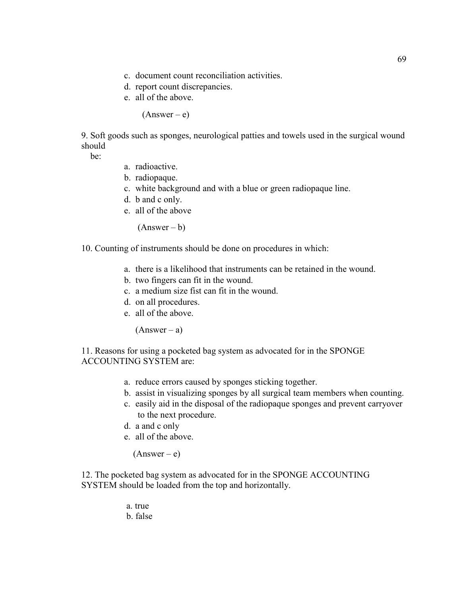- c. document count reconciliation activities.
- d. report count discrepancies.
- e. all of the above.

 $(Answer - e)$ 

9. Soft goods such as sponges, neurological patties and towels used in the surgical wound should

be:

- a. radioactive.
- b. radiopaque.
- c. white background and with a blue or green radiopaque line.
- d. b and c only.
- e. all of the above

 $(Answer - b)$ 

10. Counting of instruments should be done on procedures in which:

- a. there is a likelihood that instruments can be retained in the wound.
- b. two fingers can fit in the wound.
- c. a medium size fist can fit in the wound.
- d. on all procedures.
- e. all of the above.

 $(Answer - a)$ 

11. Reasons for using a pocketed bag system as advocated for in the SPONGE ACCOUNTING SYSTEM are:

- a. reduce errors caused by sponges sticking together.
- b. assist in visualizing sponges by all surgical team members when counting.
- c. easily aid in the disposal of the radiopaque sponges and prevent carryover to the next procedure.
- d. a and c only
- e. all of the above.

 $(Answer - e)$ 

12. The pocketed bag system as advocated for in the SPONGE ACCOUNTING SYSTEM should be loaded from the top and horizontally.

> a. true b. false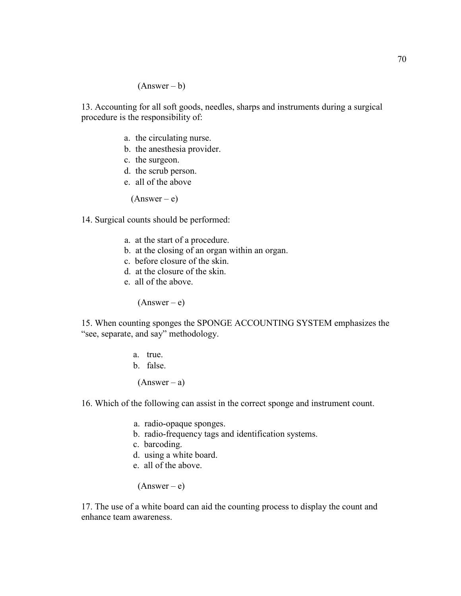#### $(Answer - b)$

13. Accounting for all soft goods, needles, sharps and instruments during a surgical procedure is the responsibility of:

- a. the circulating nurse.
- b. the anesthesia provider.
- c. the surgeon.
- d. the scrub person.
- e. all of the above

 $(Answer - e)$ 

14. Surgical counts should be performed:

- a. at the start of a procedure.
- b. at the closing of an organ within an organ.
- c. before closure of the skin.
- d. at the closure of the skin.
- e. all of the above.

 $(Answer - e)$ 

15. When counting sponges the SPONGE ACCOUNTING SYSTEM emphasizes the "see, separate, and say" methodology.

- a. true.
- b. false.

 $(Answer - a)$ 

16. Which of the following can assist in the correct sponge and instrument count.

- a. radio-opaque sponges.
- b. radio-frequency tags and identification systems.
- c. barcoding.
- d. using a white board.
- e. all of the above.

 $(Answer - e)$ 

17. The use of a white board can aid the counting process to display the count and enhance team awareness.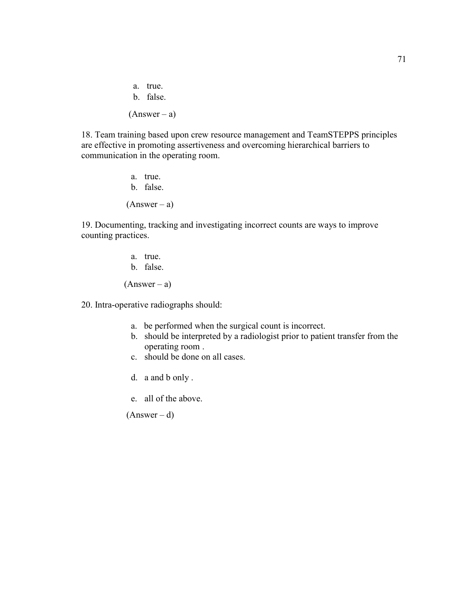a. true. b. false.  $(Answer - a)$ 

18. Team training based upon crew resource management and TeamSTEPPS principles are effective in promoting assertiveness and overcoming hierarchical barriers to communication in the operating room.

> a. true. b. false.  $(Answer - a)$

19. Documenting, tracking and investigating incorrect counts are ways to improve counting practices.

- a. true. b. false.  $(Answer - a)$
- 20. Intra-operative radiographs should:
	- a. be performed when the surgical count is incorrect.
	- b. should be interpreted by a radiologist prior to patient transfer from the operating room .
	- c. should be done on all cases.
	- d. a and b only .
	- e. all of the above.

 $(Answer - d)$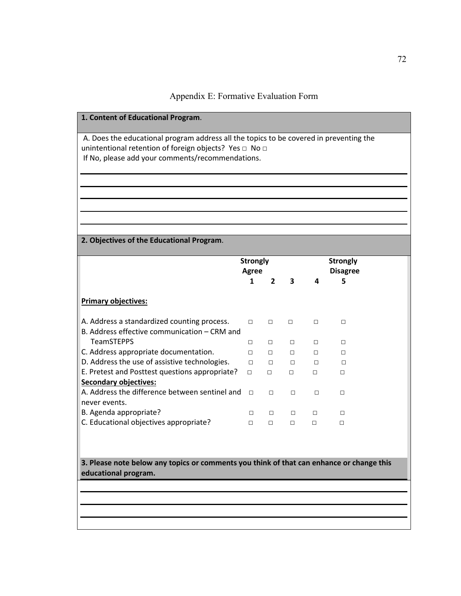| 1. Content of Educational Program.                                                                                                               |                          |                |        |        |                      |  |  |
|--------------------------------------------------------------------------------------------------------------------------------------------------|--------------------------|----------------|--------|--------|----------------------|--|--|
| A. Does the educational program address all the topics to be covered in preventing the<br>unintentional retention of foreign objects? Yes □ No □ |                          |                |        |        |                      |  |  |
| If No, please add your comments/recommendations.                                                                                                 |                          |                |        |        |                      |  |  |
|                                                                                                                                                  |                          |                |        |        |                      |  |  |
|                                                                                                                                                  |                          |                |        |        |                      |  |  |
|                                                                                                                                                  |                          |                |        |        |                      |  |  |
|                                                                                                                                                  |                          |                |        |        |                      |  |  |
|                                                                                                                                                  |                          |                |        |        |                      |  |  |
|                                                                                                                                                  |                          |                |        |        |                      |  |  |
| 2. Objectives of the Educational Program.                                                                                                        |                          |                |        |        |                      |  |  |
|                                                                                                                                                  |                          |                |        |        | <b>Strongly</b>      |  |  |
|                                                                                                                                                  | <b>Strongly</b><br>Agree |                |        |        |                      |  |  |
|                                                                                                                                                  | 1                        | $\overline{2}$ | 3      | 4      | <b>Disagree</b><br>5 |  |  |
|                                                                                                                                                  |                          |                |        |        |                      |  |  |
| <b>Primary objectives:</b>                                                                                                                       |                          |                |        |        |                      |  |  |
| A. Address a standardized counting process.                                                                                                      | $\Box$                   | $\Box$         | $\Box$ | $\Box$ | $\Box$               |  |  |
| B. Address effective communication - CRM and                                                                                                     |                          |                |        |        |                      |  |  |
| <b>TeamSTEPPS</b>                                                                                                                                | $\Box$                   | П              | $\Box$ | П      | П                    |  |  |
| C. Address appropriate documentation.                                                                                                            | П                        | П              | $\Box$ | $\Box$ | П                    |  |  |
| D. Address the use of assistive technologies.                                                                                                    | $\Box$                   | $\Box$         | □      | $\Box$ | $\Box$               |  |  |
| E. Pretest and Posttest questions appropriate?                                                                                                   | $\Box$                   | $\Box$         | $\Box$ | $\Box$ | $\Box$               |  |  |
| <b>Secondary objectives:</b>                                                                                                                     |                          |                |        |        |                      |  |  |
| A. Address the difference between sentinel and                                                                                                   | $\Box$                   | $\Box$         | $\Box$ | $\Box$ | $\Box$               |  |  |
| never events.                                                                                                                                    |                          |                |        |        |                      |  |  |
| B. Agenda appropriate?                                                                                                                           | $\Box$                   | $\Box$         | $\Box$ | □      | $\Box$               |  |  |
| C. Educational objectives appropriate?                                                                                                           | $\Box$                   | $\Box$         | $\Box$ | $\Box$ | □                    |  |  |
|                                                                                                                                                  |                          |                |        |        |                      |  |  |
|                                                                                                                                                  |                          |                |        |        |                      |  |  |

**3. Please note below any topics or comments you think of that can enhance or change this educational program.**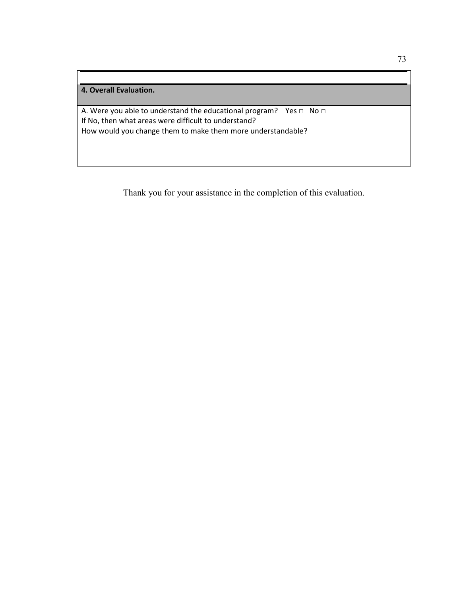A. Were you able to understand the educational program? Yes □ No □ If No, then what areas were difficult to understand? How would you change them to make them more understandable?

Thank you for your assistance in the completion of this evaluation.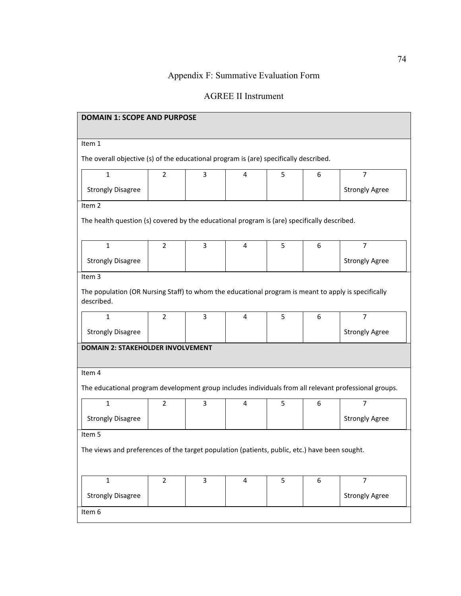# Appendix F: Summative Evaluation Form

# AGREE II Instrument

| <b>DOMAIN 1: SCOPE AND PURPOSE</b>                                                                                |                |                |   |   |   |                       |  |  |
|-------------------------------------------------------------------------------------------------------------------|----------------|----------------|---|---|---|-----------------------|--|--|
| Item 1                                                                                                            |                |                |   |   |   |                       |  |  |
| The overall objective (s) of the educational program is (are) specifically described.                             |                |                |   |   |   |                       |  |  |
| $\mathbf{1}$                                                                                                      | $\overline{2}$ | 3              | 4 | 5 | 6 | $\overline{7}$        |  |  |
| <b>Strongly Disagree</b>                                                                                          |                |                |   |   |   | <b>Strongly Agree</b> |  |  |
| Item 2                                                                                                            |                |                |   |   |   |                       |  |  |
| The health question (s) covered by the educational program is (are) specifically described.                       |                |                |   |   |   |                       |  |  |
| $\mathbf{1}$                                                                                                      | $\overline{2}$ | 3              | 4 | 5 | 6 | $\overline{7}$        |  |  |
|                                                                                                                   |                |                |   |   |   |                       |  |  |
| <b>Strongly Disagree</b>                                                                                          |                |                |   |   |   | <b>Strongly Agree</b> |  |  |
| Item 3                                                                                                            |                |                |   |   |   |                       |  |  |
| The population (OR Nursing Staff) to whom the educational program is meant to apply is specifically<br>described. |                |                |   |   |   |                       |  |  |
| $\mathbf{1}$                                                                                                      | $\overline{2}$ | 3              | 4 | 5 | 6 | 7                     |  |  |
| <b>Strongly Disagree</b>                                                                                          |                |                |   |   |   | <b>Strongly Agree</b> |  |  |
| <b>DOMAIN 2: STAKEHOLDER INVOLVEMENT</b>                                                                          |                |                |   |   |   |                       |  |  |
| Item 4                                                                                                            |                |                |   |   |   |                       |  |  |
| The educational program development group includes individuals from all relevant professional groups.             |                |                |   |   |   |                       |  |  |
| $\mathbf 1$                                                                                                       | $\overline{2}$ | 3              | 4 | 5 | 6 | $\overline{7}$        |  |  |
| <b>Strongly Disagree</b>                                                                                          |                |                |   |   |   | <b>Strongly Agree</b> |  |  |
| Item 5                                                                                                            |                |                |   |   |   |                       |  |  |
| The views and preferences of the target population (patients, public, etc.) have been sought.                     |                |                |   |   |   |                       |  |  |
|                                                                                                                   |                |                |   |   |   |                       |  |  |
| $\mathbf{1}$                                                                                                      | $\overline{2}$ | $\overline{3}$ | 4 | 5 | 6 | $\overline{7}$        |  |  |
| <b>Strongly Disagree</b>                                                                                          |                |                |   |   |   | <b>Strongly Agree</b> |  |  |
| Item 6                                                                                                            |                |                |   |   |   |                       |  |  |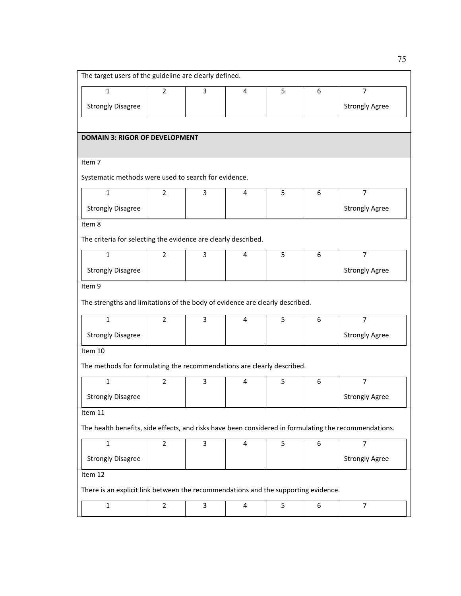| The target users of the guideline are clearly defined.                                                |                |   |   |   |   |                       |  |  |
|-------------------------------------------------------------------------------------------------------|----------------|---|---|---|---|-----------------------|--|--|
| $\mathbf{1}$                                                                                          | $\overline{2}$ | 3 | 4 | 5 | 6 | $\overline{7}$        |  |  |
| <b>Strongly Disagree</b>                                                                              |                |   |   |   |   | <b>Strongly Agree</b> |  |  |
|                                                                                                       |                |   |   |   |   |                       |  |  |
| <b>DOMAIN 3: RIGOR OF DEVELOPMENT</b>                                                                 |                |   |   |   |   |                       |  |  |
| Item 7                                                                                                |                |   |   |   |   |                       |  |  |
| Systematic methods were used to search for evidence.                                                  |                |   |   |   |   |                       |  |  |
| $\mathbf{1}$                                                                                          | 2              | 3 | 4 | 5 | 6 | 7                     |  |  |
| <b>Strongly Disagree</b>                                                                              |                |   |   |   |   | <b>Strongly Agree</b> |  |  |
| Item 8                                                                                                |                |   |   |   |   |                       |  |  |
| The criteria for selecting the evidence are clearly described.                                        |                |   |   |   |   |                       |  |  |
| $\mathbf{1}$                                                                                          | 2              | 3 | 4 | 5 | 6 | $\overline{7}$        |  |  |
| <b>Strongly Disagree</b>                                                                              |                |   |   |   |   | <b>Strongly Agree</b> |  |  |
| Item 9                                                                                                |                |   |   |   |   |                       |  |  |
| The strengths and limitations of the body of evidence are clearly described.                          |                |   |   |   |   |                       |  |  |
| $\mathbf{1}$                                                                                          | $\overline{2}$ | 3 | 4 | 5 | 6 | $\overline{7}$        |  |  |
| <b>Strongly Disagree</b>                                                                              |                |   |   |   |   | <b>Strongly Agree</b> |  |  |
| Item 10                                                                                               |                |   |   |   |   |                       |  |  |
| The methods for formulating the recommendations are clearly described.                                |                |   |   |   |   |                       |  |  |
| $\mathbf{1}$                                                                                          | 2              | 3 | 4 | 5 | 6 | $\overline{7}$        |  |  |
| <b>Strongly Disagree</b>                                                                              |                |   |   |   |   | <b>Strongly Agree</b> |  |  |
| Item 11                                                                                               |                |   |   |   |   |                       |  |  |
| The health benefits, side effects, and risks have been considered in formulating the recommendations. |                |   |   |   |   |                       |  |  |
| $\mathbf 1$                                                                                           | $\overline{2}$ | 3 | 4 | 5 | 6 | $\overline{7}$        |  |  |
| <b>Strongly Disagree</b>                                                                              |                |   |   |   |   | <b>Strongly Agree</b> |  |  |
| Item 12                                                                                               |                |   |   |   |   |                       |  |  |
| There is an explicit link between the recommendations and the supporting evidence.                    |                |   |   |   |   |                       |  |  |
| $\mathbf 1$                                                                                           | $\overline{2}$ | 3 | 4 | 5 | 6 | $\overline{7}$        |  |  |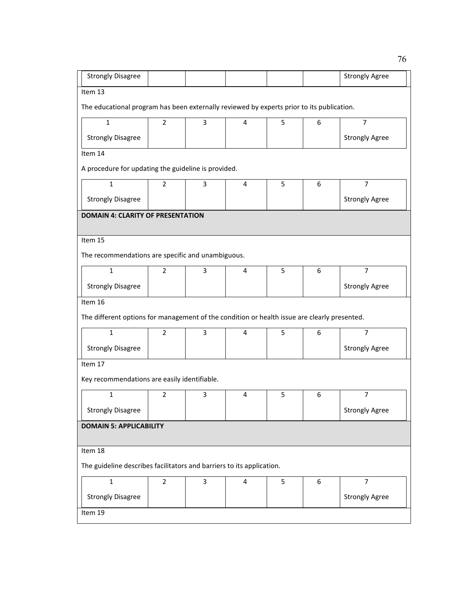| <b>Strongly Disagree</b>                                                                     |                                |   |   |   |   | <b>Strongly Agree</b> |  |  |  |
|----------------------------------------------------------------------------------------------|--------------------------------|---|---|---|---|-----------------------|--|--|--|
| Item 13                                                                                      |                                |   |   |   |   |                       |  |  |  |
| The educational program has been externally reviewed by experts prior to its publication.    |                                |   |   |   |   |                       |  |  |  |
| $\mathbf{1}$                                                                                 | $\overline{2}$                 | 3 | 4 | 5 | 6 | $\overline{7}$        |  |  |  |
| <b>Strongly Disagree</b>                                                                     |                                |   |   |   |   | <b>Strongly Agree</b> |  |  |  |
| Item 14                                                                                      |                                |   |   |   |   |                       |  |  |  |
| A procedure for updating the guideline is provided.                                          |                                |   |   |   |   |                       |  |  |  |
| 1                                                                                            | 2                              | 3 | 4 | 5 | 6 | 7                     |  |  |  |
| <b>Strongly Disagree</b>                                                                     |                                |   |   |   |   | <b>Strongly Agree</b> |  |  |  |
| <b>DOMAIN 4: CLARITY OF PRESENTATION</b>                                                     |                                |   |   |   |   |                       |  |  |  |
|                                                                                              |                                |   |   |   |   |                       |  |  |  |
| Item 15                                                                                      |                                |   |   |   |   |                       |  |  |  |
| The recommendations are specific and unambiguous.                                            |                                |   |   |   |   |                       |  |  |  |
| $\mathbf{1}$                                                                                 | $\overline{2}$                 | 3 | 4 | 5 | 6 | $\overline{7}$        |  |  |  |
| <b>Strongly Disagree</b>                                                                     |                                |   |   |   |   | <b>Strongly Agree</b> |  |  |  |
| Item 16                                                                                      |                                |   |   |   |   |                       |  |  |  |
| The different options for management of the condition or health issue are clearly presented. |                                |   |   |   |   |                       |  |  |  |
| $\mathbf{1}$                                                                                 | 2                              | 3 | 4 | 5 | 6 | $\overline{7}$        |  |  |  |
| <b>Strongly Disagree</b>                                                                     |                                |   |   |   |   | <b>Strongly Agree</b> |  |  |  |
| Item 17                                                                                      |                                |   |   |   |   |                       |  |  |  |
| Key recommendations are easily identifiable.                                                 |                                |   |   |   |   |                       |  |  |  |
| 1                                                                                            | 2                              | 3 | 4 | 5 | 6 | 7                     |  |  |  |
| <b>Strongly Disagree</b>                                                                     |                                |   |   |   |   | <b>Strongly Agree</b> |  |  |  |
|                                                                                              | <b>DOMAIN 5: APPLICABILITY</b> |   |   |   |   |                       |  |  |  |
| Item 18                                                                                      |                                |   |   |   |   |                       |  |  |  |
|                                                                                              |                                |   |   |   |   |                       |  |  |  |
| The guideline describes facilitators and barriers to its application.                        |                                |   |   |   |   |                       |  |  |  |
| $\mathbf{1}$                                                                                 | $\overline{2}$                 | 3 | 4 | 5 | 6 | $\overline{7}$        |  |  |  |
| <b>Strongly Disagree</b>                                                                     |                                |   |   |   |   | <b>Strongly Agree</b> |  |  |  |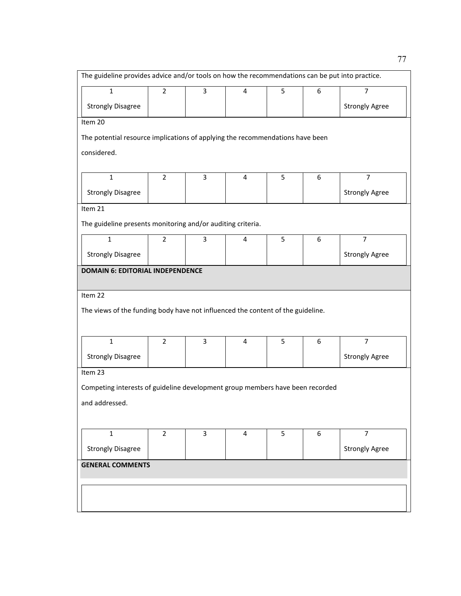| The guideline provides advice and/or tools on how the recommendations can be put into practice. |                |   |                |   |   |                       |
|-------------------------------------------------------------------------------------------------|----------------|---|----------------|---|---|-----------------------|
| 1                                                                                               | $\overline{2}$ | 3 | 4              | 5 | 6 | 7                     |
| <b>Strongly Disagree</b>                                                                        |                |   |                |   |   | <b>Strongly Agree</b> |
| Item 20                                                                                         |                |   |                |   |   |                       |
| The potential resource implications of applying the recommendations have been                   |                |   |                |   |   |                       |
| considered.                                                                                     |                |   |                |   |   |                       |
| $\mathbf{1}$                                                                                    | $\overline{2}$ | 3 | 4              | 5 | 6 | $\overline{7}$        |
| <b>Strongly Disagree</b>                                                                        |                |   |                |   |   | <b>Strongly Agree</b> |
| Item 21                                                                                         |                |   |                |   |   |                       |
| The guideline presents monitoring and/or auditing criteria.                                     |                |   |                |   |   |                       |
| $\mathbf{1}$                                                                                    | $\overline{2}$ | 3 | 4              | 5 | 6 | $\overline{7}$        |
| <b>Strongly Disagree</b>                                                                        |                |   |                |   |   | <b>Strongly Agree</b> |
| <b>DOMAIN 6: EDITORIAL INDEPENDENCE</b>                                                         |                |   |                |   |   |                       |
|                                                                                                 |                |   |                |   |   |                       |
| Item 22                                                                                         |                |   |                |   |   |                       |
| The views of the funding body have not influenced the content of the guideline.                 |                |   |                |   |   |                       |
|                                                                                                 |                |   |                |   |   |                       |
| $\mathbf{1}$                                                                                    | $\overline{2}$ | 3 | $\overline{4}$ | 5 | 6 | $\overline{7}$        |
| <b>Strongly Disagree</b>                                                                        |                |   |                |   |   | <b>Strongly Agree</b> |
| Item 23                                                                                         |                |   |                |   |   |                       |
| Competing interests of guideline development group members have been recorded                   |                |   |                |   |   |                       |
| and addressed.                                                                                  |                |   |                |   |   |                       |
|                                                                                                 |                |   |                |   |   |                       |
| $\mathbf{1}$                                                                                    | $\overline{2}$ | 3 | 4              | 5 | 6 | $\overline{7}$        |
| <b>Strongly Disagree</b>                                                                        |                |   |                |   |   | <b>Strongly Agree</b> |
| <b>GENERAL COMMENTS</b>                                                                         |                |   |                |   |   |                       |
|                                                                                                 |                |   |                |   |   |                       |
|                                                                                                 |                |   |                |   |   |                       |
|                                                                                                 |                |   |                |   |   |                       |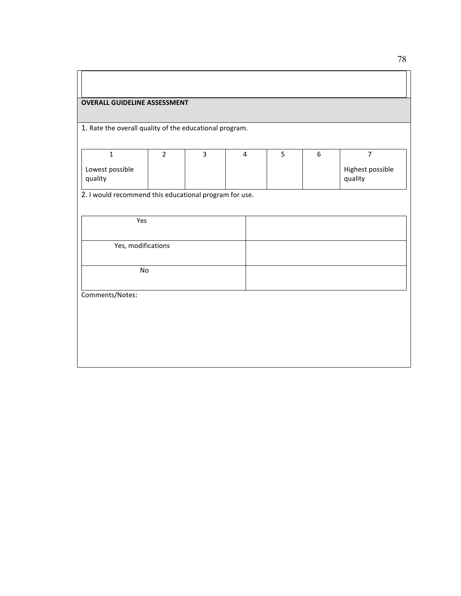#### **OVERALL GUIDELINE ASSESSMENT**

1. Rate the overall quality of the educational program.

|                            |  | 4 |  |                             |
|----------------------------|--|---|--|-----------------------------|
| Lowest possible<br>quality |  |   |  | Highest possible<br>quality |

2. I would recommend this educational program for use.

| Yes                          |  |  |
|------------------------------|--|--|
| Yes, modifications           |  |  |
|                              |  |  |
| $\operatorname{\mathsf{No}}$ |  |  |
| Comments/Notes:              |  |  |
|                              |  |  |
|                              |  |  |
|                              |  |  |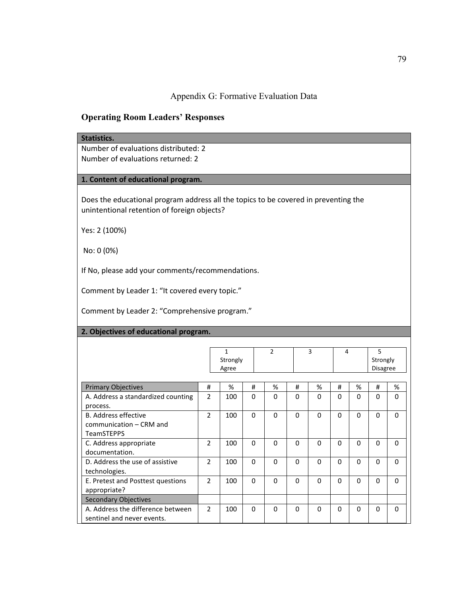Appendix G: Formative Evaluation Data

## **Operating Room Leaders' Responses**

#### **Statistics.**

Number of evaluations distributed: 2 Number of evaluations returned: 2

## **1. Content of educational program.**

Does the educational program address all the topics to be covered in preventing the unintentional retention of foreign objects?

Yes: 2 (100%)

No: 0 (0%)

If No, please add your comments/recommendations.

Comment by Leader 1: "It covered every topic."

Comment by Leader 2: "Comprehensive program."

### **2. Objectives of educational program.**

|                                                                             |                          | 1<br>Strongly<br>Agree |          | $\mathfrak{p}$ |          | 3        | 4        |          | 5<br>Strongly<br><b>Disagree</b> |          |
|-----------------------------------------------------------------------------|--------------------------|------------------------|----------|----------------|----------|----------|----------|----------|----------------------------------|----------|
| <b>Primary Objectives</b>                                                   | #                        | %                      | #        | %              | #        | %        | #        | %        | #                                | %        |
| A. Address a standardized counting<br>process.                              | $\overline{2}$           | 100                    | $\Omega$ | $\Omega$       | $\Omega$ | $\Omega$ | $\Omega$ | $\Omega$ | $\Omega$                         | $\Omega$ |
| <b>B.</b> Address effective<br>communication – CRM and<br><b>TeamSTEPPS</b> | $\overline{2}$           | 100                    | $\Omega$ | $\Omega$       | $\Omega$ | $\Omega$ | $\Omega$ | $\Omega$ | $\Omega$                         | $\Omega$ |
| C. Address appropriate<br>documentation.                                    | $\overline{\phantom{a}}$ | 100                    | $\Omega$ | $\Omega$       | 0        | $\Omega$ | $\Omega$ | $\Omega$ | $\Omega$                         | $\Omega$ |
| D. Address the use of assistive<br>technologies.                            | $\overline{2}$           | 100                    | $\Omega$ | $\Omega$       | $\Omega$ | $\Omega$ | $\Omega$ | $\Omega$ | $\Omega$                         | $\Omega$ |
| E. Pretest and Posttest questions<br>appropriate?                           | $\overline{2}$           | 100                    | $\Omega$ | $\Omega$       | $\Omega$ | $\Omega$ | $\Omega$ | $\Omega$ | 0                                | $\Omega$ |
| <b>Secondary Objectives</b>                                                 |                          |                        |          |                |          |          |          |          |                                  |          |
| A. Address the difference between<br>sentinel and never events.             | $\mathcal{P}$            | 100                    | $\Omega$ | $\Omega$       | $\Omega$ | $\Omega$ | $\Omega$ | $\Omega$ | $\Omega$                         | $\Omega$ |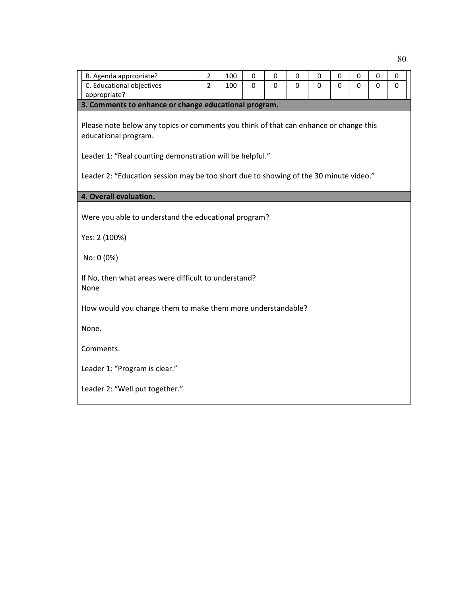| B. Agenda appropriate?                                                                | 2              | 100 | 0        | 0            | 0              | 0        | 0        | 0        | 0        | 0 |
|---------------------------------------------------------------------------------------|----------------|-----|----------|--------------|----------------|----------|----------|----------|----------|---|
| C. Educational objectives                                                             | $\overline{2}$ | 100 | $\Omega$ | $\mathbf{0}$ | $\overline{0}$ | $\Omega$ | $\Omega$ | $\Omega$ | $\Omega$ | 0 |
| appropriate?                                                                          |                |     |          |              |                |          |          |          |          |   |
| 3. Comments to enhance or change educational program.                                 |                |     |          |              |                |          |          |          |          |   |
| Please note below any topics or comments you think of that can enhance or change this |                |     |          |              |                |          |          |          |          |   |
| educational program.                                                                  |                |     |          |              |                |          |          |          |          |   |
|                                                                                       |                |     |          |              |                |          |          |          |          |   |
| Leader 1: "Real counting demonstration will be helpful."                              |                |     |          |              |                |          |          |          |          |   |
| Leader 2: "Education session may be too short due to showing of the 30 minute video." |                |     |          |              |                |          |          |          |          |   |
|                                                                                       |                |     |          |              |                |          |          |          |          |   |
| 4. Overall evaluation.                                                                |                |     |          |              |                |          |          |          |          |   |
| Were you able to understand the educational program?                                  |                |     |          |              |                |          |          |          |          |   |
|                                                                                       |                |     |          |              |                |          |          |          |          |   |
| Yes: 2 (100%)                                                                         |                |     |          |              |                |          |          |          |          |   |
| No: 0 (0%)                                                                            |                |     |          |              |                |          |          |          |          |   |
|                                                                                       |                |     |          |              |                |          |          |          |          |   |
| If No, then what areas were difficult to understand?                                  |                |     |          |              |                |          |          |          |          |   |
| None                                                                                  |                |     |          |              |                |          |          |          |          |   |
| How would you change them to make them more understandable?                           |                |     |          |              |                |          |          |          |          |   |
|                                                                                       |                |     |          |              |                |          |          |          |          |   |
| None.                                                                                 |                |     |          |              |                |          |          |          |          |   |
| Comments.                                                                             |                |     |          |              |                |          |          |          |          |   |
|                                                                                       |                |     |          |              |                |          |          |          |          |   |
| Leader 1: "Program is clear."                                                         |                |     |          |              |                |          |          |          |          |   |
|                                                                                       |                |     |          |              |                |          |          |          |          |   |
| Leader 2: "Well put together."                                                        |                |     |          |              |                |          |          |          |          |   |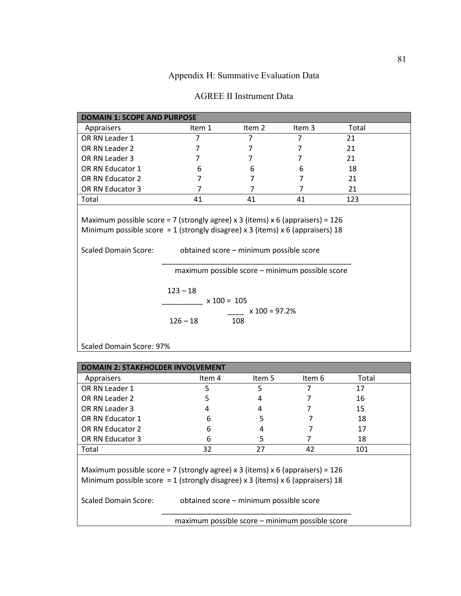Appendix H: Summative Evaluation Data

| <b>DOMAIN 1: SCOPE AND PURPOSE</b>                                                                            |                                                               |                                         |        |       |  |
|---------------------------------------------------------------------------------------------------------------|---------------------------------------------------------------|-----------------------------------------|--------|-------|--|
| Appraisers                                                                                                    | Item 1                                                        | Item 2                                  | Item 3 | Total |  |
| OR RN Leader 1                                                                                                | 7                                                             | $\overline{7}$                          | 7      | 21    |  |
| OR RN Leader 2                                                                                                | 7                                                             | 7                                       | 7      | 21    |  |
| OR RN Leader 3                                                                                                | 7                                                             | 7                                       | 7      | 21    |  |
| OR RN Educator 1                                                                                              | 6                                                             | 6                                       | 6      | 18    |  |
| OR RN Educator 2                                                                                              | 7                                                             | 7                                       | 7      | 21    |  |
| OR RN Educator 3                                                                                              | 7                                                             | 7                                       | 7      | 21    |  |
| Total                                                                                                         | 41                                                            | 41                                      | 41     | 123   |  |
| Minimum possible score = 1 (strongly disagree) x 3 (items) x 6 (appraisers) 18<br><b>Scaled Domain Score:</b> |                                                               | obtained score - minimum possible score |        |       |  |
|                                                                                                               | maximum possible score - minimum possible score<br>$123 - 18$ |                                         |        |       |  |
|                                                                                                               | $x 100 = 105$                                                 |                                         |        |       |  |
|                                                                                                               | $126 - 18$                                                    | $x 100 = 97.2%$<br>108                  |        |       |  |
| Scaled Domain Score: 97%                                                                                      |                                                               |                                         |        |       |  |

| DOMAIN 2: STAKEHOLDER INVOLVEM                                                                                                                                                                                                        |        |                                                 |        |       |  |  |  |  |  |  |
|---------------------------------------------------------------------------------------------------------------------------------------------------------------------------------------------------------------------------------------|--------|-------------------------------------------------|--------|-------|--|--|--|--|--|--|
| Appraisers                                                                                                                                                                                                                            | Item 4 | Item 5                                          | Item 6 | Total |  |  |  |  |  |  |
| OR RN Leader 1                                                                                                                                                                                                                        | 5      | 5                                               | 7      | 17    |  |  |  |  |  |  |
| OR RN Leader 2                                                                                                                                                                                                                        | 5      | 4                                               |        | 16    |  |  |  |  |  |  |
| OR RN Leader 3                                                                                                                                                                                                                        | 4      | 4                                               |        | 15    |  |  |  |  |  |  |
| OR RN Educator 1                                                                                                                                                                                                                      | 6      | 5                                               |        | 18    |  |  |  |  |  |  |
| OR RN Educator 2                                                                                                                                                                                                                      | 6      |                                                 |        | 17    |  |  |  |  |  |  |
| OR RN Educator 3                                                                                                                                                                                                                      | 6      | 5                                               |        | 18    |  |  |  |  |  |  |
| Total                                                                                                                                                                                                                                 | 32     | 27                                              | 42     | 101   |  |  |  |  |  |  |
| Maximum possible score = 7 (strongly agree) x 3 (items) x 6 (appraisers) = $126$<br>Minimum possible score = 1 (strongly disagree) x 3 (items) x 6 (appraisers) 18<br>Scaled Domain Score:<br>obtained score - minimum possible score |        |                                                 |        |       |  |  |  |  |  |  |
|                                                                                                                                                                                                                                       |        | maximum possible score – minimum possible score |        |       |  |  |  |  |  |  |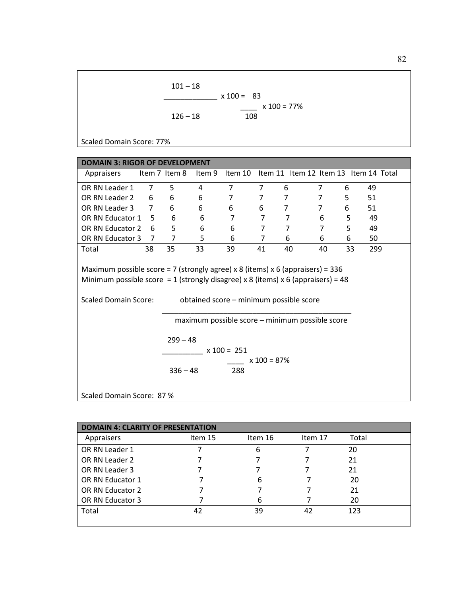$$
101-18
$$
  
x 100 = 83  
x 100 = 77%  
x 100 = 77%

Scaled Domain Score: 77%

| <b>DOMAIN 3: RIGOR OF DEVELOPMENT</b>                                                                                                                                                                                                          |                |               |    |                |                |                |                |    |                                                      |  |
|------------------------------------------------------------------------------------------------------------------------------------------------------------------------------------------------------------------------------------------------|----------------|---------------|----|----------------|----------------|----------------|----------------|----|------------------------------------------------------|--|
| Appraisers                                                                                                                                                                                                                                     |                | Item 7 Item 8 |    |                |                |                |                |    | Item 9 Item 10 Item 11 Item 12 Item 13 Item 14 Total |  |
| OR RN Leader 1                                                                                                                                                                                                                                 | $\overline{7}$ | 5             | 4  | $\overline{7}$ | $\overline{7}$ | 6              | 7              | 6  | 49                                                   |  |
| OR RN Leader 2                                                                                                                                                                                                                                 | 6              | 6             | 6  | 7              | 7              | 7              | 7              | 5. | 51                                                   |  |
| OR RN Leader 3                                                                                                                                                                                                                                 | $7^{\circ}$    | 6             | 6  | 6              | 6              | 7              | $\overline{7}$ | 6  | 51                                                   |  |
| OR RN Educator 1                                                                                                                                                                                                                               | .5.            | 6             | 6  | 7              | 7              | $\overline{7}$ | 6              | 5  | 49                                                   |  |
| OR RN Educator 2                                                                                                                                                                                                                               | 6              | 5             | 6  | 6              | 7              | 7              | $\overline{7}$ | 5  | 49                                                   |  |
| OR RN Educator 3                                                                                                                                                                                                                               | 7              | 7             | 5  | 6              | 7              | 6              | 6              | 6  | 50                                                   |  |
| Total                                                                                                                                                                                                                                          | 38             | 35            | 33 | 39             | 41             | 40             | 40             | 33 | 299                                                  |  |
| Maximum possible score = 7 (strongly agree) x 8 (items) x 6 (appraisers) = $336$<br>Minimum possible score = 1 (strongly disagree) x 8 (items) x 6 (appraisers) = 48<br><b>Scaled Domain Score:</b><br>obtained score - minimum possible score |                |               |    |                |                |                |                |    |                                                      |  |
| maximum possible score - minimum possible score<br>$299 - 48$<br>$x 100 = 251$<br>$x 100 = 87%$<br>$336 - 48$<br>288                                                                                                                           |                |               |    |                |                |                |                |    |                                                      |  |
| Scaled Domain Score: 87 %                                                                                                                                                                                                                      |                |               |    |                |                |                |                |    |                                                      |  |

| <b>DOMAIN 4: CLARITY OF PRESENTATION</b> |         |         |         |       |  |  |  |
|------------------------------------------|---------|---------|---------|-------|--|--|--|
| Appraisers                               | Item 15 | Item 16 | Item 17 | Total |  |  |  |
| OR RN Leader 1                           |         | 6       |         | 20    |  |  |  |
| OR RN Leader 2                           |         |         |         | 21    |  |  |  |
| OR RN Leader 3                           |         |         |         | 21    |  |  |  |
| OR RN Educator 1                         |         | 6       |         | 20    |  |  |  |
| OR RN Educator 2                         |         |         |         | 21    |  |  |  |
| OR RN Educator 3                         |         |         |         | 20    |  |  |  |
| Total                                    | 42      | 39      | 42      | 123   |  |  |  |
|                                          |         |         |         |       |  |  |  |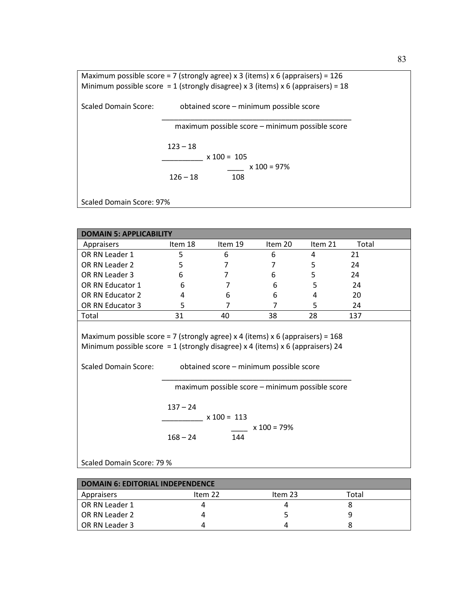Maximum possible score = 7 (strongly agree) x 3 (items) x 6 (appraisers) =  $126$ Minimum possible score = 1 (strongly disagree) x 3 (items) x 6 (appraisers) = 18 Scaled Domain Score: obtained score – minimum possible score  $\overline{\phantom{a}}$  ,  $\overline{\phantom{a}}$  ,  $\overline{\phantom{a}}$  ,  $\overline{\phantom{a}}$  ,  $\overline{\phantom{a}}$  ,  $\overline{\phantom{a}}$  ,  $\overline{\phantom{a}}$  ,  $\overline{\phantom{a}}$  ,  $\overline{\phantom{a}}$  ,  $\overline{\phantom{a}}$  ,  $\overline{\phantom{a}}$  ,  $\overline{\phantom{a}}$  ,  $\overline{\phantom{a}}$  ,  $\overline{\phantom{a}}$  ,  $\overline{\phantom{a}}$  ,  $\overline{\phantom{a}}$  maximum possible score – minimum possible score  $123 - 18$  $x 100 = 105$  $x 100 = 97\%$  $126 - 18$  108 Scaled Domain Score: 97%

| <b>DOMAIN 5: APPLICABILITY</b>                                                                                                                                                                                                               |            |         |               |         |       |  |
|----------------------------------------------------------------------------------------------------------------------------------------------------------------------------------------------------------------------------------------------|------------|---------|---------------|---------|-------|--|
| Appraisers                                                                                                                                                                                                                                   | Item 18    | Item 19 | Item 20       | Item 21 | Total |  |
| OR RN Leader 1                                                                                                                                                                                                                               | 5          | 6       | 6             | 4       | 21    |  |
| OR RN Leader 2                                                                                                                                                                                                                               | 5          | 7       | 7             | 5       | 24    |  |
| OR RN Leader 3                                                                                                                                                                                                                               | 6          | 7       | 6             | 5       | 24    |  |
| OR RN Educator 1                                                                                                                                                                                                                             | 6          | 7       | 6             | 5       | 24    |  |
| OR RN Educator 2                                                                                                                                                                                                                             | 4          | 6       | 6             | 4       | 20    |  |
| OR RN Educator 3                                                                                                                                                                                                                             | 5          | 7       | 7             | 5       | 24    |  |
| Total                                                                                                                                                                                                                                        | 31         | 40      | 38            | 28      | 137   |  |
| Maximum possible score = 7 (strongly agree) x 4 (items) x 6 (appraisers) = $168$<br>Minimum possible score = 1 (strongly disagree) x 4 (items) x 6 (appraisers) 24<br><b>Scaled Domain Score:</b><br>obtained score - minimum possible score |            |         |               |         |       |  |
| maximum possible score – minimum possible score<br>$137 - 24$<br>$x 100 = 113$                                                                                                                                                               |            |         |               |         |       |  |
|                                                                                                                                                                                                                                              | $168 - 24$ | 144     | $x 100 = 79%$ |         |       |  |
| Scaled Domain Score: 79 %                                                                                                                                                                                                                    |            |         |               |         |       |  |

| <b>DOMAIN 6: EDITORIAL INDEPENDENCE</b> |         |         |       |  |  |  |
|-----------------------------------------|---------|---------|-------|--|--|--|
| Appraisers                              | Item 22 | Item 23 | Total |  |  |  |
| OR RN Leader 1                          |         |         |       |  |  |  |
| OR RN Leader 2                          |         |         |       |  |  |  |
| OR RN Leader 3                          |         |         |       |  |  |  |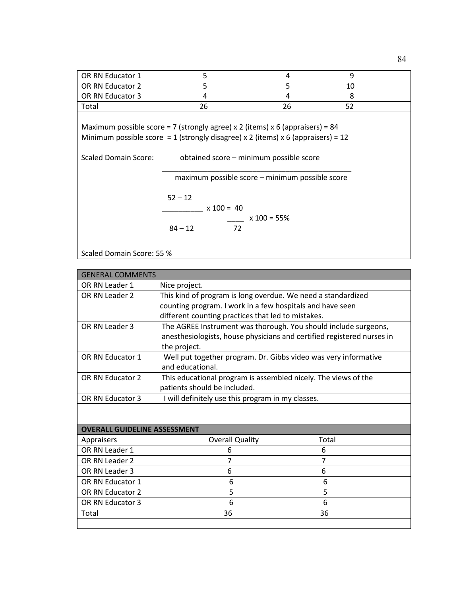| OR RN Educator 1                                                                                                                                                  | 5                                                                                                                 | 4  | 9  |  |  |  |  |
|-------------------------------------------------------------------------------------------------------------------------------------------------------------------|-------------------------------------------------------------------------------------------------------------------|----|----|--|--|--|--|
| OR RN Educator 2                                                                                                                                                  | 5                                                                                                                 | 5  | 10 |  |  |  |  |
| OR RN Educator 3                                                                                                                                                  | 4                                                                                                                 | 4  | 8  |  |  |  |  |
| Total                                                                                                                                                             | 26                                                                                                                | 26 | 52 |  |  |  |  |
| Maximum possible score = 7 (strongly agree) x 2 (items) x 6 (appraisers) = 84<br>Minimum possible score = 1 (strongly disagree) x 2 (items) x 6 (appraisers) = 12 |                                                                                                                   |    |    |  |  |  |  |
| Scaled Domain Score:                                                                                                                                              | obtained score - minimum possible score                                                                           |    |    |  |  |  |  |
|                                                                                                                                                                   | maximum possible score – minimum possible score<br>$52 - 12$<br>$x 100 = 40$<br>$x 100 = 55\%$<br>$84 - 12$<br>72 |    |    |  |  |  |  |

Scaled Domain Score: 55 %

| <b>GENERAL COMMENTS</b>             |                                                                 |                                                                        |  |  |  |  |
|-------------------------------------|-----------------------------------------------------------------|------------------------------------------------------------------------|--|--|--|--|
| OR RN Leader 1                      | Nice project.                                                   |                                                                        |  |  |  |  |
| OR RN Leader 2                      | This kind of program is long overdue. We need a standardized    |                                                                        |  |  |  |  |
|                                     |                                                                 | counting program. I work in a few hospitals and have seen              |  |  |  |  |
|                                     | different counting practices that led to mistakes.              |                                                                        |  |  |  |  |
| OR RN Leader 3                      | The AGREE Instrument was thorough. You should include surgeons, |                                                                        |  |  |  |  |
|                                     |                                                                 | anesthesiologists, house physicians and certified registered nurses in |  |  |  |  |
|                                     | the project.                                                    |                                                                        |  |  |  |  |
| OR RN Educator 1                    | Well put together program. Dr. Gibbs video was very informative |                                                                        |  |  |  |  |
|                                     | and educational.                                                |                                                                        |  |  |  |  |
| OR RN Educator 2                    | This educational program is assembled nicely. The views of the  |                                                                        |  |  |  |  |
|                                     | patients should be included.                                    |                                                                        |  |  |  |  |
| OR RN Educator 3                    | I will definitely use this program in my classes.               |                                                                        |  |  |  |  |
|                                     |                                                                 |                                                                        |  |  |  |  |
|                                     |                                                                 |                                                                        |  |  |  |  |
| <b>OVERALL GUIDELINE ASSESSMENT</b> |                                                                 |                                                                        |  |  |  |  |
| Appraisers                          | <b>Overall Quality</b>                                          | Total                                                                  |  |  |  |  |
| OR RN Leader 1                      | 6                                                               | 6                                                                      |  |  |  |  |
| OR RN Leader 2                      | 7                                                               | 7                                                                      |  |  |  |  |
| OR RN Leader 3                      | 6                                                               | 6                                                                      |  |  |  |  |
| OR RN Educator 1                    | 6<br>6                                                          |                                                                        |  |  |  |  |
| OR RN Educator 2                    | 5<br>5                                                          |                                                                        |  |  |  |  |
| OR RN Educator 3                    | 6                                                               | 6                                                                      |  |  |  |  |
| Total                               | 36                                                              | 36                                                                     |  |  |  |  |
|                                     |                                                                 |                                                                        |  |  |  |  |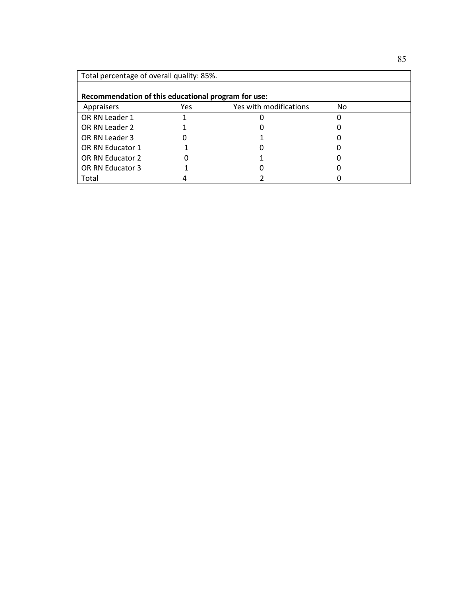| Total percentage of overall quality: 85%.           |     |                        |    |  |  |  |
|-----------------------------------------------------|-----|------------------------|----|--|--|--|
| Recommendation of this educational program for use: |     |                        |    |  |  |  |
| Appraisers                                          | Yes | Yes with modifications | No |  |  |  |
| OR RN Leader 1                                      |     |                        |    |  |  |  |
| OR RN Leader 2                                      |     |                        |    |  |  |  |
| OR RN Leader 3                                      |     |                        |    |  |  |  |
| OR RN Educator 1                                    |     |                        |    |  |  |  |
| OR RN Educator 2                                    |     |                        |    |  |  |  |
| OR RN Educator 3                                    |     |                        |    |  |  |  |
| Total                                               |     |                        |    |  |  |  |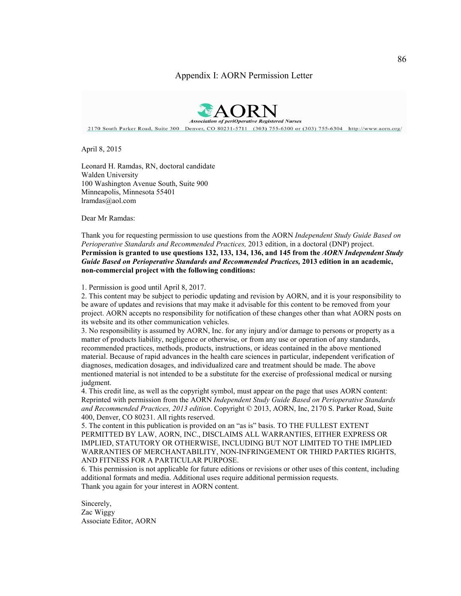#### Appendix I: AORN Permission Letter

2170 South Parker Road, Suite 300 Denver, CO 80231-5711 (303) 755-6300 or (303) 755-6304 http://www.aorn.org/

April 8, 2015

Leonard H. Ramdas, RN, doctoral candidate Walden University 100 Washington Avenue South, Suite 900 Minneapolis, Minnesota 55401 lramdas@aol.com

Dear Mr Ramdas:

#### Thank you for requesting permission to use questions from the AORN *Independent Study Guide Based on Perioperative Standards and Recommended Practices,* 2013 edition, in a doctoral (DNP) project. **Permission is granted to use questions 132, 133, 134, 136, and 145 from the** *AORN Independent Study Guide Based on Perioperative Standards and Recommended Practices,* **2013 edition in an academic, non-commercial project with the following conditions:**

1. Permission is good until April 8, 2017.

2. This content may be subject to periodic updating and revision by AORN, and it is your responsibility to be aware of updates and revisions that may make it advisable for this content to be removed from your project. AORN accepts no responsibility for notification of these changes other than what AORN posts on its website and its other communication vehicles.

3. No responsibility is assumed by AORN, Inc. for any injury and/or damage to persons or property as a matter of products liability, negligence or otherwise, or from any use or operation of any standards, recommended practices, methods, products, instructions, or ideas contained in the above mentioned material. Because of rapid advances in the health care sciences in particular, independent verification of diagnoses, medication dosages, and individualized care and treatment should be made. The above mentioned material is not intended to be a substitute for the exercise of professional medical or nursing judgment.

4. This credit line, as well as the copyright symbol, must appear on the page that uses AORN content: Reprinted with permission from the AORN *Independent Study Guide Based on Perioperative Standards and Recommended Practices, 2013 edition*. Copyright © 2013, AORN, Inc, 2170 S. Parker Road, Suite 400, Denver, CO 80231. All rights reserved.

5. The content in this publication is provided on an "as is" basis. TO THE FULLEST EXTENT PERMITTED BY LAW, AORN, INC., DISCLAIMS ALL WARRANTIES, EITHER EXPRESS OR IMPLIED, STATUTORY OR OTHERWISE, INCLUDING BUT NOT LIMITED TO THE IMPLIED WARRANTIES OF MERCHANTABILITY, NON-INFRINGEMENT OR THIRD PARTIES RIGHTS, AND FITNESS FOR A PARTICULAR PURPOSE.

6. This permission is not applicable for future editions or revisions or other uses of this content, including additional formats and media. Additional uses require additional permission requests. Thank you again for your interest in AORN content.

Sincerely, Zac Wiggy Associate Editor, AORN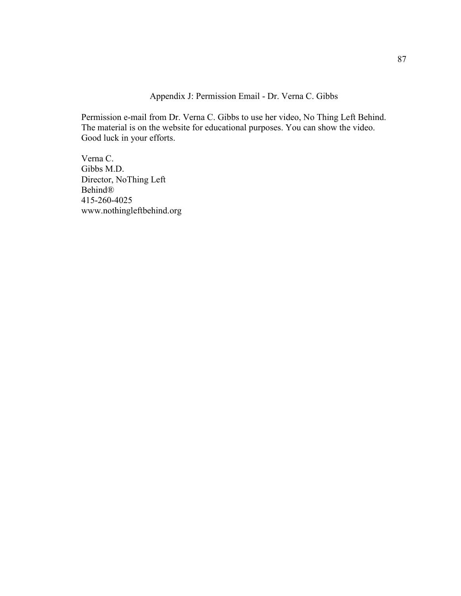Appendix J: Permission Email - Dr. Verna C. Gibbs

Permission e-mail from Dr. Verna C. Gibbs to use her video, No Thing Left Behind. The material is on the website for educational purposes. You can show the video. Good luck in your efforts.

Verna C. Gibbs M.D. Director, NoThing Left Behind® 415-260-4025 www.nothingleftbehind.org